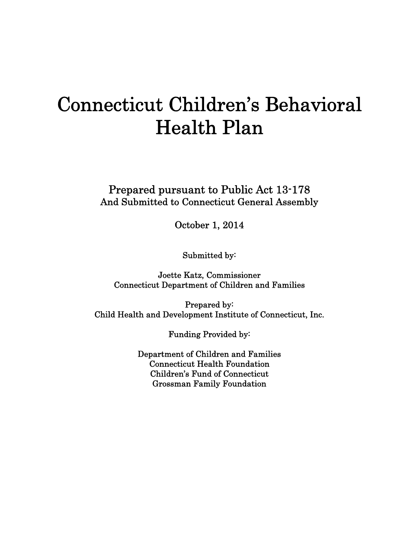# Connecticut Children's Behavioral Health Plan

 Prepared pursuant to Public Act 13-178 And Submitted to Connecticut General Assembly

October 1, 2014

Submitted by:

Joette Katz, Commissioner Connecticut Department of Children and Families

Prepared by: Child Health and Development Institute of Connecticut, Inc.

Funding Provided by:

Department of Children and Families Connecticut Health Foundation Children's Fund of Connecticut Grossman Family Foundation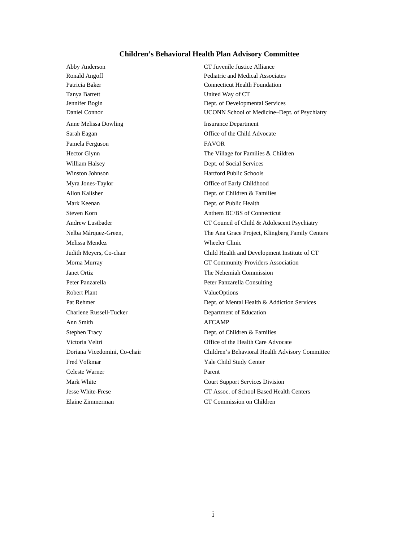#### **Children's Behavioral Health Plan Advisory Committee**

Tanya Barrett United Way of CT Anne Melissa Dowling **Insurance Department** Sarah Eagan Office of the Child Advocate Pamela Ferguson FAVOR William Halsey Dept. of Social Services Winston Johnson **Hartford Public Schools** Myra Jones-Taylor **Office of Early Childhood** Allon Kalisher Dept. of Children & Families Mark Keenan Dept. of Public Health Melissa Mendez Wheeler Clinic Janet Ortiz The Nehemiah Commission Peter Panzarella **Peter Panzarella Consulting** Robert Plant ValueOptions Charlene Russell-Tucker Department of Education Ann Smith AFCAMP Stephen Tracy Dept. of Children & Families Fred Volkmar Yale Child Study Center Celeste Warner Parent Elaine Zimmerman CT Commission on Children

Abby Anderson CT Juvenile Justice Alliance Ronald Angoff Pediatric and Medical Associates Patricia Baker Connecticut Health Foundation Jennifer Bogin Dept. of Developmental Services Daniel Connor UCONN School of Medicine–Dept. of Psychiatry Hector Glynn The Village for Families & Children Steven Korn **Anthem BC/BS** of Connecticut Andrew Lustbader CT Council of Child & Adolescent Psychiatry Nelba Márquez-Green, The Ana Grace Project, Klingberg Family Centers Judith Meyers, Co-chair Child Health and Development Institute of CT Morna Murray CT Community Providers Association Pat Rehmer Dept. of Mental Health & Addiction Services Victoria Veltri **Office** of the Health Care Advocate Doriana Vicedomini, Co-chair Children's Behavioral Health Advisory Committee Mark White Court Support Services Division Jesse White-Frese CT Assoc. of School Based Health Centers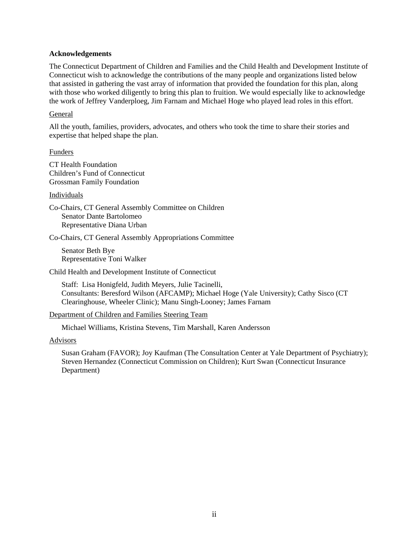#### **Acknowledgements**

The Connecticut Department of Children and Families and the Child Health and Development Institute of Connecticut wish to acknowledge the contributions of the many people and organizations listed below that assisted in gathering the vast array of information that provided the foundation for this plan, along with those who worked diligently to bring this plan to fruition. We would especially like to acknowledge the work of Jeffrey Vanderploeg, Jim Farnam and Michael Hoge who played lead roles in this effort.

#### General

All the youth, families, providers, advocates, and others who took the time to share their stories and expertise that helped shape the plan.

#### Funders

CT Health Foundation Children's Fund of Connecticut Grossman Family Foundation

#### Individuals

Co-Chairs, CT General Assembly Committee on Children Senator Dante Bartolomeo Representative Diana Urban

Co-Chairs, CT General Assembly Appropriations Committee

Senator Beth Bye Representative Toni Walker

Child Health and Development Institute of Connecticut

Staff: Lisa Honigfeld, Judith Meyers, Julie Tacinelli, Consultants: Beresford Wilson (AFCAMP); Michael Hoge (Yale University); Cathy Sisco (CT Clearinghouse, Wheeler Clinic); Manu Singh-Looney; James Farnam

Department of Children and Families Steering Team

Michael Williams, Kristina Stevens, Tim Marshall, Karen Andersson

#### Advisors

Susan Graham (FAVOR); Joy Kaufman (The Consultation Center at Yale Department of Psychiatry); Steven Hernandez (Connecticut Commission on Children); Kurt Swan (Connecticut Insurance Department)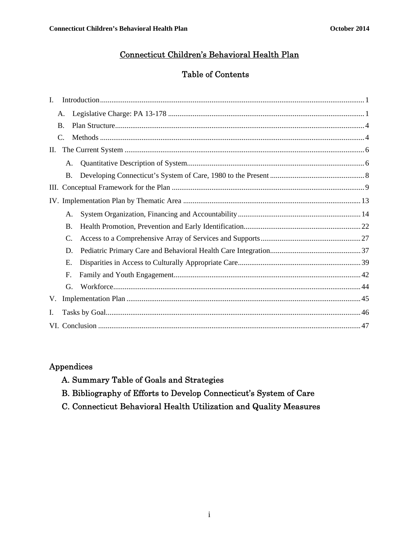### Connecticut Children's Behavioral Health Plan

# Table of Contents

| I.  |             |  |
|-----|-------------|--|
|     | Α.          |  |
|     | <b>B.</b>   |  |
|     | $C_{\cdot}$ |  |
| II. |             |  |
|     | A.          |  |
|     | <b>B.</b>   |  |
|     |             |  |
|     |             |  |
|     | A.          |  |
|     | <b>B.</b>   |  |
|     | C.          |  |
|     | D.          |  |
|     | Ε.          |  |
|     | F.          |  |
|     | G.          |  |
| V.  |             |  |
| Ι.  |             |  |
|     |             |  |

# Appendices

- A. Summary Table of Goals and Strategies
- B. Bibliography of Efforts to Develop Connecticut's System of Care
- C. Connecticut Behavioral Health Utilization and Quality Measures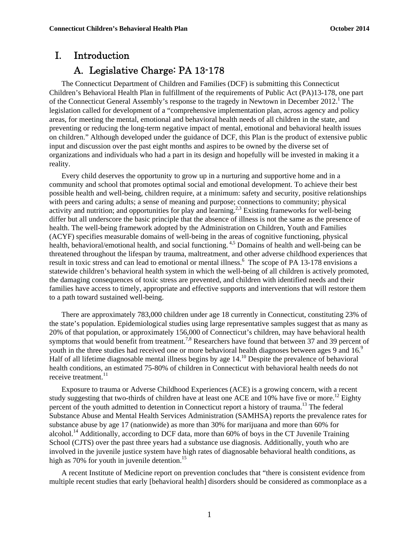# I. Introduction

# A. Legislative Charge: PA 13-178

The Connecticut Department of Children and Families (DCF) is submitting this Connecticut Children's Behavioral Health Plan in fulfillment of the requirements of Public Act (PA)13-178, one part of the Connecticut General Assembly's response to the tragedy in Newtown in December 2012.<sup>1</sup> The legislation called for development of a "comprehensive implementation plan, across agency and policy areas, for meeting the mental, emotional and behavioral health needs of all children in the state, and preventing or reducing the long-term negative impact of mental, emotional and behavioral health issues on children." Although developed under the guidance of DCF, this Plan is the product of extensive public input and discussion over the past eight months and aspires to be owned by the diverse set of organizations and individuals who had a part in its design and hopefully will be invested in making it a reality.

Every child deserves the opportunity to grow up in a nurturing and supportive home and in a community and school that promotes optimal social and emotional development. To achieve their best possible health and well-being, children require, at a minimum: safety and security, positive relationships with peers and caring adults; a sense of meaning and purpose; connections to community; physical activity and nutrition; and opportunities for play and learning.<sup>2,3</sup> Existing frameworks for well-being differ but all underscore the basic principle that the absence of illness is not the same as the presence of health. The well-being framework adopted by the Administration on Children, Youth and Families (ACYF) specifies measurable domains of well-being in the areas of cognitive functioning, physical health, behavioral/emotional health, and social functioning.<sup>4,5</sup> Domains of health and well-being can be threatened throughout the lifespan by trauma, maltreatment, and other adverse childhood experiences that result in toxic stress and can lead to emotional or mental illness.<sup>6</sup> The scope of PA 13-178 envisions a statewide children's behavioral health system in which the well-being of all children is actively promoted, the damaging consequences of toxic stress are prevented, and children with identified needs and their families have access to timely, appropriate and effective supports and interventions that will restore them to a path toward sustained well-being.

There are approximately 783,000 children under age 18 currently in Connecticut, constituting 23% of the state's population. Epidemiological studies using large representative samples suggest that as many as 20% of that population, or approximately 156,000 of Connecticut's children, may have behavioral health symptoms that would benefit from treatment.<sup>7,8</sup> Researchers have found that between 37 and 39 percent of youth in the three studies had received one or more behavioral health diagnoses between ages 9 and  $16<sup>9</sup>$ Half of all lifetime diagnosable mental illness begins by age 14.<sup>10</sup> Despite the prevalence of behavioral health conditions, an estimated 75-80% of children in Connecticut with behavioral health needs do not receive treatment. $^{11}$ 

Exposure to trauma or Adverse Childhood Experiences (ACE) is a growing concern, with a recent study suggesting that two-thirds of children have at least one ACE and  $10\%$  have five or more.<sup>12</sup> Eighty percent of the youth admitted to detention in Connecticut report a history of trauma.13 The federal Substance Abuse and Mental Health Services Administration (SAMHSA) reports the prevalence rates for substance abuse by age 17 (nationwide) as more than 30% for marijuana and more than 60% for alcohol.<sup>14</sup> Additionally, according to DCF data, more than 60% of boys in the CT Juvenile Training School (CJTS) over the past three years had a substance use diagnosis. Additionally, youth who are involved in the juvenile justice system have high rates of diagnosable behavioral health conditions, as high as  $70\%$  for youth in juvenile detention.<sup>15</sup>

A recent Institute of Medicine report on prevention concludes that "there is consistent evidence from multiple recent studies that early [behavioral health] disorders should be considered as commonplace as a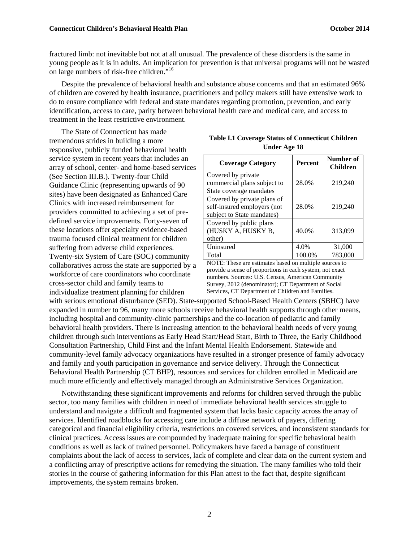fractured limb: not inevitable but not at all unusual. The prevalence of these disorders is the same in young people as it is in adults. An implication for prevention is that universal programs will not be wasted on large numbers of risk-free children."16

Despite the prevalence of behavioral health and substance abuse concerns and that an estimated 96% of children are covered by health insurance, practitioners and policy makers still have extensive work to do to ensure compliance with federal and state mandates regarding promotion, prevention, and early identification, access to care, parity between behavioral health care and medical care, and access to treatment in the least restrictive environment.

The State of Connecticut has made tremendous strides in building a more responsive, publicly funded behavioral health service system in recent years that includes an array of school, center- and home-based services (See Section III.B.). Twenty-four Child Guidance Clinic (representing upwards of 90 sites) have been designated as Enhanced Care Clinics with increased reimbursement for providers committed to achieving a set of predefined service improvements. Forty-seven of these locations offer specialty evidence-based trauma focused clinical treatment for children suffering from adverse child experiences. Twenty-six System of Care (SOC) community collaboratives across the state are supported by a workforce of care coordinators who coordinate cross-sector child and family teams to individualize treatment planning for children

| <b>Coverage Category</b>    | <b>Percent</b> | Number of<br><b>Children</b> |
|-----------------------------|----------------|------------------------------|
| Covered by private          |                |                              |
| commercial plans subject to | 28.0%          | 219,240                      |
| State coverage mandates     |                |                              |
| Covered by private plans of |                |                              |
| self-insured employers (not | 28.0%          | 219,240                      |
| subject to State mandates)  |                |                              |
| Covered by public plans     |                |                              |
| (HUSKY A, HUSKY B,          | 40.0%          | 313,099                      |
| other)                      |                |                              |
| Uninsured                   | 4.0%           | 31,000                       |
| Total                       | 100.0%         | 783,000                      |

**Table I.1 Coverage Status of Connecticut Children Under Age 18** 

NOTE: These are estimates based on multiple sources to provide a sense of proportions in each system, not exact numbers. Sources: U.S. Census, American Community Survey, 2012 (denominator); CT Department of Social Services, CT Department of Children and Families.

with serious emotional disturbance (SED). State-supported School-Based Health Centers (SBHC) have expanded in number to 96, many more schools receive behavioral health supports through other means, including hospital and community-clinic partnerships and the co-location of pediatric and family behavioral health providers. There is increasing attention to the behavioral health needs of very young children through such interventions as Early Head Start/Head Start, Birth to Three, the Early Childhood Consultation Partnership, Child First and the Infant Mental Health Endorsement. Statewide and community-level family advocacy organizations have resulted in a stronger presence of family advocacy and family and youth participation in governance and service delivery. Through the Connecticut Behavioral Health Partnership (CT BHP), resources and services for children enrolled in Medicaid are much more efficiently and effectively managed through an Administrative Services Organization.

Notwithstanding these significant improvements and reforms for children served through the public sector, too many families with children in need of immediate behavioral health services struggle to understand and navigate a difficult and fragmented system that lacks basic capacity across the array of services. Identified roadblocks for accessing care include a diffuse network of payers, differing categorical and financial eligibility criteria, restrictions on covered services, and inconsistent standards for clinical practices. Access issues are compounded by inadequate training for specific behavioral health conditions as well as lack of trained personnel. Policymakers have faced a barrage of constituent complaints about the lack of access to services, lack of complete and clear data on the current system and a conflicting array of prescriptive actions for remedying the situation. The many families who told their stories in the course of gathering information for this Plan attest to the fact that, despite significant improvements, the system remains broken.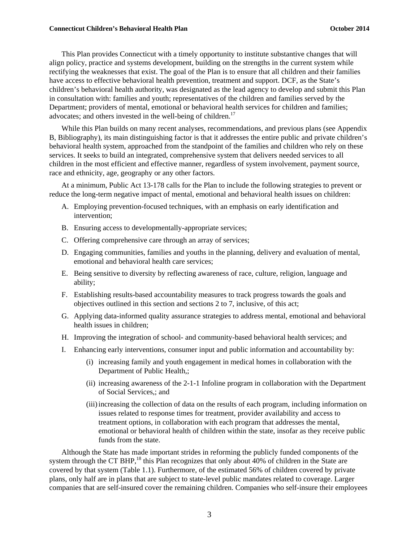This Plan provides Connecticut with a timely opportunity to institute substantive changes that will align policy, practice and systems development, building on the strengths in the current system while rectifying the weaknesses that exist. The goal of the Plan is to ensure that all children and their families have access to effective behavioral health prevention, treatment and support. DCF, as the State's children's behavioral health authority, was designated as the lead agency to develop and submit this Plan in consultation with: families and youth; representatives of the children and families served by the Department; providers of mental, emotional or behavioral health services for children and families; advocates; and others invested in the well-being of children.<sup>17</sup>

While this Plan builds on many recent analyses, recommendations, and previous plans (see Appendix B, Bibliography), its main distinguishing factor is that it addresses the entire public and private children's behavioral health system, approached from the standpoint of the families and children who rely on these services. It seeks to build an integrated, comprehensive system that delivers needed services to all children in the most efficient and effective manner, regardless of system involvement, payment source, race and ethnicity, age, geography or any other factors.

At a minimum, Public Act 13-178 calls for the Plan to include the following strategies to prevent or reduce the long-term negative impact of mental, emotional and behavioral health issues on children:

- A. Employing prevention-focused techniques, with an emphasis on early identification and intervention;
- B. Ensuring access to developmentally-appropriate services;
- C. Offering comprehensive care through an array of services;
- D. Engaging communities, families and youths in the planning, delivery and evaluation of mental, emotional and behavioral health care services;
- E. Being sensitive to diversity by reflecting awareness of race, culture, religion, language and ability;
- F. Establishing results-based accountability measures to track progress towards the goals and objectives outlined in this section and sections 2 to 7, inclusive, of this act;
- G. Applying data-informed quality assurance strategies to address mental, emotional and behavioral health issues in children;
- H. Improving the integration of school- and community-based behavioral health services; and
- I. Enhancing early interventions, consumer input and public information and accountability by:
	- (i) increasing family and youth engagement in medical homes in collaboration with the Department of Public Health,;
	- (ii) increasing awareness of the 2-1-1 Infoline program in collaboration with the Department of Social Services,; and
	- (iii)increasing the collection of data on the results of each program, including information on issues related to response times for treatment, provider availability and access to treatment options, in collaboration with each program that addresses the mental, emotional or behavioral health of children within the state, insofar as they receive public funds from the state.

Although the State has made important strides in reforming the publicly funded components of the system through the CT BHP,<sup>18</sup> this Plan recognizes that only about 40% of children in the State are covered by that system (Table 1.1). Furthermore, of the estimated 56% of children covered by private plans, only half are in plans that are subject to state-level public mandates related to coverage. Larger companies that are self-insured cover the remaining children. Companies who self-insure their employees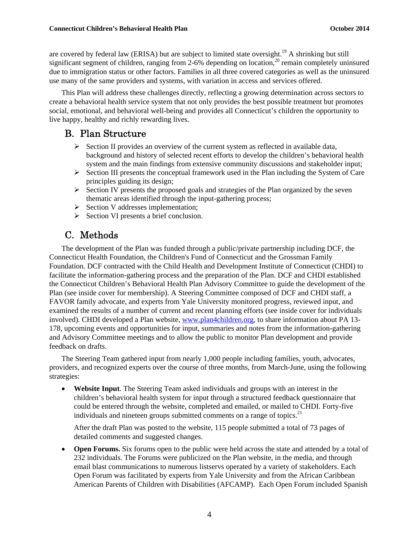are covered by federal law (ERISA) but are subject to limited state oversight.<sup>19</sup> A shrinking but still significant segment of children, ranging from 2-6% depending on location,<sup>20</sup> remain completely uninsured due to immigration status or other factors. Families in all three covered categories as well as the uninsured use many of the same providers and systems, with variation in access and services offered.

This Plan will address these challenges directly, reflecting a growing determination across sectors to create a behavioral health service system that not only provides the best possible treatment but promotes social, emotional, and behavioral well-being and provides all Connecticut's children the opportunity to live happy, healthy and richly rewarding lives.

### B. Plan Structure

- $\triangleright$  Section II provides an overview of the current system as reflected in available data, background and history of selected recent efforts to develop the children's behavioral health system and the main findings from extensive community discussions and stakeholder input;
- $\triangleright$  Section III presents the conceptual framework used in the Plan including the System of Care principles guiding its design;
- $\triangleright$  Section IV presents the proposed goals and strategies of the Plan organized by the seven thematic areas identified through the input-gathering process;
- $\triangleright$  Section V addresses implementation;
- $\triangleright$  Section VI presents a brief conclusion.

# C. Methods

The development of the Plan was funded through a public/private partnership including DCF, the Connecticut Health Foundation, the Children's Fund of Connecticut and the Grossman Family Foundation. DCF contracted with the Child Health and Development Institute of Connecticut (CHDI) to facilitate the information-gathering process and the preparation of the Plan. DCF and CHDI established the Connecticut Children's Behavioral Health Plan Advisory Committee to guide the development of the Plan (see inside cover for membership). A Steering Committee composed of DCF and CHDI staff, a FAVOR family advocate, and experts from Yale University monitored progress, reviewed input, and examined the results of a number of current and recent planning efforts (see inside cover for individuals involved). CHDI developed a Plan website, www.plan4children.org, to share information about PA 13- 178, upcoming events and opportunities for input, summaries and notes from the information-gathering and Advisory Committee meetings and to allow the public to monitor Plan development and provide feedback on drafts.

The Steering Team gathered input from nearly 1,000 people including families, youth, advocates, providers, and recognized experts over the course of three months, from March-June, using the following strategies:

 **Website Input**. The Steering Team asked individuals and groups with an interest in the children's behavioral health system for input through a structured feedback questionnaire that could be entered through the website, completed and emailed, or mailed to CHDI. Forty-five individuals and nineteen groups submitted comments on a range of topics.<sup>21</sup>

After the draft Plan was posted to the website, 115 people submitted a total of 73 pages of detailed comments and suggested changes.

 **Open Forums.** Six forums open to the public were held across the state and attended by a total of 232 individuals. The Forums were publicized on the Plan website, in the media, and through email blast communications to numerous listservs operated by a variety of stakeholders. Each Open Forum was facilitated by experts from Yale University and from the African Caribbean American Parents of Children with Disabilities (AFCAMP). Each Open Forum included Spanish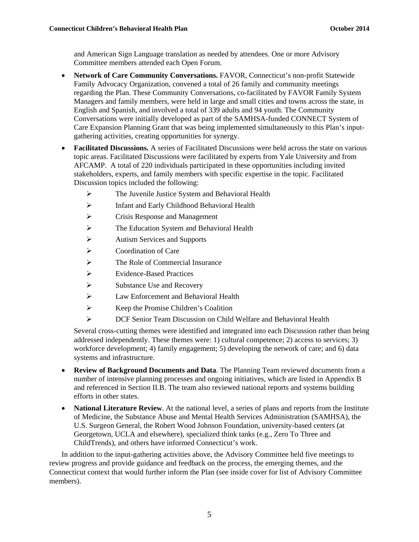and American Sign Language translation as needed by attendees. One or more Advisory Committee members attended each Open Forum.

- **Network of Care Community Conversations.** FAVOR, Connecticut's non-profit Statewide Family Advocacy Organization, convened a total of 26 family and community meetings regarding the Plan. These Community Conversations, co-facilitated by FAVOR Family System Managers and family members, were held in large and small cities and towns across the state, in English and Spanish, and involved a total of 339 adults and 94 youth. The Community Conversations were initially developed as part of the SAMHSA-funded CONNECT System of Care Expansion Planning Grant that was being implemented simultaneously to this Plan's inputgathering activities, creating opportunities for synergy.
- **Facilitated Discussions.** A series of Facilitated Discussions were held across the state on various topic areas. Facilitated Discussions were facilitated by experts from Yale University and from AFCAMP. A total of 220 individuals participated in these opportunities including invited stakeholders, experts, and family members with specific expertise in the topic. Facilitated Discussion topics included the following:
	- $\triangleright$  The Juvenile Justice System and Behavioral Health
	- $\triangleright$  Infant and Early Childhood Behavioral Health
	- $\triangleright$  Crisis Response and Management
	- $\triangleright$  The Education System and Behavioral Health
	- Autism Services and Supports
	- Coordination of Care
	- $\triangleright$  The Role of Commercial Insurance
	- Evidence-Based Practices
	- $\triangleright$  Substance Use and Recovery
	- Law Enforcement and Behavioral Health
	- $\triangleright$  Keep the Promise Children's Coalition
	- DCF Senior Team Discussion on Child Welfare and Behavioral Health

Several cross-cutting themes were identified and integrated into each Discussion rather than being addressed independently. These themes were: 1) cultural competence; 2) access to services; 3) workforce development; 4) family engagement; 5) developing the network of care; and 6) data systems and infrastructure.

- **Review of Background Documents and Data**. The Planning Team reviewed documents from a number of intensive planning processes and ongoing initiatives, which are listed in Appendix B and referenced in Section II.B. The team also reviewed national reports and systems building efforts in other states.
- **National Literature Review**. At the national level, a series of plans and reports from the Institute of Medicine, the Substance Abuse and Mental Health Services Administration (SAMHSA), the U.S. Surgeon General, the Robert Wood Johnson Foundation, university-based centers (at Georgetown, UCLA and elsewhere), specialized think tanks (e.g., Zero To Three and ChildTrends), and others have informed Connecticut's work.

In addition to the input-gathering activities above, the Advisory Committee held five meetings to review progress and provide guidance and feedback on the process, the emerging themes, and the Connecticut context that would further inform the Plan (see inside cover for list of Advisory Committee members).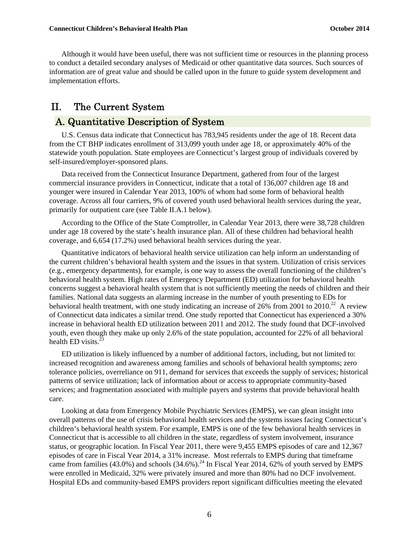Although it would have been useful, there was not sufficient time or resources in the planning process to conduct a detailed secondary analyses of Medicaid or other quantitative data sources. Such sources of information are of great value and should be called upon in the future to guide system development and implementation efforts.

# II. The Current System

# A. Quantitative Description of System

U.S. Census data indicate that Connecticut has 783,945 residents under the age of 18. Recent data from the CT BHP indicates enrollment of 313,099 youth under age 18, or approximately 40% of the statewide youth population. State employees are Connecticut's largest group of individuals covered by self-insured/employer-sponsored plans.

Data received from the Connecticut Insurance Department, gathered from four of the largest commercial insurance providers in Connecticut, indicate that a total of 136,007 children age 18 and younger were insured in Calendar Year 2013, 100% of whom had some form of behavioral health coverage. Across all four carriers, 9% of covered youth used behavioral health services during the year, primarily for outpatient care (see Table II.A.1 below).

According to the Office of the State Comptroller, in Calendar Year 2013, there were 38,728 children under age 18 covered by the state's health insurance plan. All of these children had behavioral health coverage, and 6,654 (17.2%) used behavioral health services during the year.

Quantitative indicators of behavioral health service utilization can help inform an understanding of the current children's behavioral health system and the issues in that system. Utilization of crisis services (e.g., emergency departments), for example, is one way to assess the overall functioning of the children's behavioral health system. High rates of Emergency Department (ED) utilization for behavioral health concerns suggest a behavioral health system that is not sufficiently meeting the needs of children and their families. National data suggests an alarming increase in the number of youth presenting to EDs for behavioral health treatment, with one study indicating an increase of 26% from 2001 to 2010.<sup>22</sup> A review of Connecticut data indicates a similar trend. One study reported that Connecticut has experienced a 30% increase in behavioral health ED utilization between 2011 and 2012. The study found that DCF-involved youth, even though they make up only 2.6% of the state population, accounted for 22% of all behavioral health ED visits. $^{23}$ 

ED utilization is likely influenced by a number of additional factors, including, but not limited to: increased recognition and awareness among families and schools of behavioral health symptoms; zero tolerance policies, overreliance on 911, demand for services that exceeds the supply of services; historical patterns of service utilization; lack of information about or access to appropriate community-based services; and fragmentation associated with multiple payers and systems that provide behavioral health care.

Looking at data from Emergency Mobile Psychiatric Services (EMPS), we can glean insight into overall patterns of the use of crisis behavioral health services and the systems issues facing Connecticut's children's behavioral health system. For example, EMPS is one of the few behavioral health services in Connecticut that is accessible to all children in the state, regardless of system involvement, insurance status, or geographic location. In Fiscal Year 2011, there were 9,455 EMPS episodes of care and 12,367 episodes of care in Fiscal Year 2014, a 31% increase. Most referrals to EMPS during that timeframe came from families (43.0%) and schools (34.6%).<sup>24</sup> In Fiscal Year 2014, 62% of youth served by EMPS were enrolled in Medicaid, 32% were privately insured and more than 80% had no DCF involvement. Hospital EDs and community-based EMPS providers report significant difficulties meeting the elevated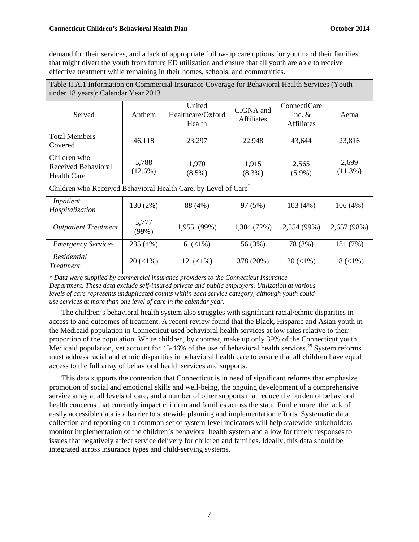demand for their services, and a lack of appropriate follow-up care options for youth and their families that might divert the youth from future ED utilization and ensure that all youth are able to receive effective treatment while remaining in their homes, schools, and communities.

| Table II.A.1 Information on Commercial Insurance Coverage for Behavioral Health Services (Youth<br>under 18 years): Calendar Year 2013 |                     |                                       |                                |                                               |                     |  |  |  |
|----------------------------------------------------------------------------------------------------------------------------------------|---------------------|---------------------------------------|--------------------------------|-----------------------------------------------|---------------------|--|--|--|
| Served                                                                                                                                 | Anthem              | United<br>Healthcare/Oxford<br>Health | CIGNA and<br><b>Affiliates</b> | ConnectiCare<br>Inc. $&$<br><b>Affiliates</b> | Aetna               |  |  |  |
| <b>Total Members</b><br>Covered                                                                                                        | 46,118              | 23,297                                | 22,948                         | 43,644                                        | 23,816              |  |  |  |
| Children who<br>Received Behavioral<br><b>Health Care</b>                                                                              | 5,788<br>$(12.6\%)$ | 1,970<br>$(8.5\%)$                    | 1,915<br>$(8.3\%)$             | 2,565<br>$(5.9\%)$                            | 2,699<br>$(11.3\%)$ |  |  |  |
| Children who Received Behavioral Health Care, by Level of Care <sup>®</sup>                                                            |                     |                                       |                                |                                               |                     |  |  |  |
| Inpatient<br>Hospitalization                                                                                                           | 130 (2%)            | 88 (4%)                               | 97 (5%)                        | 103(4%)                                       | 106(4%)             |  |  |  |
| <b>Outpatient Treatment</b>                                                                                                            | 5,777<br>(99%)      | 1,955 (99%)                           | 1,384 (72%)                    | 2,554 (99%)                                   | 2,657 (98%)         |  |  |  |
| <b>Emergency Services</b>                                                                                                              | 235 (4%)            | 6 $(<1\%)$                            | 56 (3%)                        | 78 (3%)                                       | 181 (7%)            |  |  |  |
| Residential<br><i>Treatment</i>                                                                                                        | $20 \,(< 1\%)$      | $12 \, (\leq 1\%)$                    | 378 (20%)                      | $20 \,(< \!\!1\%)$                            | $18 \,(< \!1\%)$    |  |  |  |

*\* Data were supplied by commercial insurance providers to the Connecticut Insurance Department. These data exclude self-insured private and public employers. Utilization at various levels of care represents unduplicated counts within each service category, although youth could use services at more than one level of care in the calendar year.*

The children's behavioral health system also struggles with significant racial/ethnic disparities in access to and outcomes of treatment. A recent review found that the Black, Hispanic and Asian youth in the Medicaid population in Connecticut used behavioral health services at low rates relative to their proportion of the population. White children, by contrast, make up only 39% of the Connecticut youth Medicaid population, yet account for 45-46% of the use of behavioral health services.<sup>25</sup> System reforms must address racial and ethnic disparities in behavioral health care to ensure that all children have equal access to the full array of behavioral health services and supports.

This data supports the contention that Connecticut is in need of significant reforms that emphasize promotion of social and emotional skills and well-being, the ongoing development of a comprehensive service array at all levels of care, and a number of other supports that reduce the burden of behavioral health concerns that currently impact children and families across the state. Furthermore, the lack of easily accessible data is a barrier to statewide planning and implementation efforts. Systematic data collection and reporting on a common set of system-level indicators will help statewide stakeholders monitor implementation of the children's behavioral health system and allow for timely responses to issues that negatively affect service delivery for children and families. Ideally, this data should be integrated across insurance types and child-serving systems.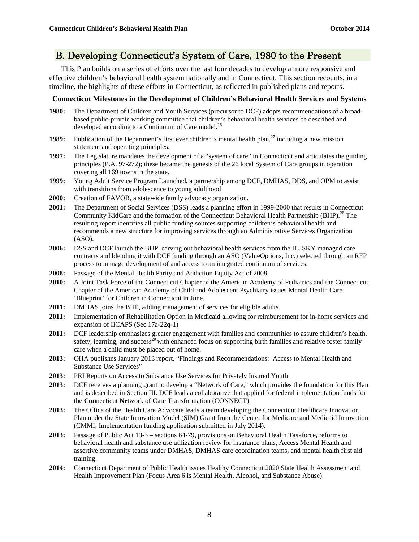# B. Developing Connecticut's System of Care, 1980 to the Present

This Plan builds on a series of efforts over the last four decades to develop a more responsive and effective children's behavioral health system nationally and in Connecticut. This section recounts, in a timeline, the highlights of these efforts in Connecticut, as reflected in published plans and reports.

#### **Connecticut Milestones in the Development of Children's Behavioral Health Services and Systems**

- **1980:** The Department of Children and Youth Services (precursor to DCF) adopts recommendations of a broadbased public-private working committee that children's behavioral health services be described and developed according to a Continuum of Care model.<sup>26</sup>
- **1989:** Publication of the Department's first ever children's mental health plan,<sup>27</sup> including a new mission statement and operating principles.
- **1997:** The Legislature mandates the development of a "system of care" in Connecticut and articulates the guiding principles (P.A. 97-272); these became the genesis of the 26 local System of Care groups in operation covering all 169 towns in the state.
- **1999:** Young Adult Service Program Launched, a partnership among DCF, DMHAS, DDS, and OPM to assist with transitions from adolescence to young adulthood
- **2000:** Creation of FAVOR, a statewide family advocacy organization.
- **2001:** The Department of Social Services (DSS) leads a planning effort in 1999-2000 that results in Connecticut Community KidCare and the formation of the Connecticut Behavioral Health Partnership (BHP).<sup>28</sup> The resulting report identifies all public funding sources supporting children's behavioral health and recommends a new structure for improving services through an Administrative Services Organization (ASO).
- **2006:** DSS and DCF launch the BHP, carving out behavioral health services from the HUSKY managed care contracts and blending it with DCF funding through an ASO (ValueOptions, Inc.) selected through an RFP process to manage development of and access to an integrated continuum of services.
- **2008:** Passage of the Mental Health Parity and Addiction Equity Act of 2008
- **2010:** A Joint Task Force of the Connecticut Chapter of the American Academy of Pediatrics and the Connecticut Chapter of the American Academy of Child and Adolescent Psychiatry issues Mental Health Care 'Blueprint' for Children in Connecticut in June.
- **2011:** DMHAS joins the BHP, adding management of services for eligible adults.
- **2011:** Implementation of Rehabilitation Option in Medicaid allowing for reimbursement for in-home services and expansion of IICAPS (Sec 17a-22q-1)
- **2011:** DCF leadership emphasizes greater engagement with families and communities to assure children's health, safety, learning, and success<sup>29</sup> with enhanced focus on supporting birth families and relative foster family care when a child must be placed out of home.
- **2013:** OHA publishes January 2013 report, "Findings and Recommendations: Access to Mental Health and Substance Use Services"
- **2013:** PRI Reports on Access to Substance Use Services for Privately Insured Youth
- **2013:** DCF receives a planning grant to develop a "Network of Care," which provides the foundation for this Plan and is described in Section III. DCF leads a collaborative that applied for federal implementation funds for the **Con**necticut **Ne**twork of **C**are **T**ransformation (CONNECT).
- **2013:** The Office of the Health Care Advocate leads a team developing the Connecticut Healthcare Innovation Plan under the State Innovation Model (SIM) Grant from the Center for Medicare and Medicaid Innovation (CMMI; Implementation funding application submitted in July 2014).
- **2013:** Passage of Public Act 13-3 sections 64-79, provisions on Behavioral Health Taskforce, reforms to behavioral health and substance use utilization review for insurance plans, Access Mental Health and assertive community teams under DMHAS, DMHAS care coordination teams, and mental health first aid training.
- **2014:** Connecticut Department of Public Health issues Healthy Connecticut 2020 State Health Assessment and Health Improvement Plan (Focus Area 6 is Mental Health, Alcohol, and Substance Abuse).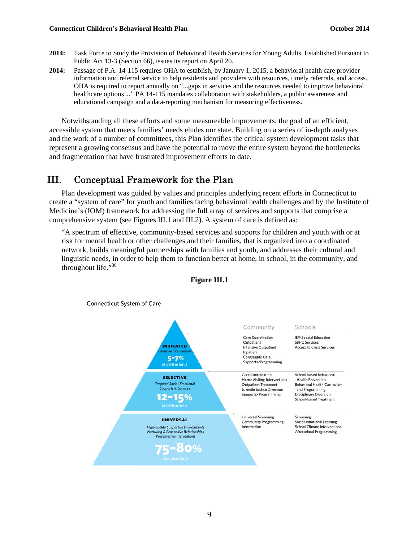- **2014:** Task Force to Study the Provision of Behavioral Health Services for Young Adults, Established Pursuant to Public Act 13-3 (Section 66), issues its report on April 20.
- **2014:** Passage of P.A. 14-115 requires OHA to establish, by January 1, 2015, a behavioral health care provider information and referral service to help residents and providers with resources, timely referrals, and access. OHA is required to report annually on "...gaps in services and the resources needed to improve behavioral healthcare options..." PA 14-115 mandates collaboration with stakeholders, a public awareness and educational campaign and a data-reporting mechanism for measuring effectiveness.

Notwithstanding all these efforts and some measureable improvements, the goal of an efficient, accessible system that meets families' needs eludes our state. Building on a series of in-depth analyses and the work of a number of committees, this Plan identifies the critical system development tasks that represent a growing consensus and have the potential to move the entire system beyond the bottlenecks and fragmentation that have frustrated improvement efforts to date.

# III. Conceptual Framework for the Plan

Plan development was guided by values and principles underlying recent efforts in Connecticut to create a "system of care" for youth and families facing behavioral health challenges and by the Institute of Medicine's (IOM) framework for addressing the full array of services and supports that comprise a comprehensive system (see Figures III.1 and III.2). A system of care is defined as:

"A spectrum of effective, community-based services and supports for children and youth with or at risk for mental health or other challenges and their families, that is organized into a coordinated network, builds meaningful partnerships with families and youth, and addresses their cultural and linguistic needs, in order to help them to function better at home, in school, in the community, and throughout life."<sup>30</sup>



**Figure III.1**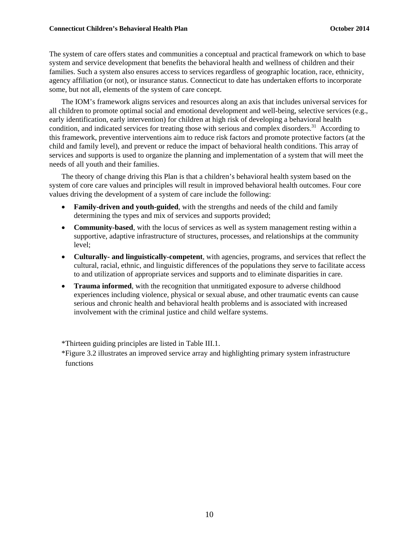The system of care offers states and communities a conceptual and practical framework on which to base system and service development that benefits the behavioral health and wellness of children and their families. Such a system also ensures access to services regardless of geographic location, race, ethnicity, agency affiliation (or not), or insurance status. Connecticut to date has undertaken efforts to incorporate some, but not all, elements of the system of care concept.

The IOM's framework aligns services and resources along an axis that includes universal services for all children to promote optimal social and emotional development and well-being, selective services (e.g., early identification, early intervention) for children at high risk of developing a behavioral health condition, and indicated services for treating those with serious and complex disorders.<sup>31</sup> According to this framework, preventive interventions aim to reduce risk factors and promote protective factors (at the child and family level), and prevent or reduce the impact of behavioral health conditions. This array of services and supports is used to organize the planning and implementation of a system that will meet the needs of all youth and their families.

The theory of change driving this Plan is that a children's behavioral health system based on the system of core care values and principles will result in improved behavioral health outcomes. Four core values driving the development of a system of care include the following:

- **Family-driven and youth-guided**, with the strengths and needs of the child and family determining the types and mix of services and supports provided;
- **Community-based**, with the locus of services as well as system management resting within a supportive, adaptive infrastructure of structures, processes, and relationships at the community level;
- **Culturally- and linguistically-competent**, with agencies, programs, and services that reflect the cultural, racial, ethnic, and linguistic differences of the populations they serve to facilitate access to and utilization of appropriate services and supports and to eliminate disparities in care.
- **Trauma informed**, with the recognition that unmitigated exposure to adverse childhood experiences including violence, physical or sexual abuse, and other traumatic events can cause serious and chronic health and behavioral health problems and is associated with increased involvement with the criminal justice and child welfare systems.

\*Thirteen guiding principles are listed in Table III.1.

\*Figure 3.2 illustrates an improved service array and highlighting primary system infrastructure functions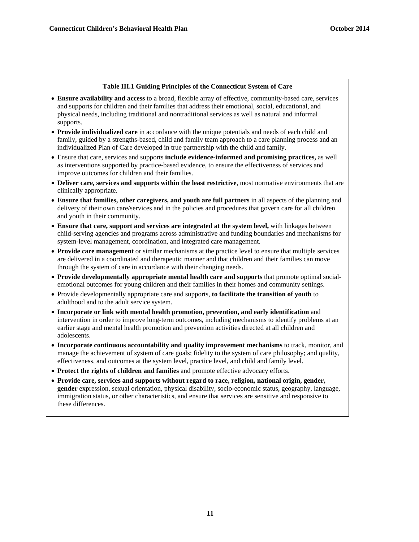#### **Table III.1 Guiding Principles of the Connecticut System of Care**

- **Ensure availability and access** to a broad, flexible array of effective, community-based care, services and supports for children and their families that address their emotional, social, educational, and physical needs, including traditional and nontraditional services as well as natural and informal supports.
- **Provide individualized care** in accordance with the unique potentials and needs of each child and family, guided by a strengths-based, child and family team approach to a care planning process and an individualized Plan of Care developed in true partnership with the child and family.
- Ensure that care, services and supports **include evidence-informed and promising practices,** as well as interventions supported by practice-based evidence, to ensure the effectiveness of services and improve outcomes for children and their families.
- **Deliver care, services and supports within the least restrictive**, most normative environments that are clinically appropriate.
- **Ensure that families, other caregivers, and youth are full partners** in all aspects of the planning and delivery of their own care/services and in the policies and procedures that govern care for all children and youth in their community.
- **Ensure that care, support and services are integrated at the system level,** with linkages between child-serving agencies and programs across administrative and funding boundaries and mechanisms for system-level management, coordination, and integrated care management.
- **Provide care management** or similar mechanisms at the practice level to ensure that multiple services are delivered in a coordinated and therapeutic manner and that children and their families can move through the system of care in accordance with their changing needs.
- **Provide developmentally appropriate mental health care and supports** that promote optimal socialemotional outcomes for young children and their families in their homes and community settings.
- Provide developmentally appropriate care and supports, **to facilitate the transition of youth** to adulthood and to the adult service system.
- **Incorporate or link with mental health promotion, prevention, and early identification** and intervention in order to improve long-term outcomes, including mechanisms to identify problems at an earlier stage and mental health promotion and prevention activities directed at all children and adolescents.
- **Incorporate continuous accountability and quality improvement mechanisms** to track, monitor, and manage the achievement of system of care goals; fidelity to the system of care philosophy; and quality, effectiveness, and outcomes at the system level, practice level, and child and family level.
- **Protect the rights of children and families** and promote effective advocacy efforts.
- **Provide care, services and supports without regard to race, religion, national origin, gender, gender** expression, sexual orientation, physical disability, socio-economic status, geography, language, immigration status, or other characteristics, and ensure that services are sensitive and responsive to these differences.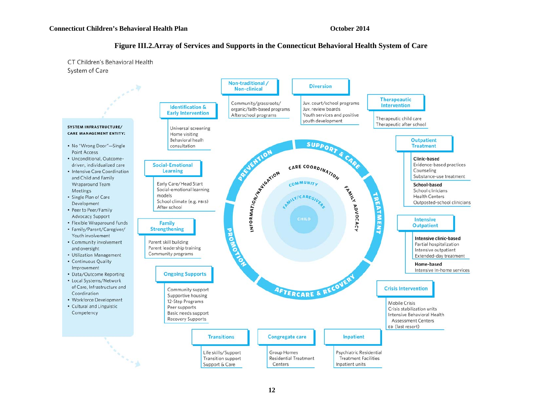#### **Figure III.2.Array of Services and Supports in the Connecticut Behavioral Health System of Care**

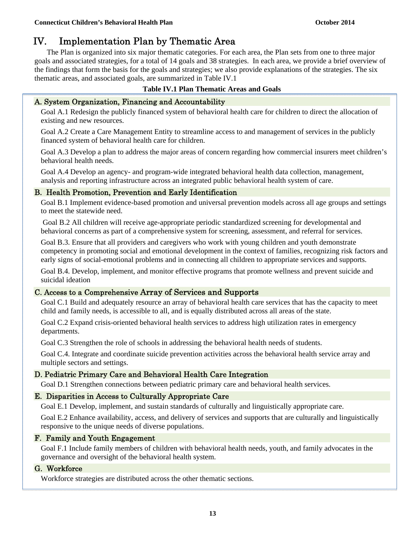# IV. Implementation Plan by Thematic Area

The Plan is organized into six major thematic categories. For each area, the Plan sets from one to three major goals and associated strategies, for a total of 14 goals and 38 strategies. In each area, we provide a brief overview of the findings that form the basis for the goals and strategies; we also provide explanations of the strategies. The six thematic areas, and associated goals, are summarized in Table IV.1

#### **Table IV.1 Plan Thematic Areas and Goals**

#### A. System Organization, Financing and Accountability

Goal A.1 Redesign the publicly financed system of behavioral health care for children to direct the allocation of existing and new resources.

Goal A.2 Create a Care Management Entity to streamline access to and management of services in the publicly financed system of behavioral health care for children.

Goal A.3 Develop a plan to address the major areas of concern regarding how commercial insurers meet children's behavioral health needs.

Goal A.4 Develop an agency- and program-wide integrated behavioral health data collection, management, analysis and reporting infrastructure across an integrated public behavioral health system of care.

#### B. Health Promotion, Prevention and Early Identification

Goal B.1 Implement evidence-based promotion and universal prevention models across all age groups and settings to meet the statewide need.

 Goal B.2 All children will receive age-appropriate periodic standardized screening for developmental and behavioral concerns as part of a comprehensive system for screening, assessment, and referral for services.

Goal B.3. Ensure that all providers and caregivers who work with young children and youth demonstrate competency in promoting social and emotional development in the context of families, recognizing risk factors and early signs of social-emotional problems and in connecting all children to appropriate services and supports.

Goal B.4. Develop, implement, and monitor effective programs that promote wellness and prevent suicide and suicidal ideation

#### C. Access to a Comprehensive Array of Services and Supports

Goal C.1 Build and adequately resource an array of behavioral health care services that has the capacity to meet child and family needs, is accessible to all, and is equally distributed across all areas of the state.

Goal C.2 Expand crisis-oriented behavioral health services to address high utilization rates in emergency departments.

Goal C.3 Strengthen the role of schools in addressing the behavioral health needs of students.

Goal C.4. Integrate and coordinate suicide prevention activities across the behavioral health service array and multiple sectors and settings.

#### D. Pediatric Primary Care and Behavioral Health Care Integration

Goal D.1 Strengthen connections between pediatric primary care and behavioral health services.

#### E. Disparities in Access to Culturally Appropriate Care

Goal E.1 Develop, implement, and sustain standards of culturally and linguistically appropriate care.

Goal E.2 Enhance availability, access, and delivery of services and supports that are culturally and linguistically responsive to the unique needs of diverse populations.

#### F. Family and Youth Engagement

Goal F.1 Include family members of children with behavioral health needs, youth, and family advocates in the governance and oversight of the behavioral health system.

#### G. Workforce

Workforce strategies are distributed across the other thematic sections.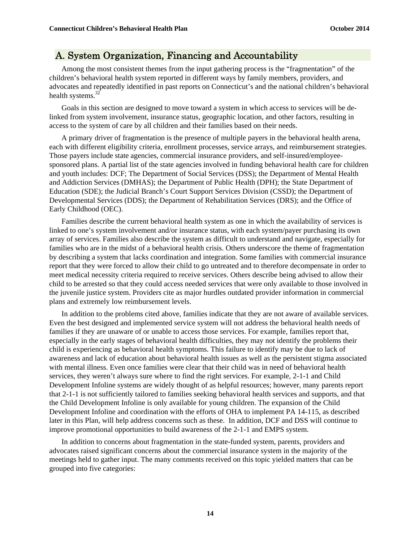### A. System Organization, Financing and Accountability

Among the most consistent themes from the input gathering process is the "fragmentation" of the children's behavioral health system reported in different ways by family members, providers, and advocates and repeatedly identified in past reports on Connecticut's and the national children's behavioral health systems. $32$ 

Goals in this section are designed to move toward a system in which access to services will be delinked from system involvement, insurance status, geographic location, and other factors, resulting in access to the system of care by all children and their families based on their needs.

A primary driver of fragmentation is the presence of multiple payers in the behavioral health arena, each with different eligibility criteria, enrollment processes, service arrays, and reimbursement strategies. Those payers include state agencies, commercial insurance providers, and self-insured/employeesponsored plans. A partial list of the state agencies involved in funding behavioral health care for children and youth includes: DCF; The Department of Social Services (DSS); the Department of Mental Health and Addiction Services (DMHAS); the Department of Public Health (DPH); the State Department of Education (SDE); the Judicial Branch's Court Support Services Division (CSSD); the Department of Developmental Services (DDS); the Department of Rehabilitation Services (DRS); and the Office of Early Childhood (OEC).

Families describe the current behavioral health system as one in which the availability of services is linked to one's system involvement and/or insurance status, with each system/payer purchasing its own array of services. Families also describe the system as difficult to understand and navigate, especially for families who are in the midst of a behavioral health crisis. Others underscore the theme of fragmentation by describing a system that lacks coordination and integration. Some families with commercial insurance report that they were forced to allow their child to go untreated and to therefore decompensate in order to meet medical necessity criteria required to receive services. Others describe being advised to allow their child to be arrested so that they could access needed services that were only available to those involved in the juvenile justice system. Providers cite as major hurdles outdated provider information in commercial plans and extremely low reimbursement levels.

In addition to the problems cited above, families indicate that they are not aware of available services. Even the best designed and implemented service system will not address the behavioral health needs of families if they are unaware of or unable to access those services. For example, families report that, especially in the early stages of behavioral health difficulties, they may not identify the problems their child is experiencing as behavioral health symptoms. This failure to identify may be due to lack of awareness and lack of education about behavioral health issues as well as the persistent stigma associated with mental illness. Even once families were clear that their child was in need of behavioral health services, they weren't always sure where to find the right services. For example, 2-1-1 and Child Development Infoline systems are widely thought of as helpful resources; however, many parents report that 2-1-1 is not sufficiently tailored to families seeking behavioral health services and supports, and that the Child Development Infoline is only available for young children. The expansion of the Child Development Infoline and coordination with the efforts of OHA to implement PA 14-115, as described later in this Plan, will help address concerns such as these. In addition, DCF and DSS will continue to improve promotional opportunities to build awareness of the 2-1-1 and EMPS system.

In addition to concerns about fragmentation in the state-funded system, parents, providers and advocates raised significant concerns about the commercial insurance system in the majority of the meetings held to gather input. The many comments received on this topic yielded matters that can be grouped into five categories: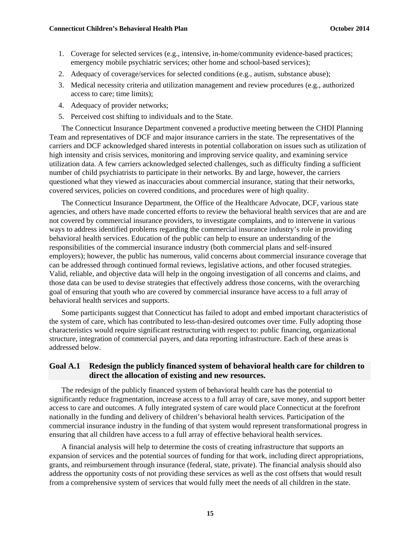- 1. Coverage for selected services (e.g., intensive, in-home/community evidence-based practices; emergency mobile psychiatric services; other home and school-based services);
- 2. Adequacy of coverage/services for selected conditions (e.g., autism, substance abuse);
- 3. Medical necessity criteria and utilization management and review procedures (e.g., authorized access to care; time limits);
- 4. Adequacy of provider networks;
- 5. Perceived cost shifting to individuals and to the State.

The Connecticut Insurance Department convened a productive meeting between the CHDI Planning Team and representatives of DCF and major insurance carriers in the state. The representatives of the carriers and DCF acknowledged shared interests in potential collaboration on issues such as utilization of high intensity and crisis services, monitoring and improving service quality, and examining service utilization data. A few carriers acknowledged selected challenges, such as difficulty finding a sufficient number of child psychiatrists to participate in their networks. By and large, however, the carriers questioned what they viewed as inaccuracies about commercial insurance, stating that their networks, covered services, policies on covered conditions, and procedures were of high quality.

The Connecticut Insurance Department, the Office of the Healthcare Advocate, DCF, various state agencies, and others have made concerted efforts to review the behavioral health services that are and are not covered by commercial insurance providers, to investigate complaints, and to intervene in various ways to address identified problems regarding the commercial insurance industry's role in providing behavioral health services. Education of the public can help to ensure an understanding of the responsibilities of the commercial insurance industry (both commercial plans and self-insured employers); however, the public has numerous, valid concerns about commercial insurance coverage that can be addressed through continued formal reviews, legislative actions, and other focused strategies. Valid, reliable, and objective data will help in the ongoing investigation of all concerns and claims, and those data can be used to devise strategies that effectively address those concerns, with the overarching goal of ensuring that youth who are covered by commercial insurance have access to a full array of behavioral health services and supports.

Some participants suggest that Connecticut has failed to adopt and embed important characteristics of the system of care, which has contributed to less-than-desired outcomes over time. Fully adopting those characteristics would require significant restructuring with respect to: public financing, organizational structure, integration of commercial payers, and data reporting infrastructure. Each of these areas is addressed below.

#### **Goal A.1 Redesign the publicly financed system of behavioral health care for children to direct the allocation of existing and new resources.**

The redesign of the publicly financed system of behavioral health care has the potential to significantly reduce fragmentation, increase access to a full array of care, save money, and support better access to care and outcomes. A fully integrated system of care would place Connecticut at the forefront nationally in the funding and delivery of children's behavioral health services. Participation of the commercial insurance industry in the funding of that system would represent transformational progress in ensuring that all children have access to a full array of effective behavioral health services.

A financial analysis will help to determine the costs of creating infrastructure that supports an expansion of services and the potential sources of funding for that work, including direct appropriations, grants, and reimbursement through insurance (federal, state, private). The financial analysis should also address the opportunity costs of not providing these services as well as the cost offsets that would result from a comprehensive system of services that would fully meet the needs of all children in the state.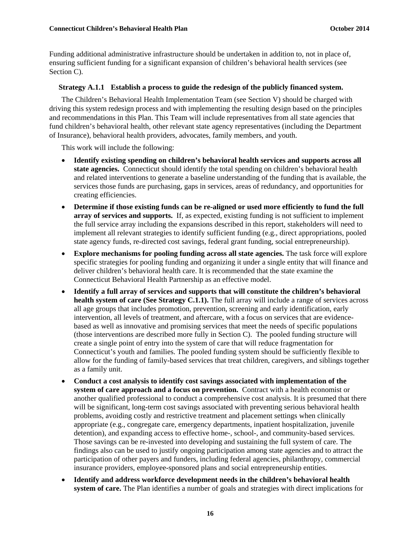Funding additional administrative infrastructure should be undertaken in addition to, not in place of, ensuring sufficient funding for a significant expansion of children's behavioral health services (see Section C).

#### **Strategy A.1.1 Establish a process to guide the redesign of the publicly financed system.**

The Children's Behavioral Health Implementation Team (see Section V) should be charged with driving this system redesign process and with implementing the resulting design based on the principles and recommendations in this Plan. This Team will include representatives from all state agencies that fund children's behavioral health, other relevant state agency representatives (including the Department of Insurance), behavioral health providers, advocates, family members, and youth.

This work will include the following:

- **Identify existing spending on children's behavioral health services and supports across all state agencies.** Connecticut should identify the total spending on children's behavioral health and related interventions to generate a baseline understanding of the funding that is available, the services those funds are purchasing, gaps in services, areas of redundancy, and opportunities for creating efficiencies.
- **Determine if those existing funds can be re-aligned or used more efficiently to fund the full array of services and supports.** If, as expected, existing funding is not sufficient to implement the full service array including the expansions described in this report, stakeholders will need to implement all relevant strategies to identify sufficient funding (e.g., direct appropriations, pooled state agency funds, re-directed cost savings, federal grant funding, social entrepreneurship).
- **Explore mechanisms for pooling funding across all state agencies.** The task force will explore specific strategies for pooling funding and organizing it under a single entity that will finance and deliver children's behavioral health care. It is recommended that the state examine the Connecticut Behavioral Health Partnership as an effective model.
- **Identify a full array of services and supports that will constitute the children's behavioral health system of care (See Strategy C.1.1).** The full array will include a range of services across all age groups that includes promotion, prevention, screening and early identification, early intervention, all levels of treatment, and aftercare, with a focus on services that are evidencebased as well as innovative and promising services that meet the needs of specific populations (those interventions are described more fully in Section C). The pooled funding structure will create a single point of entry into the system of care that will reduce fragmentation for Connecticut's youth and families. The pooled funding system should be sufficiently flexible to allow for the funding of family-based services that treat children, caregivers, and siblings together as a family unit.
- **Conduct a cost analysis to identify cost savings associated with implementation of the system of care approach and a focus on prevention.** Contract with a health economist or another qualified professional to conduct a comprehensive cost analysis. It is presumed that there will be significant, long-term cost savings associated with preventing serious behavioral health problems, avoiding costly and restrictive treatment and placement settings when clinically appropriate (e.g., congregate care, emergency departments, inpatient hospitalization, juvenile detention), and expanding access to effective home-, school-, and community-based services. Those savings can be re-invested into developing and sustaining the full system of care. The findings also can be used to justify ongoing participation among state agencies and to attract the participation of other payers and funders, including federal agencies, philanthropy, commercial insurance providers, employee-sponsored plans and social entrepreneurship entities.
- **Identify and address workforce development needs in the children's behavioral health system of care.** The Plan identifies a number of goals and strategies with direct implications for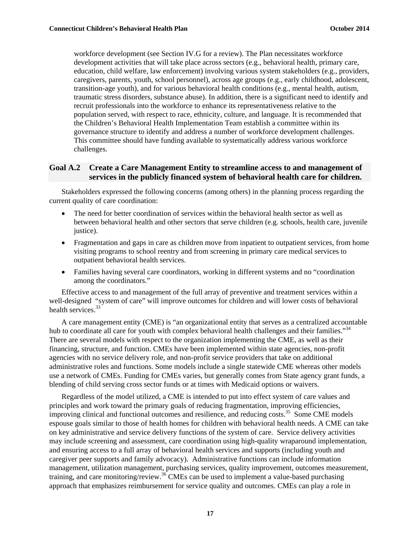workforce development (see Section IV.G for a review). The Plan necessitates workforce development activities that will take place across sectors (e.g., behavioral health, primary care, education, child welfare, law enforcement) involving various system stakeholders (e.g., providers, caregivers, parents, youth, school personnel), across age groups (e.g., early childhood, adolescent, transition-age youth), and for various behavioral health conditions (e.g., mental health, autism, traumatic stress disorders, substance abuse). In addition, there is a significant need to identify and recruit professionals into the workforce to enhance its representativeness relative to the population served, with respect to race, ethnicity, culture, and language. It is recommended that the Children's Behavioral Health Implementation Team establish a committee within its governance structure to identify and address a number of workforce development challenges. This committee should have funding available to systematically address various workforce challenges.

#### **Goal A.2 Create a Care Management Entity to streamline access to and management of services in the publicly financed system of behavioral health care for children.**

Stakeholders expressed the following concerns (among others) in the planning process regarding the current quality of care coordination:

- The need for better coordination of services within the behavioral health sector as well as between behavioral health and other sectors that serve children (e.g. schools, health care, juvenile justice).
- Fragmentation and gaps in care as children move from inpatient to outpatient services, from home visiting programs to school reentry and from screening in primary care medical services to outpatient behavioral health services.
- Families having several care coordinators, working in different systems and no "coordination among the coordinators."

Effective access to and management of the full array of preventive and treatment services within a well-designed "system of care" will improve outcomes for children and will lower costs of behavioral health services.<sup>33</sup>

A care management entity (CME) is "an organizational entity that serves as a centralized accountable hub to coordinate all care for youth with complex behavioral health challenges and their families."<sup>34</sup> There are several models with respect to the organization implementing the CME, as well as their financing, structure, and function. CMEs have been implemented within state agencies, non-profit agencies with no service delivery role, and non-profit service providers that take on additional administrative roles and functions. Some models include a single statewide CME whereas other models use a network of CMEs. Funding for CMEs varies, but generally comes from State agency grant funds, a blending of child serving cross sector funds or at times with Medicaid options or waivers.

Regardless of the model utilized, a CME is intended to put into effect system of care values and principles and work toward the primary goals of reducing fragmentation, improving efficiencies, improving clinical and functional outcomes and resilience, and reducing costs.<sup>35</sup> Some CME models espouse goals similar to those of health homes for children with behavioral health needs. A CME can take on key administrative and service delivery functions of the system of care. Service delivery activities may include screening and assessment, care coordination using high-quality wraparound implementation, and ensuring access to a full array of behavioral health services and supports (including youth and caregiver peer supports and family advocacy). Administrative functions can include information management, utilization management, purchasing services, quality improvement, outcomes measurement, training, and care monitoring/review.<sup>36</sup> CMEs can be used to implement a value-based purchasing approach that emphasizes reimbursement for service quality and outcomes. CMEs can play a role in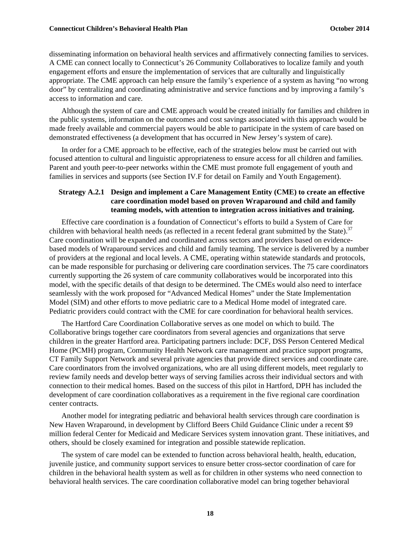#### **Connecticut Children's Behavioral Health Plan Connection Connecticut Children's Behavioral Health Plan**

disseminating information on behavioral health services and affirmatively connecting families to services. A CME can connect locally to Connecticut's 26 Community Collaboratives to localize family and youth engagement efforts and ensure the implementation of services that are culturally and linguistically appropriate. The CME approach can help ensure the family's experience of a system as having "no wrong door" by centralizing and coordinating administrative and service functions and by improving a family's access to information and care.

Although the system of care and CME approach would be created initially for families and children in the public systems, information on the outcomes and cost savings associated with this approach would be made freely available and commercial payers would be able to participate in the system of care based on demonstrated effectiveness (a development that has occurred in New Jersey's system of care).

In order for a CME approach to be effective, each of the strategies below must be carried out with focused attention to cultural and linguistic appropriateness to ensure access for all children and families. Parent and youth peer-to-peer networks within the CME must promote full engagement of youth and families in services and supports (see Section IV.F for detail on Family and Youth Engagement).

#### **Strategy A.2.1 Design and implement a Care Management Entity (CME) to create an effective care coordination model based on proven Wraparound and child and family teaming models, with attention to integration across initiatives and training.**

Effective care coordination is a foundation of Connecticut's efforts to build a System of Care for children with behavioral health needs (as reflected in a recent federal grant submitted by the State).<sup>37</sup> Care coordination will be expanded and coordinated across sectors and providers based on evidencebased models of Wraparound services and child and family teaming. The service is delivered by a number of providers at the regional and local levels. A CME, operating within statewide standards and protocols, can be made responsible for purchasing or delivering care coordination services. The 75 care coordinators currently supporting the 26 system of care community collaboratives would be incorporated into this model, with the specific details of that design to be determined. The CMEs would also need to interface seamlessly with the work proposed for "Advanced Medical Homes" under the State Implementation Model (SIM) and other efforts to move pediatric care to a Medical Home model of integrated care. Pediatric providers could contract with the CME for care coordination for behavioral health services.

The Hartford Care Coordination Collaborative serves as one model on which to build. The Collaborative brings together care coordinators from several agencies and organizations that serve children in the greater Hartford area. Participating partners include: DCF, DSS Person Centered Medical Home (PCMH) program, Community Health Network care management and practice support programs, CT Family Support Network and several private agencies that provide direct services and coordinate care. Care coordinators from the involved organizations, who are all using different models, meet regularly to review family needs and develop better ways of serving families across their individual sectors and with connection to their medical homes. Based on the success of this pilot in Hartford, DPH has included the development of care coordination collaboratives as a requirement in the five regional care coordination center contracts.

Another model for integrating pediatric and behavioral health services through care coordination is New Haven Wraparound, in development by Clifford Beers Child Guidance Clinic under a recent \$9 million federal Center for Medicaid and Medicare Services system innovation grant. These initiatives, and others, should be closely examined for integration and possible statewide replication.

The system of care model can be extended to function across behavioral health, health, education, juvenile justice, and community support services to ensure better cross-sector coordination of care for children in the behavioral health system as well as for children in other systems who need connection to behavioral health services. The care coordination collaborative model can bring together behavioral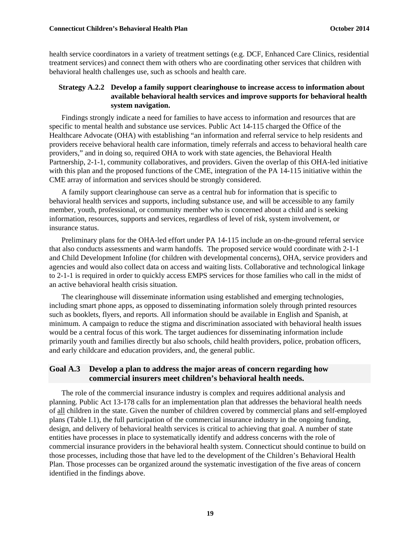health service coordinators in a variety of treatment settings (e.g. DCF, Enhanced Care Clinics, residential treatment services) and connect them with others who are coordinating other services that children with behavioral health challenges use, such as schools and health care.

#### **Strategy A.2.2 Develop a family support clearinghouse to increase access to information about available behavioral health services and improve supports for behavioral health system navigation.**

Findings strongly indicate a need for families to have access to information and resources that are specific to mental health and substance use services. Public Act 14-115 charged the Office of the Healthcare Advocate (OHA) with establishing "an information and referral service to help residents and providers receive behavioral health care information, timely referrals and access to behavioral health care providers," and in doing so, required OHA to work with state agencies, the Behavioral Health Partnership, 2-1-1, community collaboratives, and providers. Given the overlap of this OHA-led initiative with this plan and the proposed functions of the CME, integration of the PA 14-115 initiative within the CME array of information and services should be strongly considered.

A family support clearinghouse can serve as a central hub for information that is specific to behavioral health services and supports, including substance use, and will be accessible to any family member, youth, professional, or community member who is concerned about a child and is seeking information, resources, supports and services, regardless of level of risk, system involvement, or insurance status.

Preliminary plans for the OHA-led effort under PA 14-115 include an on-the-ground referral service that also conducts assessments and warm handoffs. The proposed service would coordinate with 2-1-1 and Child Development Infoline (for children with developmental concerns), OHA, service providers and agencies and would also collect data on access and waiting lists. Collaborative and technological linkage to 2-1-1 is required in order to quickly access EMPS services for those families who call in the midst of an active behavioral health crisis situation.

The clearinghouse will disseminate information using established and emerging technologies, including smart phone apps, as opposed to disseminating information solely through printed resources such as booklets, flyers, and reports. All information should be available in English and Spanish, at minimum. A campaign to reduce the stigma and discrimination associated with behavioral health issues would be a central focus of this work. The target audiences for disseminating information include primarily youth and families directly but also schools, child health providers, police, probation officers, and early childcare and education providers, and, the general public.

#### **Goal A.3 Develop a plan to address the major areas of concern regarding how commercial insurers meet children's behavioral health needs.**

The role of the commercial insurance industry is complex and requires additional analysis and planning. Public Act 13-178 calls for an implementation plan that addresses the behavioral health needs of all children in the state. Given the number of children covered by commercial plans and self-employed plans (Table I.1), the full participation of the commercial insurance industry in the ongoing funding, design, and delivery of behavioral health services is critical to achieving that goal. A number of state entities have processes in place to systematically identify and address concerns with the role of commercial insurance providers in the behavioral health system. Connecticut should continue to build on those processes, including those that have led to the development of the Children's Behavioral Health Plan. Those processes can be organized around the systematic investigation of the five areas of concern identified in the findings above.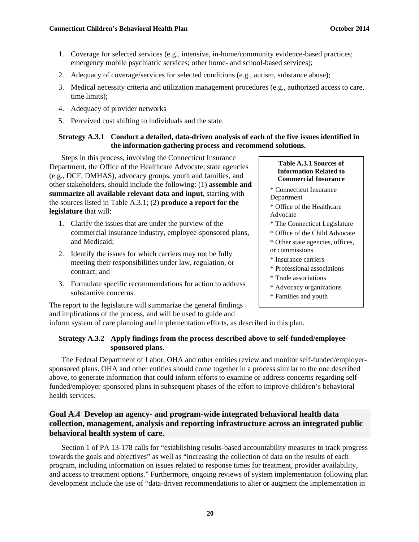- 1. Coverage for selected services (e.g., intensive, in-home/community evidence-based practices; emergency mobile psychiatric services; other home- and school-based services);
- 2. Adequacy of coverage/services for selected conditions (e.g., autism, substance abuse);
- 3. Medical necessity criteria and utilization management procedures (e.g., authorized access to care, time limits);
- 4. Adequacy of provider networks
- 5. Perceived cost shifting to individuals and the state.

#### **Strategy A.3.1 Conduct a detailed, data-driven analysis of each of the five issues identified in the information gathering process and recommend solutions.**

Steps in this process, involving the Connecticut Insurance Department, the Office of the Healthcare Advocate, state agencies (e.g., DCF, DMHAS), advocacy groups, youth and families, and other stakeholders, should include the following: (1) **assemble and summarize all available relevant data and input**, starting with the sources listed in Table A.3.1; (2) **produce a report for the legislature** that will:

- 1. Clarify the issues that are under the purview of the commercial insurance industry, employee-sponsored plans, and Medicaid;
- 2. Identify the issues for which carriers may not be fully meeting their responsibilities under law, regulation, or contract; and
- 3. Formulate specific recommendations for action to address substantive concerns.

#### **Table A.3.1 Sources of Information Related to Commercial Insurance**

- \* Connecticut Insurance Department
- \* Office of the Healthcare Advocate
- \* The Connecticut Legislature
- \* Office of the Child Advocate
- \* Other state agencies, offices,
- or commissions
- \* Insurance carriers
- \* Professional associations
- \* Trade associations
- \* Advocacy organizations
- \* Families and youth

The report to the legislature will summarize the general findings and implications of the process, and will be used to guide and

inform system of care planning and implementation efforts, as described in this plan.

#### **Strategy A.3.2 Apply findings from the process described above to self-funded/employeesponsored plans.**

The Federal Department of Labor, OHA and other entities review and monitor self-funded/employersponsored plans. OHA and other entities should come together in a process similar to the one described above, to generate information that could inform efforts to examine or address concerns regarding selffunded/employer-sponsored plans in subsequent phases of the effort to improve children's behavioral health services.

#### **Goal A.4 Develop an agency- and program-wide integrated behavioral health data collection, management, analysis and reporting infrastructure across an integrated public behavioral health system of care.**

Section 1 of PA 13-178 calls for "establishing results-based accountability measures to track progress towards the goals and objectives" as well as "increasing the collection of data on the results of each program, including information on issues related to response times for treatment, provider availability, and access to treatment options." Furthermore, ongoing reviews of system implementation following plan development include the use of "data-driven recommendations to alter or augment the implementation in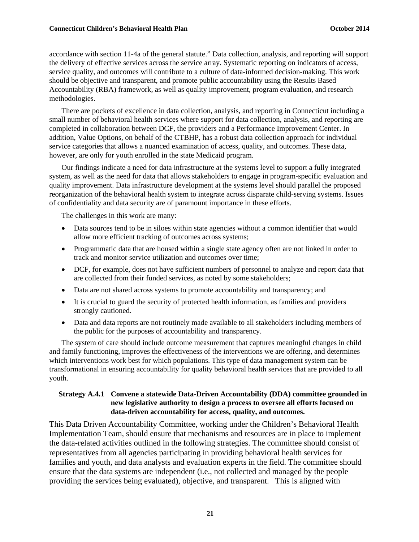accordance with section 11-4a of the general statute." Data collection, analysis, and reporting will support the delivery of effective services across the service array. Systematic reporting on indicators of access, service quality, and outcomes will contribute to a culture of data-informed decision-making. This work should be objective and transparent, and promote public accountability using the Results Based Accountability (RBA) framework, as well as quality improvement, program evaluation, and research methodologies.

There are pockets of excellence in data collection, analysis, and reporting in Connecticut including a small number of behavioral health services where support for data collection, analysis, and reporting are completed in collaboration between DCF, the providers and a Performance Improvement Center. In addition, Value Options, on behalf of the CTBHP, has a robust data collection approach for individual service categories that allows a nuanced examination of access, quality, and outcomes. These data, however, are only for youth enrolled in the state Medicaid program.

Our findings indicate a need for data infrastructure at the systems level to support a fully integrated system, as well as the need for data that allows stakeholders to engage in program-specific evaluation and quality improvement. Data infrastructure development at the systems level should parallel the proposed reorganization of the behavioral health system to integrate across disparate child-serving systems. Issues of confidentiality and data security are of paramount importance in these efforts.

The challenges in this work are many:

- Data sources tend to be in siloes within state agencies without a common identifier that would allow more efficient tracking of outcomes across systems;
- Programmatic data that are housed within a single state agency often are not linked in order to track and monitor service utilization and outcomes over time;
- DCF, for example, does not have sufficient numbers of personnel to analyze and report data that are collected from their funded services, as noted by some stakeholders;
- Data are not shared across systems to promote accountability and transparency; and
- It is crucial to guard the security of protected health information, as families and providers strongly cautioned.
- Data and data reports are not routinely made available to all stakeholders including members of the public for the purposes of accountability and transparency.

The system of care should include outcome measurement that captures meaningful changes in child and family functioning, improves the effectiveness of the interventions we are offering, and determines which interventions work best for which populations. This type of data management system can be transformational in ensuring accountability for quality behavioral health services that are provided to all youth.

#### **Strategy A.4.1 Convene a statewide Data-Driven Accountability (DDA) committee grounded in new legislative authority to design a process to oversee all efforts focused on data-driven accountability for access, quality, and outcomes.**

This Data Driven Accountability Committee, working under the Children's Behavioral Health Implementation Team, should ensure that mechanisms and resources are in place to implement the data-related activities outlined in the following strategies. The committee should consist of representatives from all agencies participating in providing behavioral health services for families and youth, and data analysts and evaluation experts in the field. The committee should ensure that the data systems are independent (i.e., not collected and managed by the people providing the services being evaluated), objective, and transparent. This is aligned with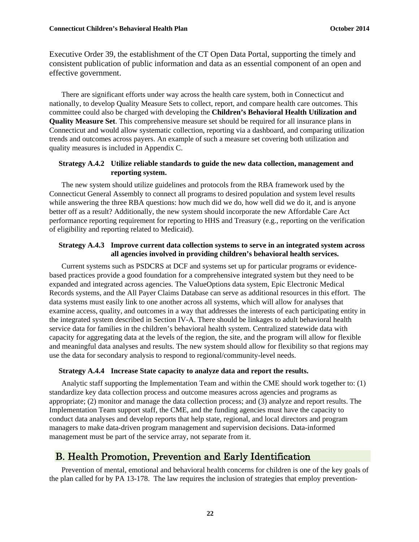Executive Order 39, the establishment of the CT Open Data Portal, supporting the timely and consistent publication of public information and data as an essential component of an open and effective government.

There are significant efforts under way across the health care system, both in Connecticut and nationally, to develop Quality Measure Sets to collect, report, and compare health care outcomes. This committee could also be charged with developing the **Children's Behavioral Health Utilization and Quality Measure Set**. This comprehensive measure set should be required for all insurance plans in Connecticut and would allow systematic collection, reporting via a dashboard, and comparing utilization trends and outcomes across payers. An example of such a measure set covering both utilization and quality measures is included in Appendix C.

#### **Strategy A.4.2 Utilize reliable standards to guide the new data collection, management and reporting system.**

The new system should utilize guidelines and protocols from the RBA framework used by the Connecticut General Assembly to connect all programs to desired population and system level results while answering the three RBA questions: how much did we do, how well did we do it, and is anyone better off as a result? Additionally, the new system should incorporate the new Affordable Care Act performance reporting requirement for reporting to HHS and Treasury (e.g., reporting on the verification of eligibility and reporting related to Medicaid).

#### **Strategy A.4.3 Improve current data collection systems to serve in an integrated system across all agencies involved in providing children's behavioral health services.**

Current systems such as PSDCRS at DCF and systems set up for particular programs or evidencebased practices provide a good foundation for a comprehensive integrated system but they need to be expanded and integrated across agencies. The ValueOptions data system, Epic Electronic Medical Records systems, and the All Payer Claims Database can serve as additional resources in this effort. The data systems must easily link to one another across all systems, which will allow for analyses that examine access, quality, and outcomes in a way that addresses the interests of each participating entity in the integrated system described in Section IV-A. There should be linkages to adult behavioral health service data for families in the children's behavioral health system. Centralized statewide data with capacity for aggregating data at the levels of the region, the site, and the program will allow for flexible and meaningful data analyses and results. The new system should allow for flexibility so that regions may use the data for secondary analysis to respond to regional/community-level needs.

#### **Strategy A.4.4 Increase State capacity to analyze data and report the results.**

Analytic staff supporting the Implementation Team and within the CME should work together to: (1) standardize key data collection process and outcome measures across agencies and programs as appropriate; (2) monitor and manage the data collection process; and (3) analyze and report results. The Implementation Team support staff, the CME, and the funding agencies must have the capacity to conduct data analyses and develop reports that help state, regional, and local directors and program managers to make data-driven program management and supervision decisions. Data-informed management must be part of the service array, not separate from it.

### B. Health Promotion, Prevention and Early Identification

Prevention of mental, emotional and behavioral health concerns for children is one of the key goals of the plan called for by PA 13-178. The law requires the inclusion of strategies that employ prevention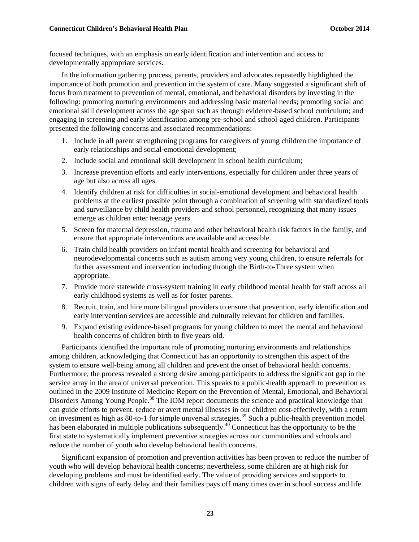focused techniques, with an emphasis on early identification and intervention and access to developmentally appropriate services.

In the information gathering process, parents, providers and advocates repeatedly highlighted the importance of both promotion and prevention in the system of care. Many suggested a significant shift of focus from treatment to prevention of mental, emotional, and behavioral disorders by investing in the following: promoting nurturing environments and addressing basic material needs; promoting social and emotional skill development across the age span such as through evidence-based school curriculum; and engaging in screening and early identification among pre-school and school-aged children. Participants presented the following concerns and associated recommendations:

- 1. Include in all parent strengthening programs for caregivers of young children the importance of early relationships and social-emotional development;
- 2. Include social and emotional skill development in school health curriculum;
- 3. Increase prevention efforts and early interventions, especially for children under three years of age but also across all ages.
- 4. Identify children at risk for difficulties in social-emotional development and behavioral health problems at the earliest possible point through a combination of screening with standardized tools and surveillance by child health providers and school personnel, recognizing that many issues emerge as children enter teenage years.
- 5. Screen for maternal depression, trauma and other behavioral health risk factors in the family, and ensure that appropriate interventions are available and accessible.
- 6. Train child health providers on infant mental health and screening for behavioral and neurodevelopmental concerns such as autism among very young children, to ensure referrals for further assessment and intervention including through the Birth-to-Three system when appropriate.
- 7. Provide more statewide cross-system training in early childhood mental health for staff across all early childhood systems as well as for foster parents.
- 8. Recruit, train, and hire more bilingual providers to ensure that prevention, early identification and early intervention services are accessible and culturally relevant for children and families.
- 9. Expand existing evidence-based programs for young children to meet the mental and behavioral health concerns of children birth to five years old.

Participants identified the important role of promoting nurturing environments and relationships among children, acknowledging that Connecticut has an opportunity to strengthen this aspect of the system to ensure well-being among all children and prevent the onset of behavioral health concerns. Furthermore, the process revealed a strong desire among participants to address the significant gap in the service array in the area of universal prevention. This speaks to a public-health approach to prevention as outlined in the 2009 Institute of Medicine Report on the Prevention of Mental, Emotional, and Behavioral Disorders Among Young People.<sup>38</sup> The IOM report documents the science and practical knowledge that can guide efforts to prevent, reduce or avert mental illnesses in our children cost-effectively, with a return on investment as high as 80-to-1 for simple universal strategies.<sup>39</sup> Such a public-health prevention model has been elaborated in multiple publications subsequently.<sup>40</sup> Connecticut has the opportunity to be the first state to systematically implement preventive strategies across our communities and schools and reduce the number of youth who develop behavioral health concerns.

Significant expansion of promotion and prevention activities has been proven to reduce the number of youth who will develop behavioral health concerns; nevertheless, some children are at high risk for developing problems and must be identified early. The value of providing services and supports to children with signs of early delay and their families pays off many times over in school success and life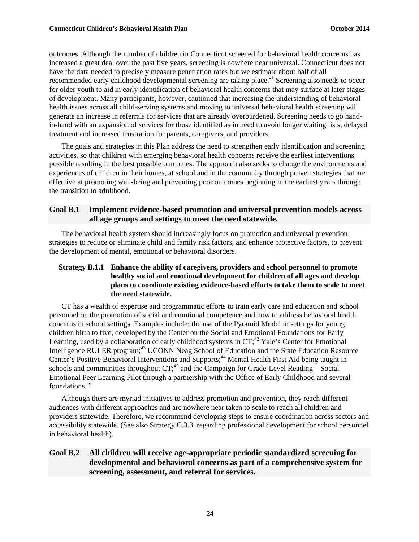outcomes. Although the number of children in Connecticut screened for behavioral health concerns has increased a great deal over the past five years, screening is nowhere near universal. Connecticut does not have the data needed to precisely measure penetration rates but we estimate about half of all recommended early childhood developmental screening are taking place.<sup>41</sup> Screening also needs to occur for older youth to aid in early identification of behavioral health concerns that may surface at later stages of development. Many participants, however, cautioned that increasing the understanding of behavioral health issues across all child-serving systems and moving to universal behavioral health screening will generate an increase in referrals for services that are already overburdened. Screening needs to go handin-hand with an expansion of services for those identified as in need to avoid longer waiting lists, delayed treatment and increased frustration for parents, caregivers, and providers.

The goals and strategies in this Plan address the need to strengthen early identification and screening activities, so that children with emerging behavioral health concerns receive the earliest interventions possible resulting in the best possible outcomes. The approach also seeks to change the environments and experiences of children in their homes, at school and in the community through proven strategies that are effective at promoting well-being and preventing poor outcomes beginning in the earliest years through the transition to adulthood.

#### **Goal B.1 Implement evidence-based promotion and universal prevention models across all age groups and settings to meet the need statewide.**

The behavioral health system should increasingly focus on promotion and universal prevention strategies to reduce or eliminate child and family risk factors, and enhance protective factors, to prevent the development of mental, emotional or behavioral disorders.

#### **Strategy B.1.1 Enhance the ability of caregivers, providers and school personnel to promote healthy social and emotional development for children of all ages and develop plans to coordinate existing evidence-based efforts to take them to scale to meet the need statewide.**

CT has a wealth of expertise and programmatic efforts to train early care and education and school personnel on the promotion of social and emotional competence and how to address behavioral health concerns in school settings. Examples include: the use of the Pyramid Model in settings for young children birth to five, developed by the Center on the Social and Emotional Foundations for Early Learning, used by a collaboration of early childhood systems in  $CT;^{42}$  Yale's Center for Emotional Intelligence RULER program;<sup>43</sup> UCONN Neag School of Education and the State Education Resource Center's Positive Behavioral Interventions and Supports;<sup>44</sup> Mental Health First Aid being taught in schools and communities throughout  $CT<sub>1</sub><sup>45</sup>$  and the Campaign for Grade-Level Reading – Social Emotional Peer Learning Pilot through a partnership with the Office of Early Childhood and several foundations.46

Although there are myriad initiatives to address promotion and prevention, they reach different audiences with different approaches and are nowhere near taken to scale to reach all children and providers statewide. Therefore, we recommend developing steps to ensure coordination across sectors and accessibility statewide. (See also Strategy C.3.3. regarding professional development for school personnel in behavioral health).

#### **Goal B.2 All children will receive age-appropriate periodic standardized screening for developmental and behavioral concerns as part of a comprehensive system for screening, assessment, and referral for services.**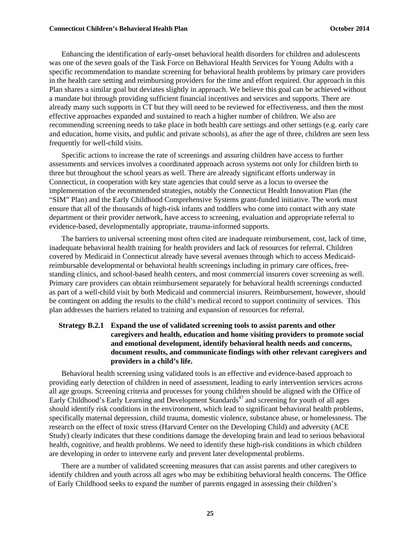Enhancing the identification of early-onset behavioral health disorders for children and adolescents was one of the seven goals of the Task Force on Behavioral Health Services for Young Adults with a specific recommendation to mandate screening for behavioral health problems by primary care providers in the health care setting and reimbursing providers for the time and effort required. Our approach in this Plan shares a similar goal but deviates slightly in approach. We believe this goal can be achieved without a mandate but through providing sufficient financial incentives and services and supports. There are already many such supports in CT but they will need to be reviewed for effectiveness, and then the most effective approaches expanded and sustained to reach a higher number of children. We also are recommending screening needs to take place in both health care settings and other settings (e.g. early care and education, home visits, and public and private schools), as after the age of three, children are seen less frequently for well-child visits.

Specific actions to increase the rate of screenings and assuring children have access to further assessments and services involves a coordinated approach across systems not only for children birth to three but throughout the school years as well. There are already significant efforts underway in Connecticut, in cooperation with key state agencies that could serve as a locus to oversee the implementation of the recommended strategies, notably the Connecticut Health Innovation Plan (the "SIM" Plan) and the Early Childhood Comprehensive Systems grant-funded initiative. The work must ensure that all of the thousands of high-risk infants and toddlers who come into contact with any state department or their provider network, have access to screening, evaluation and appropriate referral to evidence-based, developmentally appropriate, trauma-informed supports.

The barriers to universal screening most often cited are inadequate reimbursement, cost, lack of time, inadequate behavioral health training for health providers and lack of resources for referral. Children covered by Medicaid in Connecticut already have several avenues through which to access Medicaidreimbursable developmental or behavioral health screenings including in primary care offices, freestanding clinics, and school-based health centers, and most commercial insurers cover screening as well. Primary care providers can obtain reimbursement separately for behavioral health screenings conducted as part of a well-child visit by both Medicaid and commercial insurers. Reimbursement, however, should be contingent on adding the results to the child's medical record to support continuity of services. This plan addresses the barriers related to training and expansion of resources for referral.

#### **Strategy B.2.1 Expand the use of validated screening tools to assist parents and other caregivers and health, education and home visiting providers to promote social and emotional development, identify behavioral health needs and concerns, document results, and communicate findings with other relevant caregivers and providers in a child's life.**

Behavioral health screening using validated tools is an effective and evidence-based approach to providing early detection of children in need of assessment, leading to early intervention services across all age groups. Screening criteria and processes for young children should be aligned with the Office of Early Childhood's Early Learning and Development Standards<sup> $47$ </sup> and screening for youth of all ages should identify risk conditions in the environment, which lead to significant behavioral health problems, specifically maternal depression, child trauma, domestic violence, substance abuse, or homelessness. The research on the effect of toxic stress (Harvard Center on the Developing Child) and adversity (ACE Study) clearly indicates that these conditions damage the developing brain and lead to serious behavioral health, cognitive, and health problems. We need to identify these high-risk conditions in which children are developing in order to intervene early and prevent later developmental problems.

There are a number of validated screening measures that can assist parents and other caregivers to identify children and youth across all ages who may be exhibiting behavioral health concerns. The Office of Early Childhood seeks to expand the number of parents engaged in assessing their children's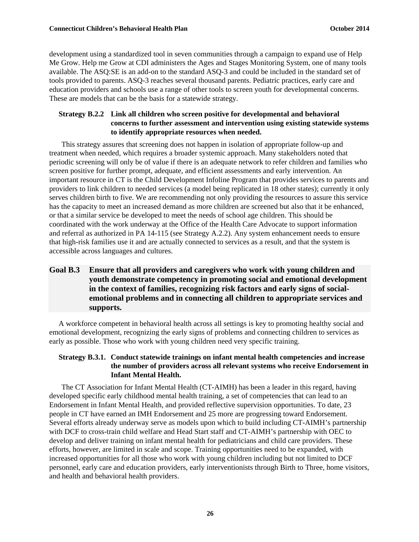development using a standardized tool in seven communities through a campaign to expand use of Help Me Grow. Help me Grow at CDI administers the Ages and Stages Monitoring System, one of many tools available. The ASQ:SE is an add-on to the standard ASQ-3 and could be included in the standard set of tools provided to parents. ASQ-3 reaches several thousand parents. Pediatric practices, early care and education providers and schools use a range of other tools to screen youth for developmental concerns. These are models that can be the basis for a statewide strategy.

#### **Strategy B.2.2 Link all children who screen positive for developmental and behavioral concerns to further assessment and intervention using existing statewide systems to identify appropriate resources when needed.**

This strategy assures that screening does not happen in isolation of appropriate follow-up and treatment when needed, which requires a broader systemic approach. Many stakeholders noted that periodic screening will only be of value if there is an adequate network to refer children and families who screen positive for further prompt, adequate, and efficient assessments and early intervention. An important resource in CT is the Child Development Infoline Program that provides services to parents and providers to link children to needed services (a model being replicated in 18 other states); currently it only serves children birth to five. We are recommending not only providing the resources to assure this service has the capacity to meet an increased demand as more children are screened but also that it be enhanced, or that a similar service be developed to meet the needs of school age children. This should be coordinated with the work underway at the Office of the Health Care Advocate to support information and referral as authorized in PA 14-115 (see Strategy A.2.2). Any system enhancement needs to ensure that high-risk families use it and are actually connected to services as a result, and that the system is accessible across languages and cultures.

#### **Goal B.3 Ensure that all providers and caregivers who work with young children and youth demonstrate competency in promoting social and emotional development in the context of families, recognizing risk factors and early signs of socialemotional problems and in connecting all children to appropriate services and supports.**

A workforce competent in behavioral health across all settings is key to promoting healthy social and emotional development, recognizing the early signs of problems and connecting children to services as early as possible. Those who work with young children need very specific training.

#### **Strategy B.3.1. Conduct statewide trainings on infant mental health competencies and increase the number of providers across all relevant systems who receive Endorsement in Infant Mental Health.**

The CT Association for Infant Mental Health (CT-AIMH) has been a leader in this regard, having developed specific early childhood mental health training, a set of competencies that can lead to an Endorsement in Infant Mental Health, and provided reflective supervision opportunities. To date, 23 people in CT have earned an IMH Endorsement and 25 more are progressing toward Endorsement. Several efforts already underway serve as models upon which to build including CT-AIMH's partnership with DCF to cross-train child welfare and Head Start staff and CT-AIMH's partnership with OEC to develop and deliver training on infant mental health for pediatricians and child care providers. These efforts, however, are limited in scale and scope. Training opportunities need to be expanded, with increased opportunities for all those who work with young children including but not limited to DCF personnel, early care and education providers, early interventionists through Birth to Three, home visitors, and health and behavioral health providers.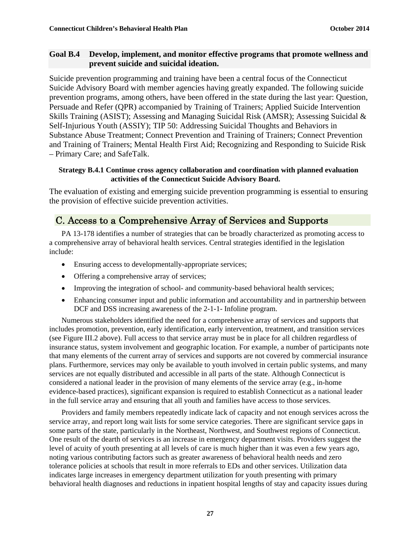#### **Goal B.4 Develop, implement, and monitor effective programs that promote wellness and prevent suicide and suicidal ideation.**

Suicide prevention programming and training have been a central focus of the Connecticut Suicide Advisory Board with member agencies having greatly expanded. The following suicide prevention programs, among others, have been offered in the state during the last year: Question, Persuade and Refer (QPR) accompanied by Training of Trainers; Applied Suicide Intervention Skills Training (ASIST); Assessing and Managing Suicidal Risk (AMSR); Assessing Suicidal & Self-Injurious Youth (ASSIY); TIP 50: Addressing Suicidal Thoughts and Behaviors in Substance Abuse Treatment; Connect Prevention and Training of Trainers; Connect Prevention and Training of Trainers; Mental Health First Aid; Recognizing and Responding to Suicide Risk – Primary Care; and SafeTalk.

#### **Strategy B.4.1 Continue cross agency collaboration and coordination with planned evaluation activities of the Connecticut Suicide Advisory Board.**

The evaluation of existing and emerging suicide prevention programming is essential to ensuring the provision of effective suicide prevention activities.

# C. Access to a Comprehensive Array of Services and Supports

PA 13-178 identifies a number of strategies that can be broadly characterized as promoting access to a comprehensive array of behavioral health services. Central strategies identified in the legislation include:

- Ensuring access to developmentally-appropriate services;
- Offering a comprehensive array of services;
- Improving the integration of school- and community-based behavioral health services;
- Enhancing consumer input and public information and accountability and in partnership between DCF and DSS increasing awareness of the 2-1-1- Infoline program.

Numerous stakeholders identified the need for a comprehensive array of services and supports that includes promotion, prevention, early identification, early intervention, treatment, and transition services (see Figure III.2 above). Full access to that service array must be in place for all children regardless of insurance status, system involvement and geographic location. For example, a number of participants note that many elements of the current array of services and supports are not covered by commercial insurance plans. Furthermore, services may only be available to youth involved in certain public systems, and many services are not equally distributed and accessible in all parts of the state. Although Connecticut is considered a national leader in the provision of many elements of the service array (e.g., in-home evidence-based practices), significant expansion is required to establish Connecticut as a national leader in the full service array and ensuring that all youth and families have access to those services.

Providers and family members repeatedly indicate lack of capacity and not enough services across the service array, and report long wait lists for some service categories. There are significant service gaps in some parts of the state, particularly in the Northeast, Northwest, and Southwest regions of Connecticut. One result of the dearth of services is an increase in emergency department visits. Providers suggest the level of acuity of youth presenting at all levels of care is much higher than it was even a few years ago, noting various contributing factors such as greater awareness of behavioral health needs and zero tolerance policies at schools that result in more referrals to EDs and other services. Utilization data indicates large increases in emergency department utilization for youth presenting with primary behavioral health diagnoses and reductions in inpatient hospital lengths of stay and capacity issues during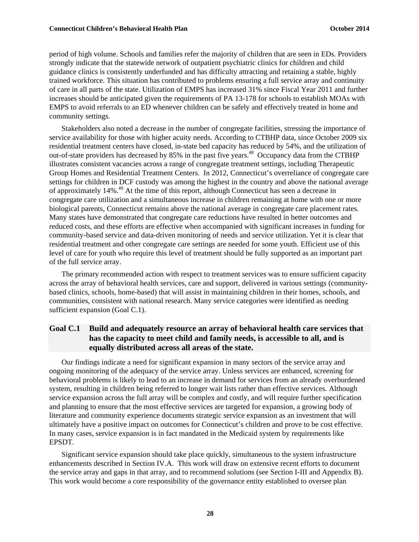period of high volume. Schools and families refer the majority of children that are seen in EDs. Providers strongly indicate that the statewide network of outpatient psychiatric clinics for children and child guidance clinics is consistently underfunded and has difficulty attracting and retaining a stable, highly trained workforce. This situation has contributed to problems ensuring a full service array and continuity of care in all parts of the state. Utilization of EMPS has increased 31% since Fiscal Year 2011 and further increases should be anticipated given the requirements of PA 13-178 for schools to establish MOAs with EMPS to avoid referrals to an ED whenever children can be safely and effectively treated in home and community settings.

Stakeholders also noted a decrease in the number of congregate facilities, stressing the importance of service availability for those with higher acuity needs. According to CTBHP data, since October 2009 six residential treatment centers have closed, in-state bed capacity has reduced by 54%, and the utilization of out-of-state providers has decreased by 85% in the past five years.<sup>48</sup> Occupancy data from the CTBHP illustrates consistent vacancies across a range of congregate treatment settings, including Therapeutic Group Homes and Residential Treatment Centers. In 2012, Connecticut's overreliance of congregate care settings for children in DCF custody was among the highest in the country and above the national average of approximately  $14\%$ .<sup>49</sup> At the time of this report, although Connecticut has seen a decrease in congregate care utilization and a simultaneous increase in children remaining at home with one or more biological parents, Connecticut remains above the national average in congregate care placement rates. Many states have demonstrated that congregate care reductions have resulted in better outcomes and reduced costs, and these efforts are effective when accompanied with significant increases in funding for community-based service and data-driven monitoring of needs and service utilization. Yet it is clear that residential treatment and other congregate care settings are needed for some youth. Efficient use of this level of care for youth who require this level of treatment should be fully supported as an important part of the full service array.

The primary recommended action with respect to treatment services was to ensure sufficient capacity across the array of behavioral health services, care and support, delivered in various settings (communitybased clinics, schools, home-based) that will assist in maintaining children in their homes, schools, and communities, consistent with national research. Many service categories were identified as needing sufficient expansion (Goal C.1).

#### **Goal C.1 Build and adequately resource an array of behavioral health care services that has the capacity to meet child and family needs, is accessible to all, and is equally distributed across all areas of the state.**

Our findings indicate a need for significant expansion in many sectors of the service array and ongoing monitoring of the adequacy of the service array. Unless services are enhanced, screening for behavioral problems is likely to lead to an increase in demand for services from an already overburdened system, resulting in children being referred to longer wait lists rather than effective services. Although service expansion across the full array will be complex and costly, and will require further specification and planning to ensure that the most effective services are targeted for expansion, a growing body of literature and community experience documents strategic service expansion as an investment that will ultimately have a positive impact on outcomes for Connecticut's children and prove to be cost effective. In many cases, service expansion is in fact mandated in the Medicaid system by requirements like EPSDT.

Significant service expansion should take place quickly, simultaneous to the system infrastructure enhancements described in Section IV.A. This work will draw on extensive recent efforts to document the service array and gaps in that array, and to recommend solutions (see Section I-III and Appendix B). This work would become a core responsibility of the governance entity established to oversee plan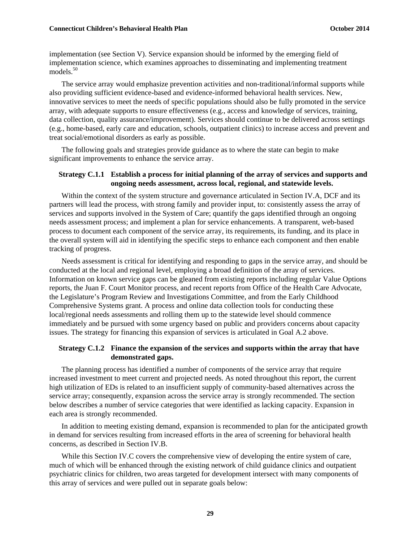implementation (see Section V). Service expansion should be informed by the emerging field of implementation science, which examines approaches to disseminating and implementing treatment models.<sup>50</sup>

The service array would emphasize prevention activities and non-traditional/informal supports while also providing sufficient evidence-based and evidence-informed behavioral health services. New, innovative services to meet the needs of specific populations should also be fully promoted in the service array, with adequate supports to ensure effectiveness (e.g., access and knowledge of services, training, data collection, quality assurance/improvement). Services should continue to be delivered across settings (e.g., home-based, early care and education, schools, outpatient clinics) to increase access and prevent and treat social/emotional disorders as early as possible.

The following goals and strategies provide guidance as to where the state can begin to make significant improvements to enhance the service array.

#### **Strategy C.1.1 Establish a process for initial planning of the array of services and supports and ongoing needs assessment, across local, regional, and statewide levels.**

Within the context of the system structure and governance articulated in Section IV.A, DCF and its partners will lead the process, with strong family and provider input, to: consistently assess the array of services and supports involved in the System of Care; quantify the gaps identified through an ongoing needs assessment process; and implement a plan for service enhancements. A transparent, web-based process to document each component of the service array, its requirements, its funding, and its place in the overall system will aid in identifying the specific steps to enhance each component and then enable tracking of progress.

Needs assessment is critical for identifying and responding to gaps in the service array, and should be conducted at the local and regional level, employing a broad definition of the array of services. Information on known service gaps can be gleaned from existing reports including regular Value Options reports, the Juan F. Court Monitor process, and recent reports from Office of the Health Care Advocate, the Legislature's Program Review and Investigations Committee, and from the Early Childhood Comprehensive Systems grant. A process and online data collection tools for conducting these local/regional needs assessments and rolling them up to the statewide level should commence immediately and be pursued with some urgency based on public and providers concerns about capacity issues. The strategy for financing this expansion of services is articulated in Goal A.2 above.

#### **Strategy C.1.2 Finance the expansion of the services and supports within the array that have demonstrated gaps.**

The planning process has identified a number of components of the service array that require increased investment to meet current and projected needs. As noted throughout this report, the current high utilization of EDs is related to an insufficient supply of community-based alternatives across the service array; consequently, expansion across the service array is strongly recommended. The section below describes a number of service categories that were identified as lacking capacity. Expansion in each area is strongly recommended.

In addition to meeting existing demand, expansion is recommended to plan for the anticipated growth in demand for services resulting from increased efforts in the area of screening for behavioral health concerns, as described in Section IV.B.

While this Section IV.C covers the comprehensive view of developing the entire system of care, much of which will be enhanced through the existing network of child guidance clinics and outpatient psychiatric clinics for children, two areas targeted for development intersect with many components of this array of services and were pulled out in separate goals below: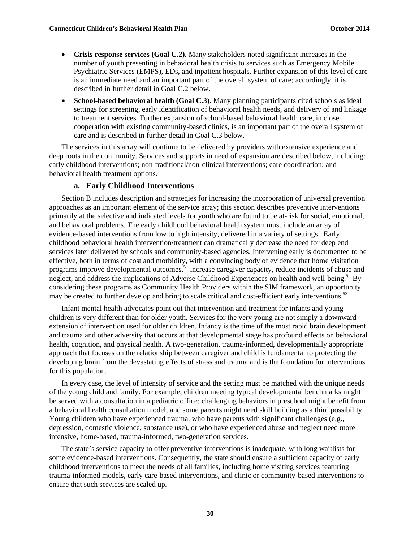- **Crisis response services (Goal C.2).** Many stakeholders noted significant increases in the number of youth presenting in behavioral health crisis to services such as Emergency Mobile Psychiatric Services (EMPS), EDs, and inpatient hospitals. Further expansion of this level of care is an immediate need and an important part of the overall system of care; accordingly, it is described in further detail in Goal C.2 below.
- **School-based behavioral health (Goal C.3)**. Many planning participants cited schools as ideal settings for screening, early identification of behavioral health needs, and delivery of and linkage to treatment services. Further expansion of school-based behavioral health care, in close cooperation with existing community-based clinics, is an important part of the overall system of care and is described in further detail in Goal C.3 below.

The services in this array will continue to be delivered by providers with extensive experience and deep roots in the community. Services and supports in need of expansion are described below, including: early childhood interventions; non-traditional/non-clinical interventions; care coordination; and behavioral health treatment options.

#### **a. Early Childhood Interventions**

Section B includes description and strategies for increasing the incorporation of universal prevention approaches as an important element of the service array; this section describes preventive interventions primarily at the selective and indicated levels for youth who are found to be at-risk for social, emotional, and behavioral problems. The early childhood behavioral health system must include an array of evidence-based interventions from low to high intensity, delivered in a variety of settings. Early childhood behavioral health intervention/treatment can dramatically decrease the need for deep end services later delivered by schools and community-based agencies. Intervening early is documented to be effective, both in terms of cost and morbidity, with a convincing body of evidence that home visitation programs improve developmental outcomes,<sup>51</sup> increase caregiver capacity, reduce incidents of abuse and neglect, and address the implications of Adverse Childhood Experiences on health and well-being.<sup>52</sup> By considering these programs as Community Health Providers within the SIM framework, an opportunity may be created to further develop and bring to scale critical and cost-efficient early interventions.<sup>53</sup>

Infant mental health advocates point out that intervention and treatment for infants and young children is very different than for older youth. Services for the very young are not simply a downward extension of intervention used for older children. Infancy is the time of the most rapid brain development and trauma and other adversity that occurs at that developmental stage has profound effects on behavioral health, cognition, and physical health. A two-generation, trauma-informed, developmentally appropriate approach that focuses on the relationship between caregiver and child is fundamental to protecting the developing brain from the devastating effects of stress and trauma and is the foundation for interventions for this population.

In every case, the level of intensity of service and the setting must be matched with the unique needs of the young child and family. For example, children meeting typical developmental benchmarks might be served with a consultation in a pediatric office; challenging behaviors in preschool might benefit from a behavioral health consultation model; and some parents might need skill building as a third possibility. Young children who have experienced trauma, who have parents with significant challenges (e.g., depression, domestic violence, substance use), or who have experienced abuse and neglect need more intensive, home-based, trauma-informed, two-generation services.

The state's service capacity to offer preventive interventions is inadequate, with long waitlists for some evidence-based interventions. Consequently, the state should ensure a sufficient capacity of early childhood interventions to meet the needs of all families, including home visiting services featuring trauma-informed models, early care-based interventions, and clinic or community-based interventions to ensure that such services are scaled up.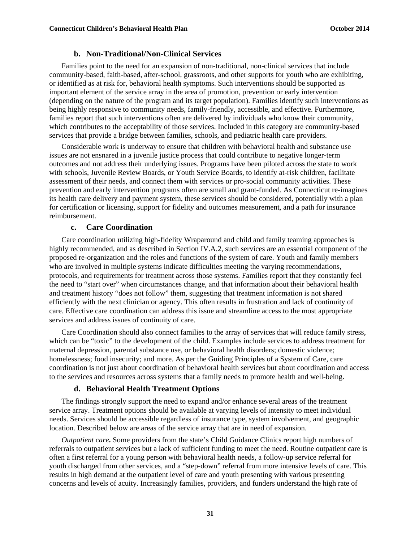#### **b. Non-Traditional/Non-Clinical Services**

Families point to the need for an expansion of non-traditional, non-clinical services that include community-based, faith-based, after-school, grassroots, and other supports for youth who are exhibiting, or identified as at risk for, behavioral health symptoms. Such interventions should be supported as important element of the service array in the area of promotion, prevention or early intervention (depending on the nature of the program and its target population). Families identify such interventions as being highly responsive to community needs, family-friendly, accessible, and effective. Furthermore, families report that such interventions often are delivered by individuals who know their community, which contributes to the acceptability of those services. Included in this category are community-based services that provide a bridge between families, schools, and pediatric health care providers.

Considerable work is underway to ensure that children with behavioral health and substance use issues are not ensnared in a juvenile justice process that could contribute to negative longer-term outcomes and not address their underlying issues. Programs have been piloted across the state to work with schools, Juvenile Review Boards, or Youth Service Boards, to identify at-risk children, facilitate assessment of their needs, and connect them with services or pro-social community activities. These prevention and early intervention programs often are small and grant-funded. As Connecticut re-imagines its health care delivery and payment system, these services should be considered, potentially with a plan for certification or licensing, support for fidelity and outcomes measurement, and a path for insurance reimbursement.

#### **c. Care Coordination**

Care coordination utilizing high-fidelity Wraparound and child and family teaming approaches is highly recommended, and as described in Section IV.A.2, such services are an essential component of the proposed re-organization and the roles and functions of the system of care. Youth and family members who are involved in multiple systems indicate difficulties meeting the varying recommendations, protocols, and requirements for treatment across those systems. Families report that they constantly feel the need to "start over" when circumstances change, and that information about their behavioral health and treatment history "does not follow" them, suggesting that treatment information is not shared efficiently with the next clinician or agency. This often results in frustration and lack of continuity of care. Effective care coordination can address this issue and streamline access to the most appropriate services and address issues of continuity of care.

Care Coordination should also connect families to the array of services that will reduce family stress, which can be "toxic" to the development of the child. Examples include services to address treatment for maternal depression, parental substance use, or behavioral health disorders; domestic violence; homelessness; food insecurity; and more. As per the Guiding Principles of a System of Care, care coordination is not just about coordination of behavioral health services but about coordination and access to the services and resources across systems that a family needs to promote health and well-being.

#### **d. Behavioral Health Treatment Options**

The findings strongly support the need to expand and/or enhance several areas of the treatment service array. Treatment options should be available at varying levels of intensity to meet individual needs. Services should be accessible regardless of insurance type, system involvement, and geographic location. Described below are areas of the service array that are in need of expansion.

*Outpatient care***.** Some providers from the state's Child Guidance Clinics report high numbers of referrals to outpatient services but a lack of sufficient funding to meet the need. Routine outpatient care is often a first referral for a young person with behavioral health needs, a follow-up service referral for youth discharged from other services, and a "step-down" referral from more intensive levels of care. This results in high demand at the outpatient level of care and youth presenting with various presenting concerns and levels of acuity. Increasingly families, providers, and funders understand the high rate of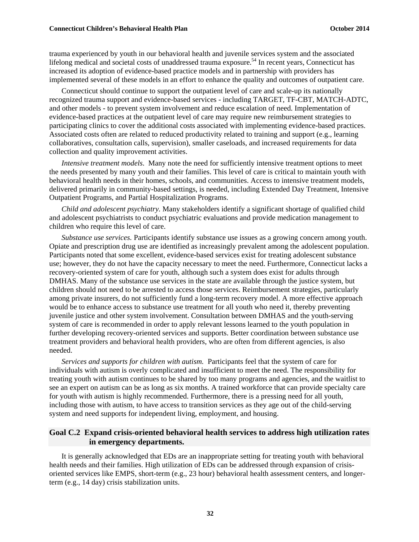trauma experienced by youth in our behavioral health and juvenile services system and the associated lifelong medical and societal costs of unaddressed trauma exposure.<sup>54</sup> In recent years, Connecticut has increased its adoption of evidence-based practice models and in partnership with providers has implemented several of these models in an effort to enhance the quality and outcomes of outpatient care.

Connecticut should continue to support the outpatient level of care and scale-up its nationally recognized trauma support and evidence-based services - including TARGET, TF-CBT, MATCH-ADTC, and other models - to prevent system involvement and reduce escalation of need. Implementation of evidence-based practices at the outpatient level of care may require new reimbursement strategies to participating clinics to cover the additional costs associated with implementing evidence-based practices. Associated costs often are related to reduced productivity related to training and support (e.g., learning collaboratives, consultation calls, supervision), smaller caseloads, and increased requirements for data collection and quality improvement activities.

*Intensive treatment models*. Many note the need for sufficiently intensive treatment options to meet the needs presented by many youth and their families. This level of care is critical to maintain youth with behavioral health needs in their homes, schools, and communities. Access to intensive treatment models, delivered primarily in community-based settings, is needed, including Extended Day Treatment, Intensive Outpatient Programs, and Partial Hospitalization Programs.

*Child and adolescent psychiatry.* Many stakeholders identify a significant shortage of qualified child and adolescent psychiatrists to conduct psychiatric evaluations and provide medication management to children who require this level of care.

*Substance use services.* Participants identify substance use issues as a growing concern among youth. Opiate and prescription drug use are identified as increasingly prevalent among the adolescent population. Participants noted that some excellent, evidence-based services exist for treating adolescent substance use; however, they do not have the capacity necessary to meet the need. Furthermore, Connecticut lacks a recovery-oriented system of care for youth, although such a system does exist for adults through DMHAS. Many of the substance use services in the state are available through the justice system, but children should not need to be arrested to access those services. Reimbursement strategies, particularly among private insurers, do not sufficiently fund a long-term recovery model. A more effective approach would be to enhance access to substance use treatment for all youth who need it, thereby preventing juvenile justice and other system involvement. Consultation between DMHAS and the youth-serving system of care is recommended in order to apply relevant lessons learned to the youth population in further developing recovery-oriented services and supports. Better coordination between substance use treatment providers and behavioral health providers, who are often from different agencies, is also needed.

*Services and supports for children with autism.*Participants feel that the system of care for individuals with autism is overly complicated and insufficient to meet the need. The responsibility for treating youth with autism continues to be shared by too many programs and agencies, and the waitlist to see an expert on autism can be as long as six months. A trained workforce that can provide specialty care for youth with autism is highly recommended. Furthermore, there is a pressing need for all youth, including those with autism, to have access to transition services as they age out of the child-serving system and need supports for independent living, employment, and housing.

#### **Goal C.2 Expand crisis-oriented behavioral health services to address high utilization rates in emergency departments.**

It is generally acknowledged that EDs are an inappropriate setting for treating youth with behavioral health needs and their families. High utilization of EDs can be addressed through expansion of crisisoriented services like EMPS, short-term (e.g., 23 hour) behavioral health assessment centers, and longerterm (e.g., 14 day) crisis stabilization units.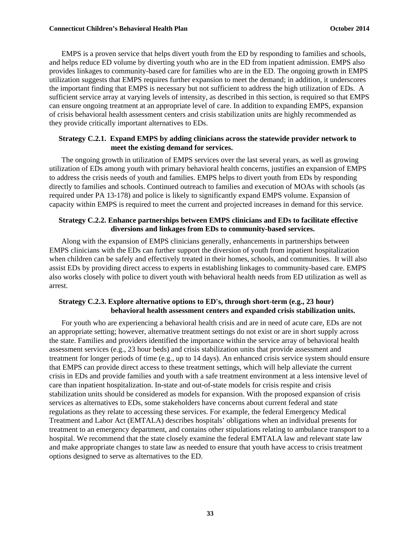EMPS is a proven service that helps divert youth from the ED by responding to families and schools, and helps reduce ED volume by diverting youth who are in the ED from inpatient admission. EMPS also provides linkages to community-based care for families who are in the ED. The ongoing growth in EMPS utilization suggests that EMPS requires further expansion to meet the demand; in addition, it underscores the important finding that EMPS is necessary but not sufficient to address the high utilization of EDs. A sufficient service array at varying levels of intensity, as described in this section, is required so that EMPS can ensure ongoing treatment at an appropriate level of care. In addition to expanding EMPS, expansion of crisis behavioral health assessment centers and crisis stabilization units are highly recommended as they provide critically important alternatives to EDs.

#### **Strategy C.2.1. Expand EMPS by adding clinicians across the statewide provider network to meet the existing demand for services.**

The ongoing growth in utilization of EMPS services over the last several years, as well as growing utilization of EDs among youth with primary behavioral health concerns, justifies an expansion of EMPS to address the crisis needs of youth and families. EMPS helps to divert youth from EDs by responding directly to families and schools. Continued outreach to families and execution of MOAs with schools (as required under PA 13-178) and police is likely to significantly expand EMPS volume. Expansion of capacity within EMPS is required to meet the current and projected increases in demand for this service.

#### **Strategy C.2.2. Enhance partnerships between EMPS clinicians and EDs to facilitate effective diversions and linkages from EDs to community-based services.**

Along with the expansion of EMPS clinicians generally, enhancements in partnerships between EMPS clinicians with the EDs can further support the diversion of youth from inpatient hospitalization when children can be safely and effectively treated in their homes, schools, and communities. It will also assist EDs by providing direct access to experts in establishing linkages to community-based care. EMPS also works closely with police to divert youth with behavioral health needs from ED utilization as well as arrest.

#### **Strategy C.2.3. Explore alternative options to ED's, through short-term (e.g., 23 hour) behavioral health assessment centers and expanded crisis stabilization units.**

For youth who are experiencing a behavioral health crisis and are in need of acute care, EDs are not an appropriate setting; however, alternative treatment settings do not exist or are in short supply across the state. Families and providers identified the importance within the service array of behavioral health assessment services (e.g., 23 hour beds) and crisis stabilization units that provide assessment and treatment for longer periods of time (e.g., up to 14 days). An enhanced crisis service system should ensure that EMPS can provide direct access to these treatment settings, which will help alleviate the current crisis in EDs and provide families and youth with a safe treatment environment at a less intensive level of care than inpatient hospitalization. In-state and out-of-state models for crisis respite and crisis stabilization units should be considered as models for expansion. With the proposed expansion of crisis services as alternatives to EDs, some stakeholders have concerns about current federal and state regulations as they relate to accessing these services. For example, the federal Emergency Medical Treatment and Labor Act (EMTALA) describes hospitals' obligations when an individual presents for treatment to an emergency department, and contains other stipulations relating to ambulance transport to a hospital. We recommend that the state closely examine the federal EMTALA law and relevant state law and make appropriate changes to state law as needed to ensure that youth have access to crisis treatment options designed to serve as alternatives to the ED.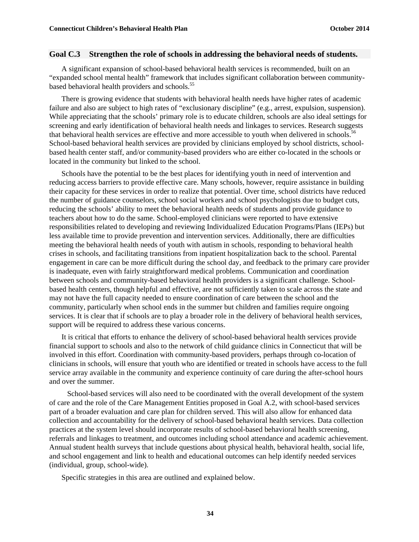#### **Goal C.3 Strengthen the role of schools in addressing the behavioral needs of students.**

A significant expansion of school-based behavioral health services is recommended, built on an "expanded school mental health" framework that includes significant collaboration between communitybased behavioral health providers and schools.<sup>55</sup>

There is growing evidence that students with behavioral health needs have higher rates of academic failure and also are subject to high rates of "exclusionary discipline" (e.g., arrest, expulsion, suspension). While appreciating that the schools' primary role is to educate children, schools are also ideal settings for screening and early identification of behavioral health needs and linkages to services. Research suggests that behavioral health services are effective and more accessible to youth when delivered in schools.<sup>56</sup> School-based behavioral health services are provided by clinicians employed by school districts, schoolbased health center staff, and/or community-based providers who are either co-located in the schools or located in the community but linked to the school.

Schools have the potential to be the best places for identifying youth in need of intervention and reducing access barriers to provide effective care. Many schools, however, require assistance in building their capacity for these services in order to realize that potential. Over time, school districts have reduced the number of guidance counselors, school social workers and school psychologists due to budget cuts, reducing the schools' ability to meet the behavioral health needs of students and provide guidance to teachers about how to do the same. School-employed clinicians were reported to have extensive responsibilities related to developing and reviewing Individualized Education Programs/Plans (IEPs) but less available time to provide prevention and intervention services. Additionally, there are difficulties meeting the behavioral health needs of youth with autism in schools, responding to behavioral health crises in schools, and facilitating transitions from inpatient hospitalization back to the school. Parental engagement in care can be more difficult during the school day, and feedback to the primary care provider is inadequate, even with fairly straightforward medical problems. Communication and coordination between schools and community-based behavioral health providers is a significant challenge. Schoolbased health centers, though helpful and effective, are not sufficiently taken to scale across the state and may not have the full capacity needed to ensure coordination of care between the school and the community, particularly when school ends in the summer but children and families require ongoing services. It is clear that if schools are to play a broader role in the delivery of behavioral health services, support will be required to address these various concerns.

It is critical that efforts to enhance the delivery of school-based behavioral health services provide financial support to schools and also to the network of child guidance clinics in Connecticut that will be involved in this effort. Coordination with community-based providers, perhaps through co-location of clinicians in schools, will ensure that youth who are identified or treated in schools have access to the full service array available in the community and experience continuity of care during the after-school hours and over the summer.

 School-based services will also need to be coordinated with the overall development of the system of care and the role of the Care Management Entities proposed in Goal A.2, with school-based services part of a broader evaluation and care plan for children served. This will also allow for enhanced data collection and accountability for the delivery of school-based behavioral health services. Data collection practices at the system level should incorporate results of school-based behavioral health screening, referrals and linkages to treatment, and outcomes including school attendance and academic achievement. Annual student health surveys that include questions about physical health, behavioral health, social life, and school engagement and link to health and educational outcomes can help identify needed services (individual, group, school-wide).

Specific strategies in this area are outlined and explained below.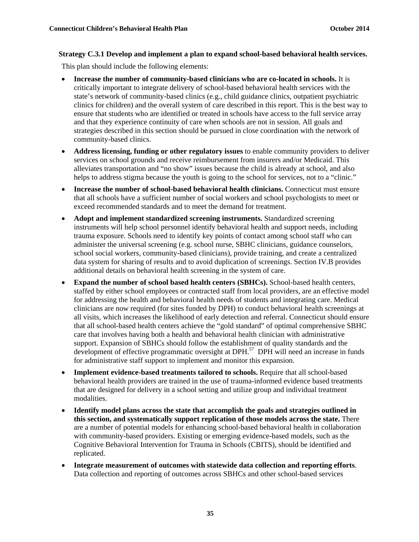#### **Strategy C.3.1 Develop and implement a plan to expand school-based behavioral health services.**

This plan should include the following elements:

- **Increase the number of community-based clinicians who are co-located in schools.** It is critically important to integrate delivery of school-based behavioral health services with the state's network of community-based clinics (e.g., child guidance clinics, outpatient psychiatric clinics for children) and the overall system of care described in this report. This is the best way to ensure that students who are identified or treated in schools have access to the full service array and that they experience continuity of care when schools are not in session. All goals and strategies described in this section should be pursued in close coordination with the network of community-based clinics.
- **Address licensing, funding or other regulatory issues** to enable community providers to deliver services on school grounds and receive reimbursement from insurers and/or Medicaid. This alleviates transportation and "no show" issues because the child is already at school, and also helps to address stigma because the youth is going to the school for services, not to a "clinic."
- **Increase the number of school-based behavioral health clinicians.** Connecticut must ensure that all schools have a sufficient number of social workers and school psychologists to meet or exceed recommended standards and to meet the demand for treatment.
- **Adopt and implement standardized screening instruments.** Standardized screening instruments will help school personnel identify behavioral health and support needs, including trauma exposure. Schools need to identify key points of contact among school staff who can administer the universal screening (e.g. school nurse, SBHC clinicians, guidance counselors, school social workers, community-based clinicians), provide training, and create a centralized data system for sharing of results and to avoid duplication of screenings. Section IV.B provides additional details on behavioral health screening in the system of care.
- **Expand the number of school based health centers (SBHCs).** School-based health centers, staffed by either school employees or contracted staff from local providers, are an effective model for addressing the health and behavioral health needs of students and integrating care. Medical clinicians are now required (for sites funded by DPH) to conduct behavioral health screenings at all visits, which increases the likelihood of early detection and referral. Connecticut should ensure that all school-based health centers achieve the "gold standard" of optimal comprehensive SBHC care that involves having both a health and behavioral health clinician with administrative support. Expansion of SBHCs should follow the establishment of quality standards and the development of effective programmatic oversight at DPH.<sup>57</sup> DPH will need an increase in funds for administrative staff support to implement and monitor this expansion.
- **Implement evidence-based treatments tailored to schools.** Require that all school-based behavioral health providers are trained in the use of trauma-informed evidence based treatments that are designed for delivery in a school setting and utilize group and individual treatment modalities.
- **Identify model plans across the state that accomplish the goals and strategies outlined in this section, and systematically support replication of those models across the state.** There are a number of potential models for enhancing school-based behavioral health in collaboration with community-based providers. Existing or emerging evidence-based models, such as the Cognitive Behavioral Intervention for Trauma in Schools (CBITS), should be identified and replicated.
- **Integrate measurement of outcomes with statewide data collection and reporting efforts**. Data collection and reporting of outcomes across SBHCs and other school-based services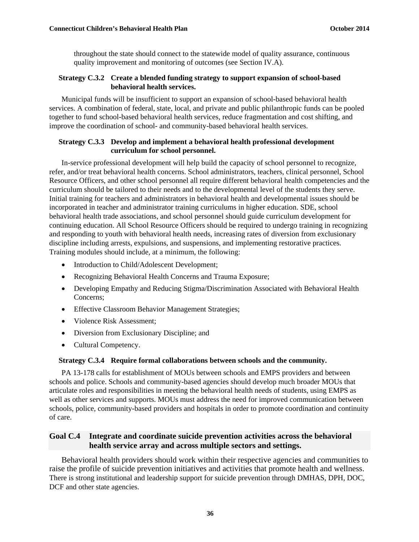throughout the state should connect to the statewide model of quality assurance, continuous quality improvement and monitoring of outcomes (see Section IV.A).

#### **Strategy C.3.2 Create a blended funding strategy to support expansion of school-based behavioral health services.**

Municipal funds will be insufficient to support an expansion of school-based behavioral health services. A combination of federal, state, local, and private and public philanthropic funds can be pooled together to fund school-based behavioral health services, reduce fragmentation and cost shifting, and improve the coordination of school- and community-based behavioral health services.

#### **Strategy C.3.3 Develop and implement a behavioral health professional development curriculum for school personnel.**

In-service professional development will help build the capacity of school personnel to recognize, refer, and/or treat behavioral health concerns. School administrators, teachers, clinical personnel, School Resource Officers, and other school personnel all require different behavioral health competencies and the curriculum should be tailored to their needs and to the developmental level of the students they serve. Initial training for teachers and administrators in behavioral health and developmental issues should be incorporated in teacher and administrator training curriculums in higher education. SDE, school behavioral health trade associations, and school personnel should guide curriculum development for continuing education. All School Resource Officers should be required to undergo training in recognizing and responding to youth with behavioral health needs, increasing rates of diversion from exclusionary discipline including arrests, expulsions, and suspensions, and implementing restorative practices. Training modules should include, at a minimum, the following:

- Introduction to Child/Adolescent Development;
- Recognizing Behavioral Health Concerns and Trauma Exposure;
- Developing Empathy and Reducing Stigma/Discrimination Associated with Behavioral Health Concerns;
- Effective Classroom Behavior Management Strategies;
- Violence Risk Assessment:
- Diversion from Exclusionary Discipline; and
- Cultural Competency.

#### **Strategy C.3.4 Require formal collaborations between schools and the community.**

PA 13-178 calls for establishment of MOUs between schools and EMPS providers and between schools and police. Schools and community-based agencies should develop much broader MOUs that articulate roles and responsibilities in meeting the behavioral health needs of students, using EMPS as well as other services and supports. MOUs must address the need for improved communication between schools, police, community-based providers and hospitals in order to promote coordination and continuity of care.

#### **Goal C.4 Integrate and coordinate suicide prevention activities across the behavioral health service array and across multiple sectors and settings.**

Behavioral health providers should work within their respective agencies and communities to raise the profile of suicide prevention initiatives and activities that promote health and wellness. There is strong institutional and leadership support for suicide prevention through DMHAS, DPH, DOC, DCF and other state agencies.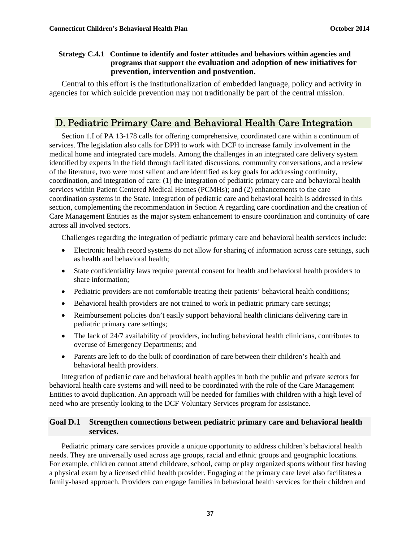#### **Strategy C.4.1 Continue to identify and foster attitudes and behaviors within agencies and programs that support the evaluation and adoption of new initiatives for prevention, intervention and postvention.**

Central to this effort is the institutionalization of embedded language, policy and activity in agencies for which suicide prevention may not traditionally be part of the central mission.

# D. Pediatric Primary Care and Behavioral Health Care Integration

Section 1.I of PA 13-178 calls for offering comprehensive, coordinated care within a continuum of services. The legislation also calls for DPH to work with DCF to increase family involvement in the medical home and integrated care models. Among the challenges in an integrated care delivery system identified by experts in the field through facilitated discussions, community conversations, and a review of the literature, two were most salient and are identified as key goals for addressing continuity, coordination, and integration of care: (1) the integration of pediatric primary care and behavioral health services within Patient Centered Medical Homes (PCMHs); and (2) enhancements to the care coordination systems in the State. Integration of pediatric care and behavioral health is addressed in this section, complementing the recommendation in Section A regarding care coordination and the creation of Care Management Entities as the major system enhancement to ensure coordination and continuity of care across all involved sectors.

Challenges regarding the integration of pediatric primary care and behavioral health services include:

- Electronic health record systems do not allow for sharing of information across care settings, such as health and behavioral health;
- State confidentiality laws require parental consent for health and behavioral health providers to share information;
- Pediatric providers are not comfortable treating their patients' behavioral health conditions;
- Behavioral health providers are not trained to work in pediatric primary care settings;
- Reimbursement policies don't easily support behavioral health clinicians delivering care in pediatric primary care settings;
- The lack of 24/7 availability of providers, including behavioral health clinicians, contributes to overuse of Emergency Departments; and
- Parents are left to do the bulk of coordination of care between their children's health and behavioral health providers.

Integration of pediatric care and behavioral health applies in both the public and private sectors for behavioral health care systems and will need to be coordinated with the role of the Care Management Entities to avoid duplication. An approach will be needed for families with children with a high level of need who are presently looking to the DCF Voluntary Services program for assistance.

#### **Goal D.1 Strengthen connections between pediatric primary care and behavioral health services.**

Pediatric primary care services provide a unique opportunity to address children's behavioral health needs. They are universally used across age groups, racial and ethnic groups and geographic locations. For example, children cannot attend childcare, school, camp or play organized sports without first having a physical exam by a licensed child health provider. Engaging at the primary care level also facilitates a family-based approach. Providers can engage families in behavioral health services for their children and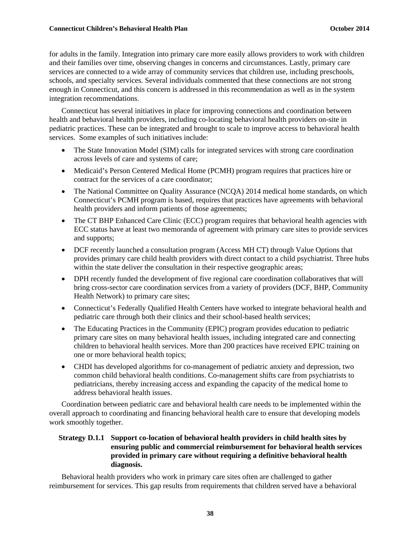#### **Connecticut Children's Behavioral Health Plan Connection Connecticut Children's Behavioral Health Plan**

for adults in the family. Integration into primary care more easily allows providers to work with children and their families over time, observing changes in concerns and circumstances. Lastly, primary care services are connected to a wide array of community services that children use, including preschools, schools, and specialty services. Several individuals commented that these connections are not strong enough in Connecticut, and this concern is addressed in this recommendation as well as in the system integration recommendations.

Connecticut has several initiatives in place for improving connections and coordination between health and behavioral health providers, including co-locating behavioral health providers on-site in pediatric practices. These can be integrated and brought to scale to improve access to behavioral health services. Some examples of such initiatives include:

- The State Innovation Model (SIM) calls for integrated services with strong care coordination across levels of care and systems of care;
- Medicaid's Person Centered Medical Home (PCMH) program requires that practices hire or contract for the services of a care coordinator;
- The National Committee on Quality Assurance (NCQA) 2014 medical home standards, on which Connecticut's PCMH program is based, requires that practices have agreements with behavioral health providers and inform patients of those agreements;
- The CT BHP Enhanced Care Clinic (ECC) program requires that behavioral health agencies with ECC status have at least two memoranda of agreement with primary care sites to provide services and supports;
- DCF recently launched a consultation program (Access MH CT) through Value Options that provides primary care child health providers with direct contact to a child psychiatrist. Three hubs within the state deliver the consultation in their respective geographic areas;
- DPH recently funded the development of five regional care coordination collaboratives that will bring cross-sector care coordination services from a variety of providers (DCF, BHP, Community Health Network) to primary care sites;
- Connecticut's Federally Qualified Health Centers have worked to integrate behavioral health and pediatric care through both their clinics and their school-based health services;
- The Educating Practices in the Community (EPIC) program provides education to pediatric primary care sites on many behavioral health issues, including integrated care and connecting children to behavioral health services. More than 200 practices have received EPIC training on one or more behavioral health topics;
- CHDI has developed algorithms for co-management of pediatric anxiety and depression, two common child behavioral health conditions. Co-management shifts care from psychiatrists to pediatricians, thereby increasing access and expanding the capacity of the medical home to address behavioral health issues.

Coordination between pediatric care and behavioral health care needs to be implemented within the overall approach to coordinating and financing behavioral health care to ensure that developing models work smoothly together.

#### **Strategy D.1.1 Support co-location of behavioral health providers in child health sites by ensuring public and commercial reimbursement for behavioral health services provided in primary care without requiring a definitive behavioral health diagnosis.**

Behavioral health providers who work in primary care sites often are challenged to gather reimbursement for services. This gap results from requirements that children served have a behavioral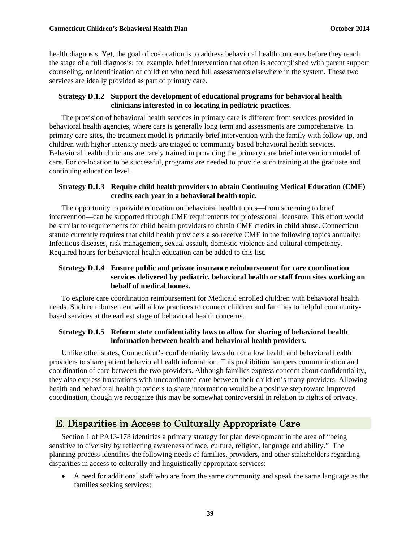health diagnosis. Yet, the goal of co-location is to address behavioral health concerns before they reach the stage of a full diagnosis; for example, brief intervention that often is accomplished with parent support counseling, or identification of children who need full assessments elsewhere in the system. These two services are ideally provided as part of primary care.

#### **Strategy D.1.2 Support the development of educational programs for behavioral health clinicians interested in co-locating in pediatric practices.**

The provision of behavioral health services in primary care is different from services provided in behavioral health agencies, where care is generally long term and assessments are comprehensive. In primary care sites, the treatment model is primarily brief intervention with the family with follow-up, and children with higher intensity needs are triaged to community based behavioral health services. Behavioral health clinicians are rarely trained in providing the primary care brief intervention model of care. For co-location to be successful, programs are needed to provide such training at the graduate and continuing education level.

#### **Strategy D.1.3 Require child health providers to obtain Continuing Medical Education (CME) credits each year in a behavioral health topic.**

The opportunity to provide education on behavioral health topics—from screening to brief intervention—can be supported through CME requirements for professional licensure. This effort would be similar to requirements for child health providers to obtain CME credits in child abuse. Connecticut statute currently requires that child health providers also receive CME in the following topics annually: Infectious diseases, risk management, sexual assault, domestic violence and cultural competency. Required hours for behavioral health education can be added to this list.

#### **Strategy D.1.4 Ensure public and private insurance reimbursement for care coordination services delivered by pediatric, behavioral health or staff from sites working on behalf of medical homes.**

To explore care coordination reimbursement for Medicaid enrolled children with behavioral health needs. Such reimbursement will allow practices to connect children and families to helpful communitybased services at the earliest stage of behavioral health concerns.

#### **Strategy D.1.5 Reform state confidentiality laws to allow for sharing of behavioral health information between health and behavioral health providers.**

Unlike other states, Connecticut's confidentiality laws do not allow health and behavioral health providers to share patient behavioral health information. This prohibition hampers communication and coordination of care between the two providers. Although families express concern about confidentiality, they also express frustrations with uncoordinated care between their children's many providers. Allowing health and behavioral health providers to share information would be a positive step toward improved coordination, though we recognize this may be somewhat controversial in relation to rights of privacy.

# E. Disparities in Access to Culturally Appropriate Care

Section 1 of PA13-178 identifies a primary strategy for plan development in the area of "being sensitive to diversity by reflecting awareness of race, culture, religion, language and ability." The planning process identifies the following needs of families, providers, and other stakeholders regarding disparities in access to culturally and linguistically appropriate services:

 A need for additional staff who are from the same community and speak the same language as the families seeking services;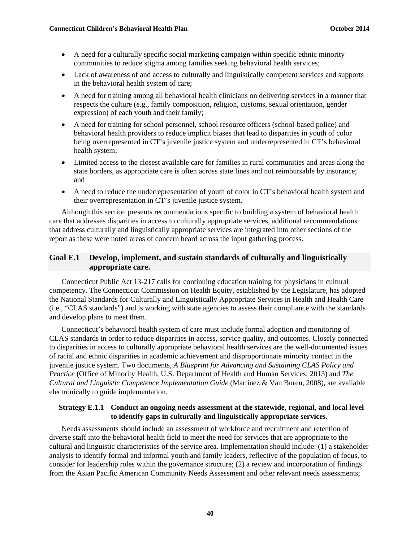- A need for a culturally specific social marketing campaign within specific ethnic minority communities to reduce stigma among families seeking behavioral health services;
- Lack of awareness of and access to culturally and linguistically competent services and supports in the behavioral health system of care;
- A need for training among all behavioral health clinicians on delivering services in a manner that respects the culture (e.g., family composition, religion, customs, sexual orientation, gender expression) of each youth and their family;
- A need for training for school personnel, school resource officers (school-based police) and behavioral health providers to reduce implicit biases that lead to disparities in youth of color being overrepresented in CT's juvenile justice system and underrepresented in CT's behavioral health system;
- Limited access to the closest available care for families in rural communities and areas along the state borders, as appropriate care is often across state lines and not reimbursable by insurance; and
- A need to reduce the underrepresentation of youth of color in CT's behavioral health system and their overrepresentation in CT's juvenile justice system.

Although this section presents recommendations specific to building a system of behavioral health care that addresses disparities in access to culturally appropriate services, additional recommendations that address culturally and linguistically appropriate services are integrated into other sections of the report as these were noted areas of concern heard across the input gathering process.

#### **Goal E.1 Develop, implement, and sustain standards of culturally and linguistically appropriate care.**

Connecticut Public Act 13-217 calls for continuing education training for physicians in cultural competency. The Connecticut Commission on Health Equity, established by the Legislature, has adopted the National Standards for Culturally and Linguistically Appropriate Services in Health and Health Care (i.e., "CLAS standards") and is working with state agencies to assess their compliance with the standards and develop plans to meet them.

Connecticut's behavioral health system of care must include formal adoption and monitoring of CLAS standards in order to reduce disparities in access, service quality, and outcomes. Closely connected to disparities in access to culturally appropriate behavioral health services are the well-documented issues of racial and ethnic disparities in academic achievement and disproportionate minority contact in the juvenile justice system. Two documents, *A Blueprint for Advancing and Sustaining CLAS Policy and Practice* (Office of Minority Health, U.S. Department of Health and Human Services; 2013) and *The Cultural and Linguistic Competence Implementation Guide* (Martinez & Van Buren, 2008), are available electronically to guide implementation.

#### **Strategy E.1.1 Conduct an ongoing needs assessment at the statewide, regional, and local level to identify gaps in culturally and linguistically appropriate services.**

Needs assessments should include an assessment of workforce and recruitment and retention of diverse staff into the behavioral health field to meet the need for services that are appropriate to the cultural and linguistic characteristics of the service area. Implementation should include: (1) a stakeholder analysis to identify formal and informal youth and family leaders, reflective of the population of focus, to consider for leadership roles within the governance structure; (2) a review and incorporation of findings from the Asian Pacific American Community Needs Assessment and other relevant needs assessments;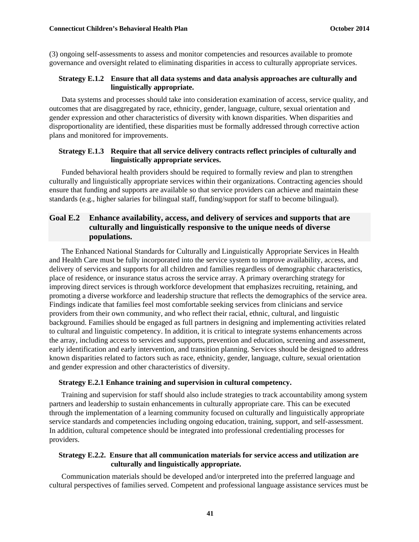(3) ongoing self-assessments to assess and monitor competencies and resources available to promote governance and oversight related to eliminating disparities in access to culturally appropriate services.

#### **Strategy E.1.2 Ensure that all data systems and data analysis approaches are culturally and linguistically appropriate.**

Data systems and processes should take into consideration examination of access, service quality, and outcomes that are disaggregated by race, ethnicity, gender, language, culture, sexual orientation and gender expression and other characteristics of diversity with known disparities. When disparities and disproportionality are identified, these disparities must be formally addressed through corrective action plans and monitored for improvements.

#### **Strategy E.1.3 Require that all service delivery contracts reflect principles of culturally and linguistically appropriate services.**

Funded behavioral health providers should be required to formally review and plan to strengthen culturally and linguistically appropriate services within their organizations. Contracting agencies should ensure that funding and supports are available so that service providers can achieve and maintain these standards (e.g., higher salaries for bilingual staff, funding/support for staff to become bilingual).

#### **Goal E.2 Enhance availability, access, and delivery of services and supports that are culturally and linguistically responsive to the unique needs of diverse populations.**

The Enhanced National Standards for Culturally and Linguistically Appropriate Services in Health and Health Care must be fully incorporated into the service system to improve availability, access, and delivery of services and supports for all children and families regardless of demographic characteristics, place of residence, or insurance status across the service array. A primary overarching strategy for improving direct services is through workforce development that emphasizes recruiting, retaining, and promoting a diverse workforce and leadership structure that reflects the demographics of the service area. Findings indicate that families feel most comfortable seeking services from clinicians and service providers from their own community, and who reflect their racial, ethnic, cultural, and linguistic background. Families should be engaged as full partners in designing and implementing activities related to cultural and linguistic competency. In addition, it is critical to integrate systems enhancements across the array, including access to services and supports, prevention and education, screening and assessment, early identification and early intervention, and transition planning. Services should be designed to address known disparities related to factors such as race, ethnicity, gender, language, culture, sexual orientation and gender expression and other characteristics of diversity.

#### **Strategy E.2.1 Enhance training and supervision in cultural competency.**

Training and supervision for staff should also include strategies to track accountability among system partners and leadership to sustain enhancements in culturally appropriate care. This can be executed through the implementation of a learning community focused on culturally and linguistically appropriate service standards and competencies including ongoing education, training, support, and self-assessment. In addition, cultural competence should be integrated into professional credentialing processes for providers.

#### **Strategy E.2.2. Ensure that all communication materials for service access and utilization are culturally and linguistically appropriate.**

Communication materials should be developed and/or interpreted into the preferred language and cultural perspectives of families served. Competent and professional language assistance services must be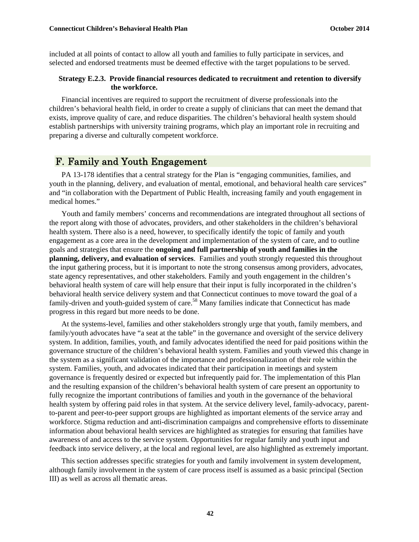included at all points of contact to allow all youth and families to fully participate in services, and selected and endorsed treatments must be deemed effective with the target populations to be served.

#### **Strategy E.2.3. Provide financial resources dedicated to recruitment and retention to diversify the workforce.**

Financial incentives are required to support the recruitment of diverse professionals into the children's behavioral health field, in order to create a supply of clinicians that can meet the demand that exists, improve quality of care, and reduce disparities. The children's behavioral health system should establish partnerships with university training programs, which play an important role in recruiting and preparing a diverse and culturally competent workforce.

### F. Family and Youth Engagement

PA 13-178 identifies that a central strategy for the Plan is "engaging communities, families, and youth in the planning, delivery, and evaluation of mental, emotional, and behavioral health care services" and "in collaboration with the Department of Public Health, increasing family and youth engagement in medical homes."

Youth and family members' concerns and recommendations are integrated throughout all sections of the report along with those of advocates, providers, and other stakeholders in the children's behavioral health system. There also is a need, however, to specifically identify the topic of family and youth engagement as a core area in the development and implementation of the system of care, and to outline goals and strategies that ensure the **ongoing and full partnership of youth and families in the planning, delivery, and evaluation of services**. Families and youth strongly requested this throughout the input gathering process, but it is important to note the strong consensus among providers, advocates, state agency representatives, and other stakeholders. Family and youth engagement in the children's behavioral health system of care will help ensure that their input is fully incorporated in the children's behavioral health service delivery system and that Connecticut continues to move toward the goal of a family-driven and youth-guided system of care.<sup>58</sup> Many families indicate that Connecticut has made progress in this regard but more needs to be done.

At the systems-level, families and other stakeholders strongly urge that youth, family members, and family/youth advocates have "a seat at the table" in the governance and oversight of the service delivery system. In addition, families, youth, and family advocates identified the need for paid positions within the governance structure of the children's behavioral health system. Families and youth viewed this change in the system as a significant validation of the importance and professionalization of their role within the system. Families, youth, and advocates indicated that their participation in meetings and system governance is frequently desired or expected but infrequently paid for. The implementation of this Plan and the resulting expansion of the children's behavioral health system of care present an opportunity to fully recognize the important contributions of families and youth in the governance of the behavioral health system by offering paid roles in that system. At the service delivery level, family-advocacy, parentto-parent and peer-to-peer support groups are highlighted as important elements of the service array and workforce. Stigma reduction and anti-discrimination campaigns and comprehensive efforts to disseminate information about behavioral health services are highlighted as strategies for ensuring that families have awareness of and access to the service system. Opportunities for regular family and youth input and feedback into service delivery, at the local and regional level, are also highlighted as extremely important.

This section addresses specific strategies for youth and family involvement in system development, although family involvement in the system of care process itself is assumed as a basic principal (Section III) as well as across all thematic areas.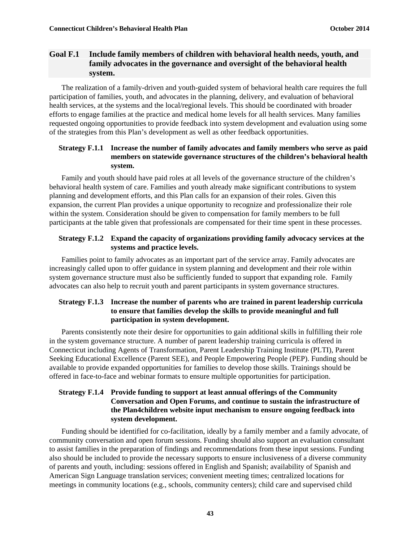#### **Goal F.1 Include family members of children with behavioral health needs, youth, and family advocates in the governance and oversight of the behavioral health system.**

The realization of a family-driven and youth-guided system of behavioral health care requires the full participation of families, youth, and advocates in the planning, delivery, and evaluation of behavioral health services, at the systems and the local/regional levels. This should be coordinated with broader efforts to engage families at the practice and medical home levels for all health services. Many families requested ongoing opportunities to provide feedback into system development and evaluation using some of the strategies from this Plan's development as well as other feedback opportunities.

#### **Strategy F.1.1 Increase the number of family advocates and family members who serve as paid members on statewide governance structures of the children's behavioral health system.**

Family and youth should have paid roles at all levels of the governance structure of the children's behavioral health system of care. Families and youth already make significant contributions to system planning and development efforts, and this Plan calls for an expansion of their roles. Given this expansion, the current Plan provides a unique opportunity to recognize and professionalize their role within the system. Consideration should be given to compensation for family members to be full participants at the table given that professionals are compensated for their time spent in these processes.

#### **Strategy F.1.2 Expand the capacity of organizations providing family advocacy services at the systems and practice levels.**

Families point to family advocates as an important part of the service array. Family advocates are increasingly called upon to offer guidance in system planning and development and their role within system governance structure must also be sufficiently funded to support that expanding role. Family advocates can also help to recruit youth and parent participants in system governance structures.

#### **Strategy F.1.3 Increase the number of parents who are trained in parent leadership curricula to ensure that families develop the skills to provide meaningful and full participation in system development.**

Parents consistently note their desire for opportunities to gain additional skills in fulfilling their role in the system governance structure. A number of parent leadership training curricula is offered in Connecticut including Agents of Transformation, Parent Leadership Training Institute (PLTI), Parent Seeking Educational Excellence (Parent SEE), and People Empowering People (PEP). Funding should be available to provide expanded opportunities for families to develop those skills. Trainings should be offered in face-to-face and webinar formats to ensure multiple opportunities for participation.

#### **Strategy F.1.4 Provide funding to support at least annual offerings of the Community Conversation and Open Forums, and continue to sustain the infrastructure of the Plan4children website input mechanism to ensure ongoing feedback into system development.**

Funding should be identified for co-facilitation, ideally by a family member and a family advocate, of community conversation and open forum sessions. Funding should also support an evaluation consultant to assist families in the preparation of findings and recommendations from these input sessions. Funding also should be included to provide the necessary supports to ensure inclusiveness of a diverse community of parents and youth, including: sessions offered in English and Spanish; availability of Spanish and American Sign Language translation services; convenient meeting times; centralized locations for meetings in community locations (e.g., schools, community centers); child care and supervised child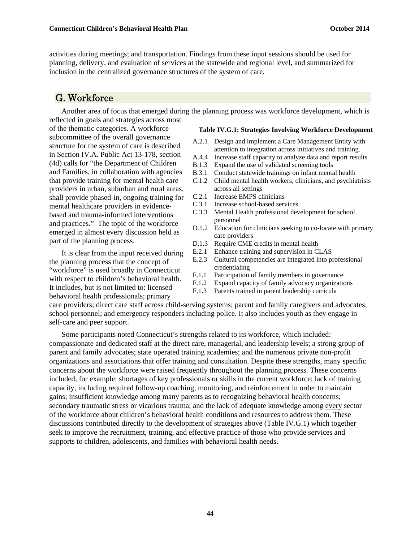activities during meetings; and transportation. Findings from these input sessions should be used for planning, delivery, and evaluation of services at the statewide and regional level, and summarized for inclusion in the centralized governance structures of the system of care.

### G. Workforce

Another area of focus that emerged during the planning process was workforce development, which is reflected in goals and strategies across most

of the thematic categories. A workforce subcommittee of the overall governance structure for the system of care is described in Section IV.A. Public Act 13-178, section (4d) calls for "the Department of Children and Families, in collaboration with agencies that provide training for mental health care providers in urban, suburban and rural areas, shall provide phased-in, ongoing training for mental healthcare providers in evidencebased and trauma-informed interventions and practices." The topic of the workforce emerged in almost every discussion held as part of the planning process.

It is clear from the input received during the planning process that the concept of "workforce" is used broadly in Connecticut with respect to children's behavioral health. It includes, but is not limited to: licensed behavioral health professionals; primary

#### **Table IV.G.1: Strategies Involving Workforce Development**

- A.2.1 Design and implement a Care Management Entity with attention to integration across initiatives and training.
- A.4.4 Increase staff capacity to analyze data and report results
- B.1.3 Expand the use of validated screening tools
- B.3.1 Conduct statewide trainings on infant mental health
- C.1.2 Child mental health workers, clinicians, and psychiatrists across all settings
- C.2.1 Increase EMPS clinicians
- C.3.1 Increase school-based services
- C.3.3 Mental Health professional development for school personnel
- D.1.2 Education for clinicians seeking to co-locate with primary care providers
- D.1.3 Require CME credits in mental health
- E.2.1 Enhance training and supervision in CLAS
- E.2.3 Cultural competencies are integrated into professional credentialing
- F.1.1 Participation of family members in governance
- F.1.2 Expand capacity of family advocacy organizations
- F.1.3 Parents trained in parent leadership curricula

care providers; direct care staff across child-serving systems; parent and family caregivers and advocates; school personnel; and emergency responders including police. It also includes youth as they engage in self-care and peer support.

Some participants noted Connecticut's strengths related to its workforce, which included: compassionate and dedicated staff at the direct care, managerial, and leadership levels; a strong group of parent and family advocates; state operated training academies; and the numerous private non-profit organizations and associations that offer training and consultation. Despite these strengths, many specific concerns about the workforce were raised frequently throughout the planning process. These concerns included, for example: shortages of key professionals or skills in the current workforce; lack of training capacity, including required follow-up coaching, monitoring, and reinforcement in order to maintain gains; insufficient knowledge among many parents as to recognizing behavioral health concerns; secondary traumatic stress or vicarious trauma; and the lack of adequate knowledge among every sector of the workforce about children's behavioral health conditions and resources to address them. These discussions contributed directly to the development of strategies above (Table IV.G.1) which together seek to improve the recruitment, training, and effective practice of those who provide services and supports to children, adolescents, and families with behavioral health needs.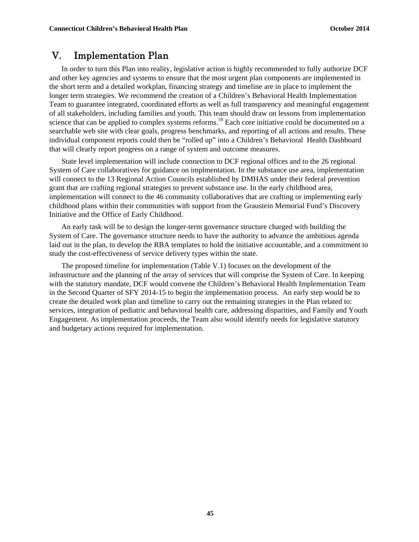### V. Implementation Plan

In order to turn this Plan into reality, legislative action is highly recommended to fully authorize DCF and other key agencies and systems to ensure that the most urgent plan components are implemented in the short term and a detailed workplan, financing strategy and timeline are in place to implement the longer term strategies. We recommend the creation of a Children's Behavioral Health Implementation Team to guarantee integrated, coordinated efforts as well as full transparency and meaningful engagement of all stakeholders, including families and youth. This team should draw on lessons from implementation science that can be applied to complex systems reforms.<sup>59</sup> Each core initiative could be documented on a searchable web site with clear goals, progress benchmarks, and reporting of all actions and results. These individual component reports could then be "rolled up" into a Children's Behavioral Health Dashboard that will clearly report progress on a range of system and outcome measures.

State level implementation will include connection to DCF regional offices and to the 26 regional System of Care collaboratives for guidance on implmentation. In the substance use area, implementation will connect to the 13 Regional Action Councils established by DMHAS under their federal prevention grant that are crafting regional strategies to prevent substance use. In the early childhood area, implementation will connect to the 46 community collaboratives that are crafting or implementing early childhood plans within their communities with support from the Graustein Memorial Fund's Discovery Initiative and the Office of Early Childhood.

An early task will be to design the longer-term governance structure charged with building the System of Care. The governance structure needs to have the authority to advance the ambitious agenda laid out in the plan, to develop the RBA templates to hold the initiative accountable, and a commitment to study the cost-effectiveness of service delivery types within the state.

The proposed timeline for implementation (Table V.1) focuses on the development of the infrastructure and the planning of the array of services that will comprise the System of Care. In keeping with the statutory mandate, DCF would convene the Children's Behavioral Health Implementation Team in the Second Quarter of SFY 2014-15 to begin the implementation process. An early step would be to create the detailed work plan and timeline to carry out the remaining strategies in the Plan related to: services, integration of pediatric and behavioral health care, addressing disparities, and Family and Youth Engagement. As implementation proceeds, the Team also would identify needs for legislative statutory and budgetary actions required for implementation.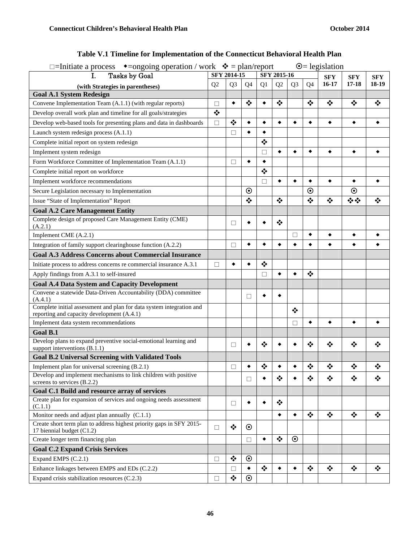| $\odot$ = legislation<br>□=Initiate a process $\bullet$ =ongoing operation / work $\bullet$ = plan/report          |                |                                       |                                       |                                       |                                       |                |                                       |                                       |                      |            |
|--------------------------------------------------------------------------------------------------------------------|----------------|---------------------------------------|---------------------------------------|---------------------------------------|---------------------------------------|----------------|---------------------------------------|---------------------------------------|----------------------|------------|
| <b>Tasks by Goal</b><br>I.                                                                                         | SFY 2014-15    |                                       |                                       | SFY 2015-16                           |                                       |                |                                       | <b>SFY</b>                            | <b>SFY</b>           | <b>SFY</b> |
| (with Strategies in parentheses)                                                                                   | Q <sub>2</sub> | Q <sub>3</sub>                        | Q4                                    | Q1                                    | Q2                                    | Q <sub>3</sub> | Q <sub>4</sub>                        | $16-17$                               | $17 - 18$            | 18-19      |
| <b>Goal A.1 System Redesign</b>                                                                                    |                |                                       |                                       |                                       |                                       |                |                                       |                                       |                      |            |
| Convene Implementation Team (A.1.1) (with regular reports)                                                         | Ш              | ٠                                     | ❖                                     |                                       | ❖                                     |                | ❖                                     | ❖                                     | ❖                    | ❖          |
| Develop overall work plan and timeline for all goals/strategies                                                    | $\bullet$      |                                       |                                       |                                       |                                       |                |                                       |                                       |                      |            |
| Develop web-based tools for presenting plans and data in dashboards                                                | $\Box$         | $\bullet^{\bullet}_{\bullet} \bullet$ | $\bullet$                             | ٠                                     | ٠                                     | ٠              | ٠                                     | ٠                                     | ٠                    | ٠          |
| Launch system redesign process (A.1.1)                                                                             |                | П                                     | ٠                                     | ٠                                     |                                       |                |                                       |                                       |                      |            |
| Complete initial report on system redesign                                                                         |                |                                       |                                       | $\bullet$                             |                                       |                |                                       |                                       |                      |            |
| Implement system redesign                                                                                          |                |                                       |                                       | $\Box$                                | $\bullet$                             | $\bullet$      | ٠                                     | $\bullet$                             | ٠                    | ٠          |
| Form Workforce Committee of Implementation Team (A.1.1)                                                            |                | □                                     | ٠                                     | ٠                                     |                                       |                |                                       |                                       |                      |            |
| Complete initial report on workforce                                                                               |                |                                       |                                       | $\bullet^{\bullet}_{\bullet} \bullet$ |                                       |                |                                       |                                       |                      |            |
| Implement workforce recommendations                                                                                |                |                                       |                                       | $\Box$                                | ٠                                     | ٠              | ٠                                     | ٠                                     | ٠                    |            |
| Secure Legislation necessary to Implementation                                                                     |                |                                       | $\boldsymbol{\odot}$                  |                                       |                                       |                | $\odot$                               |                                       | $\boldsymbol{\odot}$ |            |
| Issue "State of Implementation" Report                                                                             |                |                                       | $\bullet^{\bullet}_{\bullet} \bullet$ |                                       | ❖                                     |                | $\bullet^{\bullet}_{\bullet} \bullet$ | $\bullet^{\bullet}_{\bullet} \bullet$ | 泰泰                   | ❖          |
| <b>Goal A.2 Care Management Entity</b>                                                                             |                |                                       |                                       |                                       |                                       |                |                                       |                                       |                      |            |
| Complete design of proposed Care Management Entity (CME)<br>(A.2.1)                                                |                | □                                     | ٠                                     |                                       | $\frac{1}{2}$                         |                |                                       |                                       |                      |            |
| Implement CME (A.2.1)                                                                                              |                |                                       |                                       |                                       |                                       | □              | ٠                                     | ٠                                     | ٠                    |            |
| Integration of family support clearinghouse function (A.2.2)                                                       |                | П                                     | ٠                                     | ٠                                     | ٠                                     | ٠              | ٠                                     | ٠                                     | ٠                    |            |
| <b>Goal A.3 Address Concerns about Commercial Insurance</b>                                                        |                |                                       |                                       |                                       |                                       |                |                                       |                                       |                      |            |
| Initiate process to address concerns re commercial insurance A.3.1                                                 | □              | ٠                                     | ٠                                     | $\bullet$                             |                                       |                |                                       |                                       |                      |            |
| Apply findings from A.3.1 to self-insured                                                                          |                |                                       |                                       | $\Box$                                | ٠                                     | ۰              | $\cdot$                               |                                       |                      |            |
| <b>Goal A.4 Data System and Capacity Development</b>                                                               |                |                                       |                                       |                                       |                                       |                |                                       |                                       |                      |            |
| Convene a statewide Data-Driven Accountability (DDA) committee<br>(A.4.1)                                          |                |                                       | □                                     | ٠                                     | ٠                                     |                |                                       |                                       |                      |            |
| Complete initial assessment and plan for data system integration and<br>reporting and capacity development (A.4.1) |                |                                       |                                       |                                       |                                       | ❖              |                                       |                                       |                      |            |
| Implement data system recommendations                                                                              |                |                                       |                                       |                                       |                                       | П              | ٠                                     | ٠                                     | ٠                    | ٠          |
| <b>Goal B.1</b>                                                                                                    |                |                                       |                                       |                                       |                                       |                |                                       |                                       |                      |            |
| Develop plans to expand preventive social-emotional learning and<br>support interventions (B.1.1)                  |                | □                                     | ٠                                     | $\cdot$                               |                                       |                | $\cdot$                               | ❖                                     | $\cdot$              | ❖          |
| <b>Goal B.2 Universal Screening with Validated Tools</b>                                                           |                |                                       |                                       |                                       |                                       |                |                                       |                                       |                      |            |
| Implement plan for universal screening (B.2.1)                                                                     |                | П                                     |                                       | $\cdot$                               |                                       |                | $\cdot$                               | ❖                                     | ❖                    | ❖          |
| Develop and implement mechanisms to link children with positive<br>screens to services (B.2.2)                     |                |                                       | $\Box$                                |                                       | ❖                                     |                | ❖                                     | ❖                                     | ❖                    | ❖          |
| Goal C.1 Build and resource array of services                                                                      |                |                                       |                                       |                                       |                                       |                |                                       |                                       |                      |            |
| Create plan for expansion of services and ongoing needs assessment<br>(C.1.1)                                      |                | □                                     | ٠                                     |                                       | $\bullet^{\bullet}_{\bullet} \bullet$ |                |                                       |                                       |                      |            |
| Monitor needs and adjust plan annually (C.1.1)                                                                     |                |                                       |                                       |                                       | ٠                                     | ٠              | ❖                                     | $\bullet^{\bullet}_{\bullet} \bullet$ | $\frac{1}{2}$        | $\cdot$    |
| Create short term plan to address highest priority gaps in SFY 2015-<br>17 biennial budget (C1.2)                  | П              | $\bullet^{\bullet}_{\bullet} \bullet$ | $\odot$                               |                                       |                                       |                |                                       |                                       |                      |            |
| Create longer term financing plan                                                                                  |                |                                       | $\Box$                                | $\bullet$                             | $\bullet^{\bullet}_{\bullet} \bullet$ | $\odot$        |                                       |                                       |                      |            |
| <b>Goal C.2 Expand Crisis Services</b>                                                                             |                |                                       |                                       |                                       |                                       |                |                                       |                                       |                      |            |
| Expand EMPS (C.2.1)                                                                                                | П              | $\bullet$                             | $\odot$                               |                                       |                                       |                |                                       |                                       |                      |            |
| Enhance linkages between EMPS and EDs (C.2.2)                                                                      |                | $\Box$                                | $\bullet$                             | ❖                                     | $\bullet$                             | $\bullet$      | $\frac{1}{2}$                         | $\bullet$                             | ❖                    | ❖          |
| Expand crisis stabilization resources (C.2.3)                                                                      | □              | ❖                                     | $\odot$                               |                                       |                                       |                |                                       |                                       |                      |            |

### **Table V.1 Timeline for Implementation of the Connecticut Behavioral Health Plan**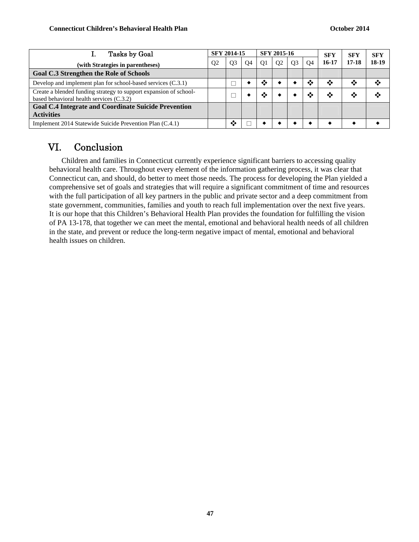| Tasks by Goal                                                                                                 |                | <b>SFY 2014-15</b> |    |                | SFY 2015-16    |                |           |       | SFY   | <b>SFY</b> |
|---------------------------------------------------------------------------------------------------------------|----------------|--------------------|----|----------------|----------------|----------------|-----------|-------|-------|------------|
| (with Strategies in parentheses)                                                                              | O <sub>2</sub> | O <sub>3</sub>     | O4 | O <sub>1</sub> | O <sub>2</sub> | O <sub>3</sub> | <b>O4</b> | 16-17 | 17-18 | 18-19      |
| Goal C.3 Strengthen the Role of Schools                                                                       |                |                    |    |                |                |                |           |       |       |            |
| Develop and implement plan for school-based services (C.3.1)                                                  |                |                    |    | ∙∴∙            |                |                | ❖         | ❖     | ∙∑∙   | ∙≫         |
| Create a blended funding strategy to support expansion of school-<br>based behavioral health services (C.3.2) |                |                    |    | ∙∛             |                |                | ∙⊱        | ❖     |       | ∙∴∙        |
| <b>Goal C.4 Integrate and Coordinate Suicide Prevention</b>                                                   |                |                    |    |                |                |                |           |       |       |            |
| <b>Activities</b>                                                                                             |                |                    |    |                |                |                |           |       |       |            |
| Implement 2014 Statewide Suicide Prevention Plan (C.4.1)                                                      |                | ❖                  |    |                |                |                |           |       |       |            |

# VI. Conclusion

Children and families in Connecticut currently experience significant barriers to accessing quality behavioral health care. Throughout every element of the information gathering process, it was clear that Connecticut can, and should, do better to meet those needs. The process for developing the Plan yielded a comprehensive set of goals and strategies that will require a significant commitment of time and resources with the full participation of all key partners in the public and private sector and a deep commitment from state government, communities, families and youth to reach full implementation over the next five years. It is our hope that this Children's Behavioral Health Plan provides the foundation for fulfilling the vision of PA 13-178, that together we can meet the mental, emotional and behavioral health needs of all children in the state, and prevent or reduce the long-term negative impact of mental, emotional and behavioral health issues on children.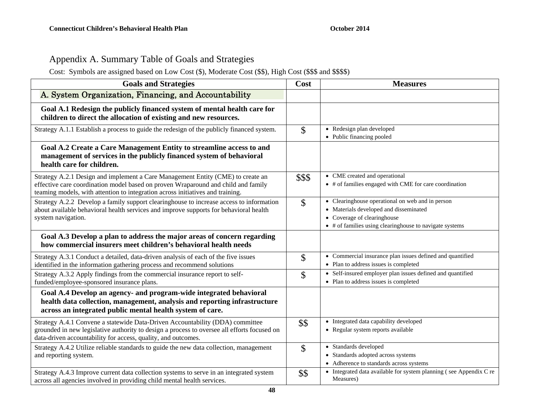# Appendix A. Summary Table of Goals and Strategies

Cost: Symbols are assigned based on Low Cost (\$), Moderate Cost (\$\$), High Cost (\$\$\$ and \$\$\$\$)

| <b>Goals and Strategies</b>                                                                                                                                                                                                                            | Cost   | <b>Measures</b>                                                                                                                                                                      |
|--------------------------------------------------------------------------------------------------------------------------------------------------------------------------------------------------------------------------------------------------------|--------|--------------------------------------------------------------------------------------------------------------------------------------------------------------------------------------|
| A. System Organization, Financing, and Accountability                                                                                                                                                                                                  |        |                                                                                                                                                                                      |
| Goal A.1 Redesign the publicly financed system of mental health care for<br>children to direct the allocation of existing and new resources.                                                                                                           |        |                                                                                                                                                                                      |
| Strategy A.1.1 Establish a process to guide the redesign of the publicly financed system.                                                                                                                                                              | \$     | • Redesign plan developed<br>• Public financing pooled                                                                                                                               |
| Goal A.2 Create a Care Management Entity to streamline access to and<br>management of services in the publicly financed system of behavioral<br>health care for children.                                                                              |        |                                                                                                                                                                                      |
| Strategy A.2.1 Design and implement a Care Management Entity (CME) to create an<br>effective care coordination model based on proven Wraparound and child and family<br>teaming models, with attention to integration across initiatives and training. | \$\$\$ | • CME created and operational<br>• # of families engaged with CME for care coordination                                                                                              |
| Strategy A.2.2 Develop a family support clearinghouse to increase access to information<br>about available behavioral health services and improve supports for behavioral health<br>system navigation.                                                 | \$     | • Clearinghouse operational on web and in person<br>• Materials developed and disseminated<br>• Coverage of clearinghouse<br>• # of families using clearinghouse to navigate systems |
| Goal A.3 Develop a plan to address the major areas of concern regarding<br>how commercial insurers meet children's behavioral health needs                                                                                                             |        |                                                                                                                                                                                      |
| Strategy A.3.1 Conduct a detailed, data-driven analysis of each of the five issues<br>identified in the information gathering process and recommend solutions                                                                                          | \$     | • Commercial insurance plan issues defined and quantified<br>• Plan to address issues is completed                                                                                   |
| Strategy A.3.2 Apply findings from the commercial insurance report to self-<br>funded/employee-sponsored insurance plans.                                                                                                                              | \$     | • Self-insured employer plan issues defined and quantified<br>• Plan to address issues is completed                                                                                  |
| Goal A.4 Develop an agency- and program-wide integrated behavioral<br>health data collection, management, analysis and reporting infrastructure<br>across an integrated public mental health system of care.                                           |        |                                                                                                                                                                                      |
| Strategy A.4.1 Convene a statewide Data-Driven Accountability (DDA) committee<br>grounded in new legislative authority to design a process to oversee all efforts focused on<br>data-driven accountability for access, quality, and outcomes.          | \$\$   | • Integrated data capability developed<br>• Regular system reports available                                                                                                         |
| Strategy A.4.2 Utilize reliable standards to guide the new data collection, management<br>and reporting system.                                                                                                                                        | \$     | Standards developed<br>$\bullet$<br>Standards adopted across systems<br>$\bullet$<br>• Adherence to standards across systems                                                         |
| Strategy A.4.3 Improve current data collection systems to serve in an integrated system<br>across all agencies involved in providing child mental health services.                                                                                     | \$\$   | Integrated data available for system planning (see Appendix C re<br>Measures)                                                                                                        |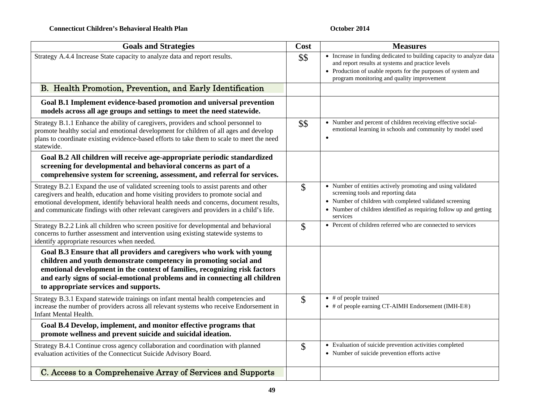| <b>Goals and Strategies</b>                                                                                                                                                                                                                                                                                                                                         | Cost                      | <b>Measures</b>                                                                                                                                                                                                                                |
|---------------------------------------------------------------------------------------------------------------------------------------------------------------------------------------------------------------------------------------------------------------------------------------------------------------------------------------------------------------------|---------------------------|------------------------------------------------------------------------------------------------------------------------------------------------------------------------------------------------------------------------------------------------|
| Strategy A.4.4 Increase State capacity to analyze data and report results.                                                                                                                                                                                                                                                                                          | \$\$                      | • Increase in funding dedicated to building capacity to analyze data<br>and report results at systems and practice levels<br>• Production of usable reports for the purposes of system and<br>program monitoring and quality improvement       |
| B. Health Promotion, Prevention, and Early Identification                                                                                                                                                                                                                                                                                                           |                           |                                                                                                                                                                                                                                                |
| Goal B.1 Implement evidence-based promotion and universal prevention<br>models across all age groups and settings to meet the need statewide.                                                                                                                                                                                                                       |                           |                                                                                                                                                                                                                                                |
| Strategy B.1.1 Enhance the ability of caregivers, providers and school personnel to<br>promote healthy social and emotional development for children of all ages and develop<br>plans to coordinate existing evidence-based efforts to take them to scale to meet the need<br>statewide.                                                                            | \$\$                      | • Number and percent of children receiving effective social-<br>emotional learning in schools and community by model used                                                                                                                      |
| Goal B.2 All children will receive age-appropriate periodic standardized<br>screening for developmental and behavioral concerns as part of a<br>comprehensive system for screening, assessment, and referral for services.                                                                                                                                          |                           |                                                                                                                                                                                                                                                |
| Strategy B.2.1 Expand the use of validated screening tools to assist parents and other<br>caregivers and health, education and home visiting providers to promote social and<br>emotional development, identify behavioral health needs and concerns, document results,<br>and communicate findings with other relevant caregivers and providers in a child's life. | $\mathcal{S}$             | • Number of entities actively promoting and using validated<br>screening tools and reporting data<br>• Number of children with completed validated screening<br>• Number of children identified as requiring follow up and getting<br>services |
| Strategy B.2.2 Link all children who screen positive for developmental and behavioral<br>concerns to further assessment and intervention using existing statewide systems to<br>identify appropriate resources when needed.                                                                                                                                         | \$                        | • Percent of children referred who are connected to services                                                                                                                                                                                   |
| Goal B.3 Ensure that all providers and caregivers who work with young<br>children and youth demonstrate competency in promoting social and<br>emotional development in the context of families, recognizing risk factors<br>and early signs of social-emotional problems and in connecting all children<br>to appropriate services and supports.                    |                           |                                                                                                                                                                                                                                                |
| Strategy B.3.1 Expand statewide trainings on infant mental health competencies and<br>increase the number of providers across all relevant systems who receive Endorsement in<br>Infant Mental Health.                                                                                                                                                              | $\boldsymbol{\mathsf{S}}$ | $\bullet$ # of people trained<br>• # of people earning CT-AIMH Endorsement (IMH-E®)                                                                                                                                                            |
| Goal B.4 Develop, implement, and monitor effective programs that<br>promote wellness and prevent suicide and suicidal ideation.                                                                                                                                                                                                                                     |                           |                                                                                                                                                                                                                                                |
| Strategy B.4.1 Continue cross agency collaboration and coordination with planned<br>evaluation activities of the Connecticut Suicide Advisory Board.                                                                                                                                                                                                                | \$                        | • Evaluation of suicide prevention activities completed<br>• Number of suicide prevention efforts active                                                                                                                                       |
| C. Access to a Comprehensive Array of Services and Supports                                                                                                                                                                                                                                                                                                         |                           |                                                                                                                                                                                                                                                |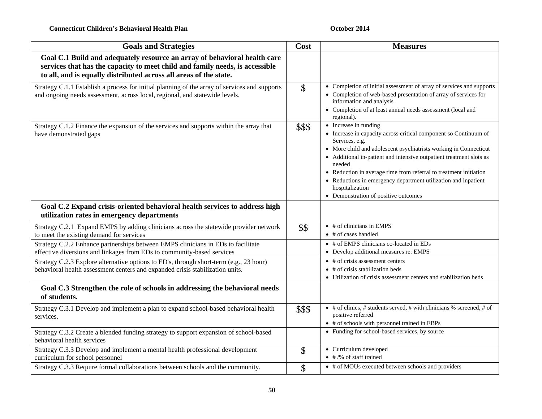| <b>Goals and Strategies</b>                                                                                                                                                                                                    | Cost   | <b>Measures</b>                                                                                                                                                                                                                                                                                                                                                                                                                                                    |
|--------------------------------------------------------------------------------------------------------------------------------------------------------------------------------------------------------------------------------|--------|--------------------------------------------------------------------------------------------------------------------------------------------------------------------------------------------------------------------------------------------------------------------------------------------------------------------------------------------------------------------------------------------------------------------------------------------------------------------|
| Goal C.1 Build and adequately resource an array of behavioral health care<br>services that has the capacity to meet child and family needs, is accessible<br>to all, and is equally distributed across all areas of the state. |        |                                                                                                                                                                                                                                                                                                                                                                                                                                                                    |
| Strategy C.1.1 Establish a process for initial planning of the array of services and supports<br>and ongoing needs assessment, across local, regional, and statewide levels.                                                   | \$     | • Completion of initial assessment of array of services and supports<br>• Completion of web-based presentation of array of services for<br>information and analysis<br>• Completion of at least annual needs assessment (local and<br>regional).                                                                                                                                                                                                                   |
| Strategy C.1.2 Finance the expansion of the services and supports within the array that<br>have demonstrated gaps                                                                                                              | \$\$\$ | • Increase in funding<br>• Increase in capacity across critical component so Continuum of<br>Services, e.g.<br>• More child and adolescent psychiatrists working in Connecticut<br>• Additional in-patient and intensive outpatient treatment slots as<br>needed<br>• Reduction in average time from referral to treatment initiation<br>• Reductions in emergency department utilization and inpatient<br>hospitalization<br>• Demonstration of positive outcomes |
| Goal C.2 Expand crisis-oriented behavioral health services to address high<br>utilization rates in emergency departments                                                                                                       |        |                                                                                                                                                                                                                                                                                                                                                                                                                                                                    |
| Strategy C.2.1 Expand EMPS by adding clinicians across the statewide provider network<br>to meet the existing demand for services                                                                                              | \$\$   | $\bullet$ # of clinicians in EMPS<br>$\bullet$ # of cases handled                                                                                                                                                                                                                                                                                                                                                                                                  |
| Strategy C.2.2 Enhance partnerships between EMPS clinicians in EDs to facilitate<br>effective diversions and linkages from EDs to community-based services                                                                     |        | • # of EMPS clinicians co-located in EDs<br>• Develop additional measures re: EMPS                                                                                                                                                                                                                                                                                                                                                                                 |
| Strategy C.2.3 Explore alternative options to ED's, through short-term (e.g., 23 hour)<br>behavioral health assessment centers and expanded crisis stabilization units.                                                        |        | $\bullet$ # of crisis assessment centers<br>$\bullet$ # of crisis stabilization beds<br>• Utilization of crisis assessment centers and stabilization beds                                                                                                                                                                                                                                                                                                          |
| Goal C.3 Strengthen the role of schools in addressing the behavioral needs<br>of students.                                                                                                                                     |        |                                                                                                                                                                                                                                                                                                                                                                                                                                                                    |
| Strategy C.3.1 Develop and implement a plan to expand school-based behavioral health<br>services.                                                                                                                              | \$\$\$ | $\bullet$ # of clinics, # students served, # with clinicians % screened, # of<br>positive referred<br>• # of schools with personnel trained in EBPs                                                                                                                                                                                                                                                                                                                |
| Strategy C.3.2 Create a blended funding strategy to support expansion of school-based<br>behavioral health services                                                                                                            |        | • Funding for school-based services, by source                                                                                                                                                                                                                                                                                                                                                                                                                     |
| Strategy C.3.3 Develop and implement a mental health professional development<br>curriculum for school personnel                                                                                                               | \$     | • Curriculum developed<br>$\bullet$ # /% of staff trained                                                                                                                                                                                                                                                                                                                                                                                                          |
| Strategy C.3.3 Require formal collaborations between schools and the community.                                                                                                                                                | \$     | • # of MOUs executed between schools and providers                                                                                                                                                                                                                                                                                                                                                                                                                 |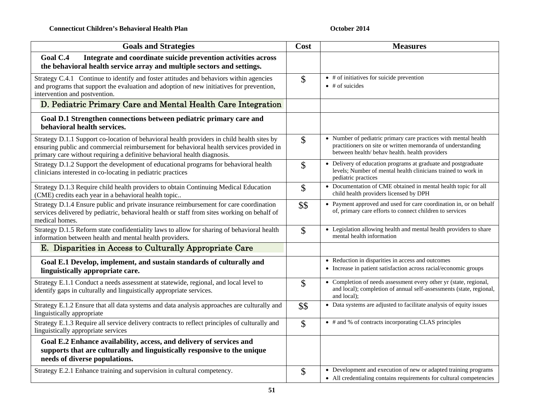| <b>Goals and Strategies</b>                                                                                                                                                                                                                                       | Cost                      | <b>Measures</b>                                                                                                                                                                  |
|-------------------------------------------------------------------------------------------------------------------------------------------------------------------------------------------------------------------------------------------------------------------|---------------------------|----------------------------------------------------------------------------------------------------------------------------------------------------------------------------------|
| Goal C.4<br>Integrate and coordinate suicide prevention activities across<br>the behavioral health service array and multiple sectors and settings.                                                                                                               |                           |                                                                                                                                                                                  |
| Strategy C.4.1 Continue to identify and foster attitudes and behaviors within agencies<br>and programs that support the evaluation and adoption of new initiatives for prevention,<br>intervention and postvention.                                               | \$                        | $\bullet$ # of initiatives for suicide prevention<br>$\bullet$ # of suicides                                                                                                     |
| D. Pediatric Primary Care and Mental Health Care Integration                                                                                                                                                                                                      |                           |                                                                                                                                                                                  |
| Goal D.1 Strengthen connections between pediatric primary care and<br>behavioral health services.                                                                                                                                                                 |                           |                                                                                                                                                                                  |
| Strategy D.1.1 Support co-location of behavioral health providers in child health sites by<br>ensuring public and commercial reimbursement for behavioral health services provided in<br>primary care without requiring a definitive behavioral health diagnosis. | $\mathbb{S}$              | • Number of pediatric primary care practices with mental health<br>practitioners on site or written memoranda of understanding<br>between health/ behav health. health providers |
| Strategy D.1.2 Support the development of educational programs for behavioral health<br>clinicians interested in co-locating in pediatric practices                                                                                                               | \$                        | • Delivery of education programs at graduate and postgraduate<br>levels; Number of mental health clinicians trained to work in<br>pediatric practices                            |
| Strategy D.1.3 Require child health providers to obtain Continuing Medical Education<br>(CME) credits each year in a behavioral health topic                                                                                                                      | \$                        | • Documentation of CME obtained in mental health topic for all<br>child health providers licensed by DPH                                                                         |
| Strategy D.1.4 Ensure public and private insurance reimbursement for care coordination<br>services delivered by pediatric, behavioral health or staff from sites working on behalf of<br>medical homes.                                                           | \$\$                      | • Payment approved and used for care coordination in, or on behalf<br>of, primary care efforts to connect children to services                                                   |
| Strategy D.1.5 Reform state confidentiality laws to allow for sharing of behavioral health<br>information between health and mental health providers.                                                                                                             | \$                        | • Legislation allowing health and mental health providers to share<br>mental health information                                                                                  |
| E. Disparities in Access to Culturally Appropriate Care                                                                                                                                                                                                           |                           |                                                                                                                                                                                  |
| Goal E.1 Develop, implement, and sustain standards of culturally and<br>linguistically appropriate care.                                                                                                                                                          |                           | • Reduction in disparities in access and outcomes<br>• Increase in patient satisfaction across racial/economic groups                                                            |
| Strategy E.1.1 Conduct a needs assessment at statewide, regional, and local level to<br>identify gaps in culturally and linguistically appropriate services.                                                                                                      | $\boldsymbol{\mathsf{S}}$ | • Completion of needs assessment every other yr (state, regional,<br>and local); completion of annual self-assessments (state, regional,<br>and local);                          |
| Strategy E.1.2 Ensure that all data systems and data analysis approaches are culturally and<br>linguistically appropriate                                                                                                                                         | \$\$                      | • Data systems are adjusted to facilitate analysis of equity issues                                                                                                              |
| Strategy E.1.3 Require all service delivery contracts to reflect principles of culturally and<br>linguistically appropriate services                                                                                                                              | $\mathbb{S}$              | • # and % of contracts incorporating CLAS principles                                                                                                                             |
| Goal E.2 Enhance availability, access, and delivery of services and<br>supports that are culturally and linguistically responsive to the unique<br>needs of diverse populations.                                                                                  |                           |                                                                                                                                                                                  |
| Strategy E.2.1 Enhance training and supervision in cultural competency.                                                                                                                                                                                           | \$                        | • Development and execution of new or adapted training programs<br>• All credentialing contains requirements for cultural competencies                                           |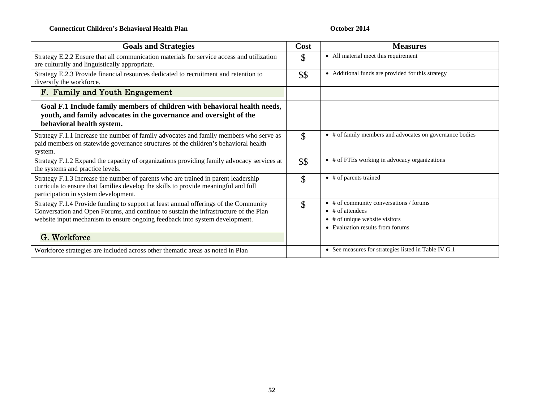| <b>Goals and Strategies</b>                                                                                                                                                                                                                                 | Cost               | <b>Measures</b>                                                                                                                                              |
|-------------------------------------------------------------------------------------------------------------------------------------------------------------------------------------------------------------------------------------------------------------|--------------------|--------------------------------------------------------------------------------------------------------------------------------------------------------------|
| Strategy E.2.2 Ensure that all communication materials for service access and utilization<br>are culturally and linguistically appropriate.                                                                                                                 | \$                 | • All material meet this requirement                                                                                                                         |
| Strategy E.2.3 Provide financial resources dedicated to recruitment and retention to<br>diversify the workforce.                                                                                                                                            | \$\$               | • Additional funds are provided for this strategy                                                                                                            |
| F. Family and Youth Engagement                                                                                                                                                                                                                              |                    |                                                                                                                                                              |
| Goal F.1 Include family members of children with behavioral health needs,<br>youth, and family advocates in the governance and oversight of the<br>behavioral health system.                                                                                |                    |                                                                                                                                                              |
| Strategy F.1.1 Increase the number of family advocates and family members who serve as<br>paid members on statewide governance structures of the children's behavioral health<br>system.                                                                    | $\mathcal{S}$      | # of family members and advocates on governance bodies<br>$\bullet$                                                                                          |
| Strategy F.1.2 Expand the capacity of organizations providing family advocacy services at<br>the systems and practice levels.                                                                                                                               | \$\$               | • # of FTEs working in advocacy organizations                                                                                                                |
| Strategy F.1.3 Increase the number of parents who are trained in parent leadership<br>curricula to ensure that families develop the skills to provide meaningful and full<br>participation in system development.                                           | $\mathcal{S}$      | $\bullet$ # of parents trained                                                                                                                               |
| Strategy F.1.4 Provide funding to support at least annual offerings of the Community<br>Conversation and Open Forums, and continue to sustain the infrastructure of the Plan<br>website input mechanism to ensure ongoing feedback into system development. | $\mathbf{\hat{S}}$ | $\bullet$ # of community conversations / forums<br>$\bullet$ # of attendees<br># of unique website visitors<br>$\bullet$<br>• Evaluation results from forums |
| G. Workforce                                                                                                                                                                                                                                                |                    |                                                                                                                                                              |
| Workforce strategies are included across other thematic areas as noted in Plan                                                                                                                                                                              |                    | • See measures for strategies listed in Table IV.G.1                                                                                                         |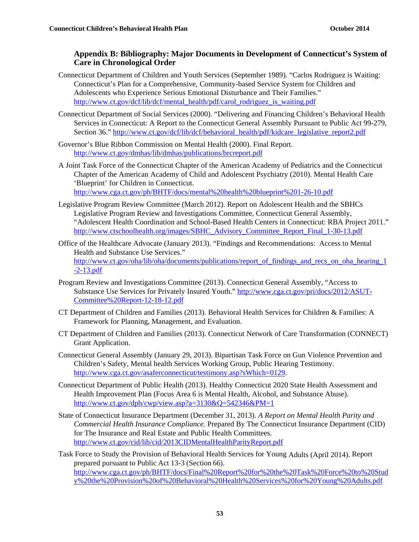#### **Appendix B: Bibliography: Major Documents in Development of Connecticut's System of Care in Chronological Order**

- Connecticut Department of Children and Youth Services (September 1989). "Carlos Rodriguez is Waiting: Connecticut's Plan for a Comprehensive, Community-based Service System for Children and Adolescents who Experience Serious Emotional Disturbance and Their Families." http://www.ct.gov/dcf/lib/dcf/mental\_health/pdf/carol\_rodriguez\_is\_waiting.pdf
- Connecticut Department of Social Services (2000). "Delivering and Financing Children's Behavioral Health Services in Connecticut: A Report to the Connecticut General Assembly Pursuant to Public Act 99-279, Section 36." http://www.ct.gov/dcf/lib/dcf/behavioral\_health/pdf/kidcare\_legislative\_report2.pdf
- Governor's Blue Ribbon Commission on Mental Health (2000). Final Report. http://www.ct.gov/dmhas/lib/dmhas/publications/brcreport.pdf
- A Joint Task Force of the Connecticut Chapter of the American Academy of Pediatrics and the Connecticut Chapter of the American Academy of Child and Adolescent Psychiatry (2010). Mental Health Care 'Blueprint' for Children in Connecticut. http://www.cga.ct.gov/ph/BHTF/docs/mental%20health%20blueprint%201-26-10.pdf
- Legislative Program Review Committee (March 2012). Report on Adolescent Health and the SBHCs Legislative Program Review and Investigations Committee, Connecticut General Assembly, "Adolescent Health Coordination and School-Based Health Centers in Connecticut: RBA Project 2011." http://www.ctschoolhealth.org/images/SBHC\_Advisory\_Committee\_Report\_Final\_1-30-13.pdf
- Office of the Healthcare Advocate (January 2013). "Findings and Recommendations: Access to Mental Health and Substance Use Services." http://www.ct.gov/oha/lib/oha/documents/publications/report\_of\_findings\_and\_recs\_on\_oha\_hearing\_1 -2-13.pdf
- Program Review and Investigations Committee (2013). Connecticut General Assembly, "Access to Substance Use Services for Privately Insured Youth." http://www.cga.ct.gov/pri/docs/2012/ASUT-Committee%20Report-12-18-12.pdf
- CT Department of Children and Families (2013). Behavioral Health Services for Children & Families: A Framework for Planning, Management, and Evaluation.
- CT Department of Children and Families (2013). Connecticut Network of Care Transformation (CONNECT) Grant Application.
- Connecticut General Assembly (January 29, 2013). Bipartisan Task Force on Gun Violence Prevention and Children's Safety, Mental health Services Working Group, Public Hearing Testimony. http://www.cga.ct.gov/asaferconnecticut/testimony.asp?sWhich=0129.
- Connecticut Department of Public Health (2013). Healthy Connecticut 2020 State Health Assessment and Health Improvement Plan (Focus Area 6 is Mental Health, Alcohol, and Substance Abuse). http://www.ct.gov/dph/cwp/view.asp?a=3130&Q=542346&PM=1
- State of Connecticut Insurance Department (December 31, 2013). *A Report on Mental Health Parity and Commercial Health Insurance Compliance.* Prepared By The Connecticut Insurance Department (CID) for The Insurance and Real Estate and Public Health Committees. http://www.ct.gov/cid/lib/cid/2013CIDMentalHealthParityReport.pdf
- Task Force to Study the Provision of Behavioral Health Services for Young Adults (April 2014). Report prepared pursuant to Public Act 13-3 (Section 66). http://www.cga.ct.gov/ph/BHTF/docs/Final%20Report%20for%20the%20Task%20Force%20to%20Stud y%20the%20Provision%20of%20Behavioral%20Health%20Services%20for%20Young%20Adults.pdf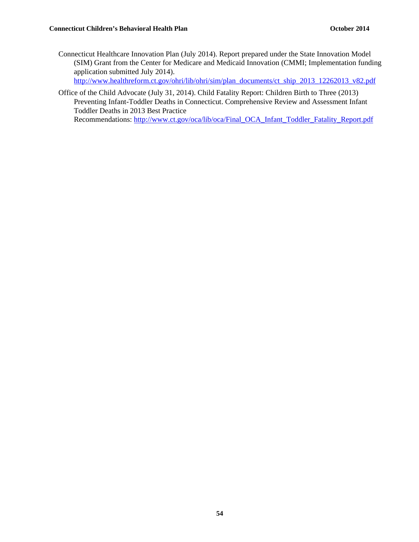Connecticut Healthcare Innovation Plan (July 2014). Report prepared under the State Innovation Model (SIM) Grant from the Center for Medicare and Medicaid Innovation (CMMI; Implementation funding application submitted July 2014).

http://www.healthreform.ct.gov/ohri/lib/ohri/sim/plan\_documents/ct\_ship\_2013\_12262013\_v82.pdf

Office of the Child Advocate (July 31, 2014). Child Fatality Report: Children Birth to Three (2013) Preventing Infant-Toddler Deaths in Connecticut. Comprehensive Review and Assessment Infant Toddler Deaths in 2013 Best Practice

Recommendations: http://www.ct.gov/oca/lib/oca/Final\_OCA\_Infant\_Toddler\_Fatality\_Report.pdf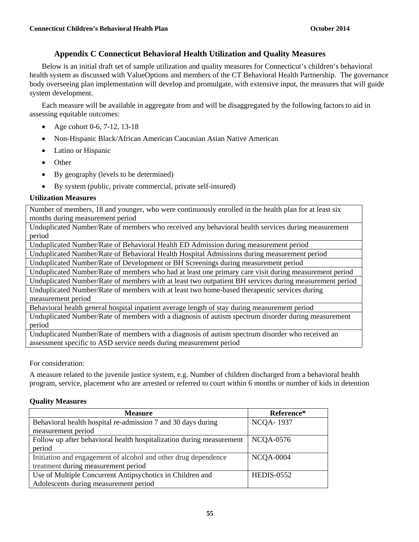#### **Appendix C Connecticut Behavioral Health Utilization and Quality Measures**

Below is an initial draft set of sample utilization and quality measures for Connecticut's children's behavioral health system as discussed with ValueOptions and members of the CT Behavioral Health Partnership. The governance body overseeing plan implementation will develop and promulgate, with extensive input, the measures that will guide system development.

Each measure will be available in aggregate from and will be disaggregated by the following factors to aid in assessing equitable outcomes:

- Age cohort 0-6, 7-12, 13-18
- Non-Hispanic Black/African American Caucasian Asian Native American
- Latino or Hispanic
- Other
- By geography (levels to be determined)
- By system (public, private commercial, private self-insured)

#### **Utilization Measures**

Number of members, 18 and younger, who were continuously enrolled in the health plan for at least six months during measurement period

Unduplicated Number/Rate of members who received any behavioral health services during measurement period

Unduplicated Number/Rate of Behavioral Health ED Admission during measurement period

Unduplicated Number/Rate of Behavioral Health Hospital Admissions during measurement period

Unduplicated Number/Rate of Development or BH Screenings during measurement period

Unduplicated Number/Rate of members who had at least one primary care visit during measurement period

Unduplicated Number/Rate of members with at least two outpatient BH services during measurement period Unduplicated Number/Rate of members with at least two home-based therapeutic services during measurement period

Behavioral health general hospital inpatient average length of stay during measurement period

Unduplicated Number/Rate of members with a diagnosis of autism spectrum disorder during measurement period

Unduplicated Number/Rate of members with a diagnosis of autism spectrum disorder who received an assessment specific to ASD service needs during measurement period

For consideration:

A measure related to the juvenile justice system, e.g. Number of children discharged from a behavioral health program, service, placement who are arrested or referred to court within 6 months or number of kids in detention

#### **Quality Measures**

| <b>Measure</b>                                                       | Reference*        |
|----------------------------------------------------------------------|-------------------|
| Behavioral health hospital re-admission 7 and 30 days during         | <b>NCQA-1937</b>  |
| measurement period                                                   |                   |
| Follow up after behavioral health hospitalization during measurement | <b>NCQA-0576</b>  |
| period                                                               |                   |
| Initiation and engagement of alcohol and other drug dependence       | <b>NCQA-0004</b>  |
| treatment during measurement period                                  |                   |
| Use of Multiple Concurrent Antipsychotics in Children and            | <b>HEDIS-0552</b> |
| Adolescents during measurement period                                |                   |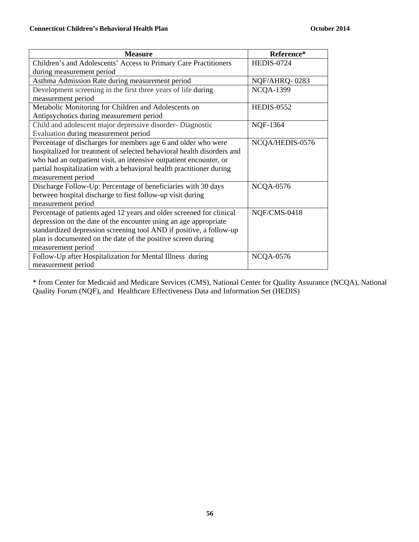| <b>Measure</b>                                                         | Reference*        |
|------------------------------------------------------------------------|-------------------|
| Children's and Adolescents' Access to Primary Care Practitioners       | <b>HEDIS-0724</b> |
| during measurement period                                              |                   |
| Asthma Admission Rate during measurement period                        | NQF/AHRQ-0283     |
| Development screening in the first three years of life during          | <b>NCQA-1399</b>  |
| measurement period                                                     |                   |
| Metabolic Monitoring for Children and Adolescents on                   | <b>HEDIS-0552</b> |
| Antipsychotics during measurement period                               |                   |
| Child and adolescent major depressive disorder-Diagnostic              | NQF-1364          |
| Evaluation during measurement period                                   |                   |
| Percentage of discharges for members age 6 and older who were          | NCQA/HEDIS-0576   |
| hospitalized for treatment of selected behavioral health disorders and |                   |
| who had an outpatient visit, an intensive outpatient encounter, or     |                   |
| partial hospitalization with a behavioral health practitioner during   |                   |
| measurement period                                                     |                   |
| Discharge Follow-Up: Percentage of beneficiaries with 30 days          | <b>NCQA-0576</b>  |
| between hospital discharge to first follow-up visit during             |                   |
| measurement period                                                     |                   |
| Percentage of patients aged 12 years and older screened for clinical   | NQF/CMS-0418      |
| depression on the date of the encounter using an age appropriate       |                   |
| standardized depression screening tool AND if positive, a follow-up    |                   |
| plan is documented on the date of the positive screen during           |                   |
| measurement period                                                     |                   |
| Follow-Up after Hospitalization for Mental Illness during              | <b>NCQA-0576</b>  |
| measurement period                                                     |                   |

\* from Center for Medicaid and Medicare Services (CMS), National Center for Quality Assurance (NCQA), National Quality Forum (NQF), and Healthcare Effectiveness Data and Information Set (HEDIS)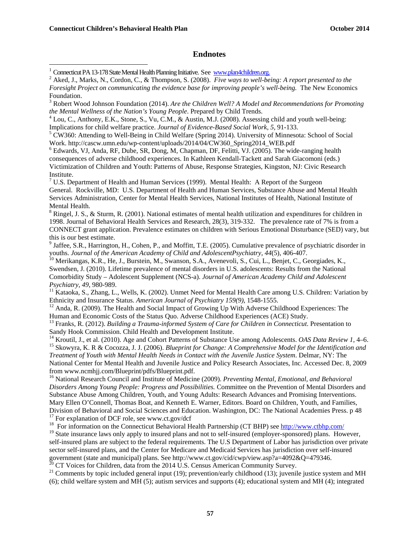$\overline{a}$ 

#### **Endnotes**

<sup>3</sup> Robert Wood Johnson Foundation (2014). *Are the Children Well? A Model and Recommendations for Promoting the Mental Wellness of the Nation's Young People*. Prepared by Child Trends. 4

<sup>4</sup> Lou, C., Anthony, E.K., Stone, S., Vu, C.M., & Austin, M.J. (2008). Assessing child and youth well-being: Implications for child welfare practice. *Journal of Evidence-Based Social Work*, 5, 91-133.

<sup>5</sup> CW360: Attending to Well-Being in Child Welfare (Spring 2014). University of Minnesota: School of Social Work. http://cascw.umn.edu/wp-content/uploads/2014/04/CW360\_Spring2014\_WEB.pdf

<sup>6</sup> Edwards, VJ, Anda, RF, Dube, SR, Dong, M, Chapman, DF, Felitti, VJ. (2005). The wide-ranging health consequences of adverse childhood experiences. In Kathleen Kendall-Tackett and Sarah Giacomoni (eds.) Victimization of Children and Youth: Patterns of Abuse, Response Strategies, Kingston, NJ: Civic Research Institute.

<sup>7</sup> U.S. Department of Health and Human Services (1999). Mental Health: A Report of the Surgeon General. Rockville, MD: U.S. Department of Health and Human Services, Substance Abuse and Mental Health Services Administration, Center for Mental Health Services, National Institutes of Health, National Institute of Mental Health.

 $8$  Ringel, J. S., & Sturm, R. (2001). National estimates of mental health utilization and expenditures for children in 1998. Journal of Behavioral Health Services and Research, 28(3), 319-332. The prevalence rate of 7% is from a CONNECT grant application. Prevalence estimates on children with Serious Emotional Disturbance (SED) vary, but this is our best estimate.

 $9$  Jaffee, S.R., Harrington, H., Cohen, P., and Moffitt, T.E. (2005). Cumulative prevalence of psychiatric disorder in youths. *Journal of the American Academy of Child and AdolescentPsychiatry, 44*(5), 406-407.<br><sup>10</sup> Merikangas, K.R., He, J., Burstein, M., Swanson, S.A., Avenevoli, S., Cui, L., Benjet, C., Georgiades, K.,

Swendsen, J. (2010). Lifetime prevalence of mental disorders in U.S. adolescents: Results from the National Comorbidity Study – Adolescent Supplement (NCS-a). *Journal of American Academy Child and Adolescent* 

*Psychiatry, 49, 980-989.*<br><sup>11</sup> Kataoka, S., Zhang, L., Wells, K. (2002). Unmet Need for Mental Health Care among U.S. Children: Variation by Ethnicity and Insurance Status. American Journal of Psychiatry 159(9), 1548-1555

<sup>12</sup> Anda, R. (2009). The Health and Social Impact of Growing Up With Adverse Childhood Experiences: The Human and Economic Costs of the Status Quo. Adverse Childhood Experiences (ACE) Study.

<sup>13</sup> Franks, R. (2012). *Building a Trauma-informed System of Care for Children in Connecticut*. Presentation to Sandy Hook Commission. Child Health and Development Institute.

<sup>14</sup> Kroutil, J., et al. (2010). Age and Cohort Patterns of Substance Use among Adolescents. *OAS Data Review 1*, 4–6.<br><sup>15</sup> Skowyra, K. R & Cocozza, J. J. (2006). *Blueprint for Change: A Comprehensive Model for the Ident Treatment of Youth with Mental Health Needs in Contact with the Juvenile Justice System*. Delmar, NY: The National Center for Mental Health and Juvenile Justice and Policy Research Associates, Inc. Accessed Dec. 8, 2009 from www.ncmhjj.com/Blueprint/pdfs/Blueprint.pdf.

16 National Research Council and Institute of Medicine (2009). *Preventing Mental, Emotional, and Behavioral Disorders Among Young People: Progress and Possibilities.* Committee on the Prevention of Mental Disorders and Substance Abuse Among Children, Youth, and Young Adults: Research Advances and Promising Interventions. Mary Ellen O'Connell, Thomas Boat, and Kenneth E. Warner, Editors. Board on Children, Youth, and Families, Division of Behavioral and Social Sciences and Education. Washington, DC: The National Academies Press. p 48<sup>17</sup> For explanation of DCF role, see www.ct.gov/dcf

<sup>18</sup> For information on the Connecticut Behavioral Health Partnership (CT BHP) see http://www.ctbhp.com/<br><sup>19</sup> State insurance laws only apply to insured plans and not to self-insured (employer-sponsored) plans. However, self-insured plans are subject to the federal requirements. The U.S Department of Labor has jurisdiction over private sector self-insured plans, and the Center for Medicare and Medicaid Services has jurisdiction over self-insured government (state and municipal) plans. See http://www.ct.gov/cid/cwp/view.asp?a=4092&Q=479346.<br><sup>20</sup> CT Voices for Children, data from the 2014 U.S. Census American Community Survey.

<sup>21</sup> Comments by topic included general input (19); prevention/early childhood (13); juvenile justice system and MH (6); child welfare system and MH (5); autism services and supports (4); educational system and MH (4); integrated

<sup>&</sup>lt;sup>1</sup> Connecticut PA 13-178 State Mental Health Planning Initiative. See www.plan4children.org.<br><sup>2</sup> Aked J. Merks, N. Cordon, C. & Thompson, S. (2008). Eine wave to well be

<sup>&</sup>lt;sup>2</sup> Aked. J., Marks, N., Cordon, C., & Thompson, S. (2008). *Five ways to well-being: A report presented to the Foresight Project on communicating the evidence base for improving people's well-being.* The New Economics Foundation.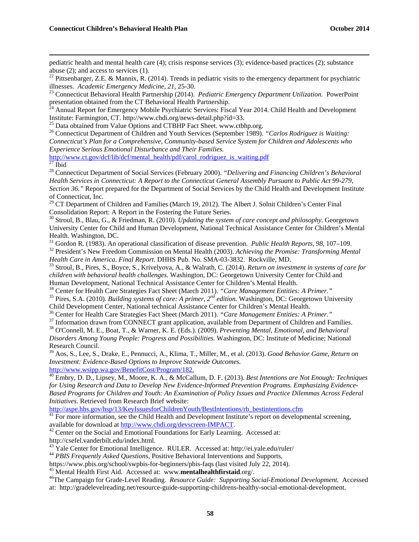pediatric health and mental health care (4); crisis response services (3); evidence-based practices (2); substance abuse (2); and access to services (1).

<sup>22</sup> Pittsenbarger, Z.E. & Mannix, R. (2014). Trends in pediatric visits to the emergency department for psychiatric illnesses. *Academic Emergency Medicine, 21*, 25-30. 23 Connecticut Behavioral Health Partnership (2014). *Pediatric Emergency Department Utilization.* PowerPoint

presentation obtained from the CT Behavioral Health Partnership.

 $^{24}$  Annual Report for Emergency Mobile Psychiatric Services: Fiscal Year 2014. Child Health and Development Institute: Farmington, CT. http://www.chdi.org/news-detail.php?id=33.

<sup>25</sup> Data obtained from Value Options and CTBHP Fact Sheet. www.ctbhp.org.<br><sup>26</sup> Connecticut Department of Children and Youth Services (September 1989). "*Carlos Rodriguez is Waiting: Connecticut's Plan for a Comprehensive, Community-based Service System for Children and Adolescents who Experience Serious Emotional Disturbance and Their Families.*

http://www.ct.gov/dcf/lib/dcf/mental\_health/pdf/carol\_rodriguez\_is\_waiting.pdf 27 Ibid

28 Connecticut Department of Social Services (February 2000). *"Delivering and Financing Children's Behavioral Health Services in Connecticut: A Report to the Connecticut General Assembly Pursuant to Public Act 99-279, Section 36."* Report prepared for the Department of Social Services by the Child Health and Development Institute of Connecticut, Inc.

 $29$  CT Department of Children and Families (March 19, 2012). The Albert J. Solnit Children's Center Final Consolidation Report: A Report in the Fostering the Future Series.

30 Stroul, B., Blau, G., & Friedman, R. (2010). *Updating the system of care concept and philosophy.* Georgetown University Center for Child and Human Development, National Technical Assistance Center for Children's Mental Health. Washington, DC.<br><sup>31</sup> Gordon R. (1983). An operational classification of disease prevention. *Public Health Reports*, 98, 107–109.

<sup>32</sup> President's New Freedom Commission on Mental Health (2003). Achieving the Promise: Transforming Mental Health Care in America. Final Report. DHHS Pub. No. SMA-03-3832. Rockville, MD.

<sup>33</sup> Stroul, B., Pires, S., Boyce, S., Krivelyova, A., & Walrath, C. (2014). *Return on investment in systems of care for children with behavioral health challenges.* Washington, DC: Georgetown University Center for Child and

<sup>34</sup> Center for Health Care Strategies Fact Sheet (March 2011). "Care Management Entities: A Primer."<br><sup>35</sup> Pires, S.A. (2010). Building systems of care: A primer, 2<sup>nd</sup> edition. Washington, DC: Georgetown University

Child Development Center, National technical Assistance Center for Children's Mental Health.<br><sup>36</sup> Center for Health Care Strategies Fact Sheet (March 2011). "*Care Management Entities: A Primer.*"<br><sup>37</sup> Information drawn fr

38 O'Connell, M. E., Boat, T., & Warner, K. E. (Eds.). (2009). *Preventing Mental, Emotional, and Behavioral Disorders Among Young People: Progress and Possibilities.* Washington, DC: Institute of Medicine; National Research Council.

39 Aos, S., Lee, S., Drake, E., Pennucci, A., Klima, T., Miller, M., et al. (2013). *Good Behavior Game, Return on Investment: Evidence-Based Options to Improve Statewide Outcomes.*

http://www.wsipp.wa.gov/BenefitCost/Program/182. 40 Embry, D. D., Lipsey, M., Moore, K. A., & McCallum, D. F. (2013). *Best Intentions are Not Enough: Techniques for Using Research and Data to Develop New Evidence-Informed Prevention Programs. Emphasizing Evidence-Based Programs for Children and Youth: An Examination of Policy Issues and Practice Dilemmas Across Federal Initiatives.* Retrieved from Research Brief website:<br>
http://aspe.hhs.gov/hsp/13/KeyIssuesforChildrenYouth/BestIntentions/rb bestintentions.cfm

 $\frac{41}{41}$  For more information, see the Child Health and Development Institute's report on developmental screening, available for download at http://www.chdi.org/devscreen-IMPACT.<br><sup>42</sup> Center on the Social and Emotional Foundations for Early Learning. Accessed at:

http://csefel.vanderbilt.edu/index.html.<br><sup>43</sup> Yale Center for Emotional Intelligence. RULER. Accessed at: http://ei.yale.edu/ruler/

<sup>44</sup> PBIS Frequently Asked Questions, Positive Behavioral Interventions and Supports,

https://www.pbis.org/school/swpbis-for-beginners/pbis-faqs (last visited July 22, 2014).<br><sup>45</sup> Mental Health First Aid. Accessed at: www.mentalhealthfirstaid.org/.<br><sup>46</sup>The Campaign for Grade-Level Reading. *Resource Guide:* at: http://gradelevelreading.net/resource-guide-supporting-childrens-healthy-social-emotional-development.